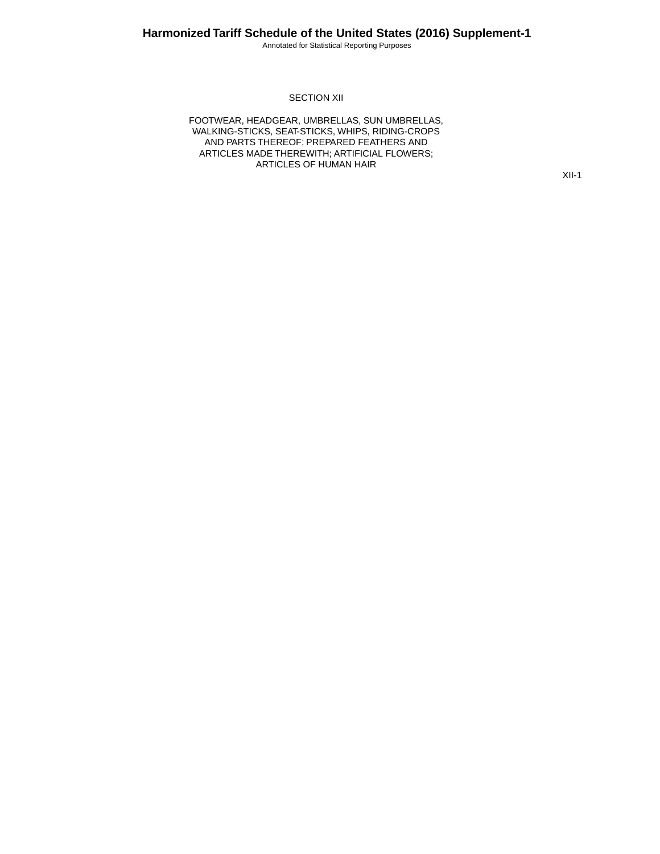Annotated for Statistical Reporting Purposes

#### SECTION XII

FOOTWEAR, HEADGEAR, UMBRELLAS, SUN UMBRELLAS, WALKING-STICKS, SEAT-STICKS, WHIPS, RIDING-CROPS AND PARTS THEREOF; PREPARED FEATHERS AND ARTICLES MADE THEREWITH; ARTIFICIAL FLOWERS; ARTICLES OF HUMAN HAIR

XII-1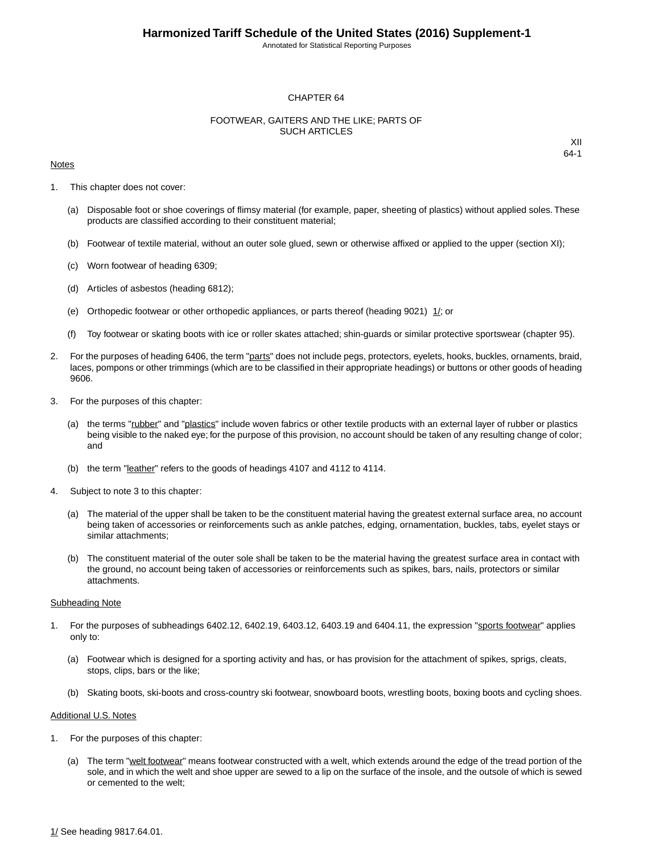Annotated for Statistical Reporting Purposes

#### CHAPTER 64

#### FOOTWEAR, GAITERS AND THE LIKE; PARTS OF SUCH ARTICLES

#### Notes

XII 64-1

- 1. This chapter does not cover:
	- (a) Disposable foot or shoe coverings of flimsy material (for example, paper, sheeting of plastics) without applied soles. These products are classified according to their constituent material;
	- (b) Footwear of textile material, without an outer sole glued, sewn or otherwise affixed or applied to the upper (section XI);
	- (c) Worn footwear of heading 6309;
	- (d) Articles of asbestos (heading 6812);
	- (e) Orthopedic footwear or other orthopedic appliances, or parts thereof (heading 9021) 1/; or
	- (f) Toy footwear or skating boots with ice or roller skates attached; shin-guards or similar protective sportswear (chapter 95).
- 2. For the purposes of heading 6406, the term "parts" does not include pegs, protectors, eyelets, hooks, buckles, ornaments, braid, laces, pompons or other trimmings (which are to be classified in their appropriate headings) or buttons or other goods of heading 9606.
- 3. For the purposes of this chapter:
	- (a) the terms "rubber" and "plastics" include woven fabrics or other textile products with an external layer of rubber or plastics being visible to the naked eye; for the purpose of this provision, no account should be taken of any resulting change of color; and
	- (b) the term "leather" refers to the goods of headings 4107 and 4112 to 4114.
- 4. Subject to note 3 to this chapter:
	- (a) The material of the upper shall be taken to be the constituent material having the greatest external surface area, no account being taken of accessories or reinforcements such as ankle patches, edging, ornamentation, buckles, tabs, eyelet stays or similar attachments;
	- (b) The constituent material of the outer sole shall be taken to be the material having the greatest surface area in contact with the ground, no account being taken of accessories or reinforcements such as spikes, bars, nails, protectors or similar attachments.

#### Subheading Note

- 1. For the purposes of subheadings 6402.12, 6402.19, 6403.12, 6403.19 and 6404.11, the expression "sports footwear" applies only to:
	- (a) Footwear which is designed for a sporting activity and has, or has provision for the attachment of spikes, sprigs, cleats, stops, clips, bars or the like;
	- (b) Skating boots, ski-boots and cross-country ski footwear, snowboard boots, wrestling boots, boxing boots and cycling shoes.

#### Additional U.S. Notes

- 1. For the purposes of this chapter:
	- (a) The term "welt footwear" means footwear constructed with a welt, which extends around the edge of the tread portion of the sole, and in which the welt and shoe upper are sewed to a lip on the surface of the insole, and the outsole of which is sewed or cemented to the welt;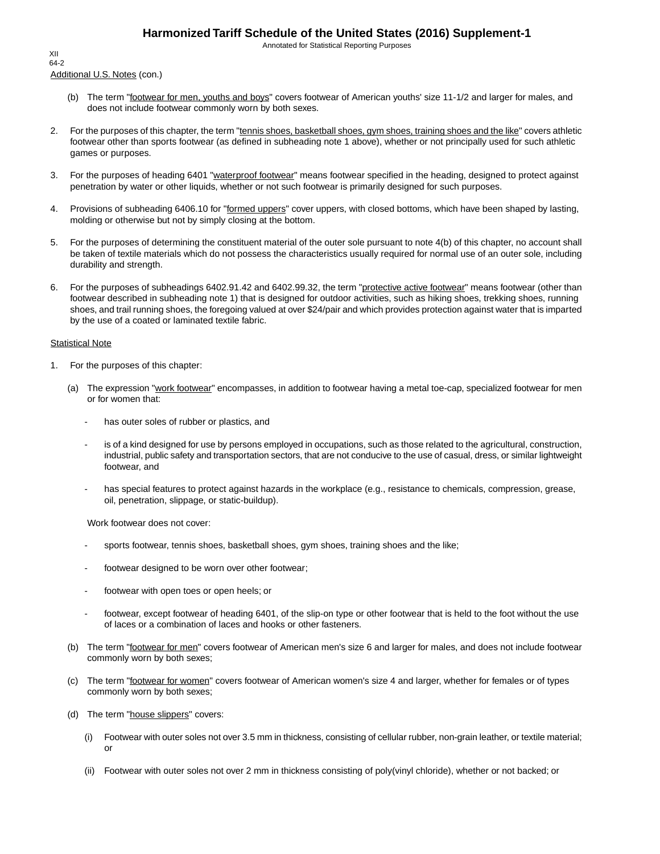Annotated for Statistical Reporting Purposes

Additional U.S. Notes (con.) XII 64-2

- (b) The term "footwear for men, youths and boys" covers footwear of American youths' size 11-1/2 and larger for males, and does not include footwear commonly worn by both sexes.
- 2. For the purposes of this chapter, the term "tennis shoes, basketball shoes, gym shoes, training shoes and the like" covers athletic footwear other than sports footwear (as defined in subheading note 1 above), whether or not principally used for such athletic games or purposes.
- 3. For the purposes of heading 6401 "waterproof footwear" means footwear specified in the heading, designed to protect against penetration by water or other liquids, whether or not such footwear is primarily designed for such purposes.
- 4. Provisions of subheading 6406.10 for "formed uppers" cover uppers, with closed bottoms, which have been shaped by lasting, molding or otherwise but not by simply closing at the bottom.
- 5. For the purposes of determining the constituent material of the outer sole pursuant to note 4(b) of this chapter, no account shall be taken of textile materials which do not possess the characteristics usually required for normal use of an outer sole, including durability and strength.
- 6. For the purposes of subheadings 6402.91.42 and 6402.99.32, the term "protective active footwear" means footwear (other than footwear described in subheading note 1) that is designed for outdoor activities, such as hiking shoes, trekking shoes, running shoes, and trail running shoes, the foregoing valued at over \$24/pair and which provides protection against water that is imparted by the use of a coated or laminated textile fabric.

#### **Statistical Note**

- 1. For the purposes of this chapter:
	- (a) The expression "work footwear" encompasses, in addition to footwear having a metal toe-cap, specialized footwear for men or for women that:
		- has outer soles of rubber or plastics, and
		- is of a kind designed for use by persons employed in occupations, such as those related to the agricultural, construction, industrial, public safety and transportation sectors, that are not conducive to the use of casual, dress, or similar lightweight footwear, and
		- has special features to protect against hazards in the workplace (e.g., resistance to chemicals, compression, grease, oil, penetration, slippage, or static-buildup).

Work footwear does not cover:

- sports footwear, tennis shoes, basketball shoes, gym shoes, training shoes and the like;
- footwear designed to be worn over other footwear;
- footwear with open toes or open heels; or
- footwear, except footwear of heading 6401, of the slip-on type or other footwear that is held to the foot without the use of laces or a combination of laces and hooks or other fasteners.
- (b) The term "footwear for men" covers footwear of American men's size 6 and larger for males, and does not include footwear commonly worn by both sexes;
- (c) The term "footwear for women" covers footwear of American women's size 4 and larger, whether for females or of types commonly worn by both sexes;
- (d) The term "house slippers" covers:
	- (i) Footwear with outer soles not over 3.5 mm in thickness, consisting of cellular rubber, non-grain leather, or textile material; or
	- (ii) Footwear with outer soles not over 2 mm in thickness consisting of poly(vinyl chloride), whether or not backed; or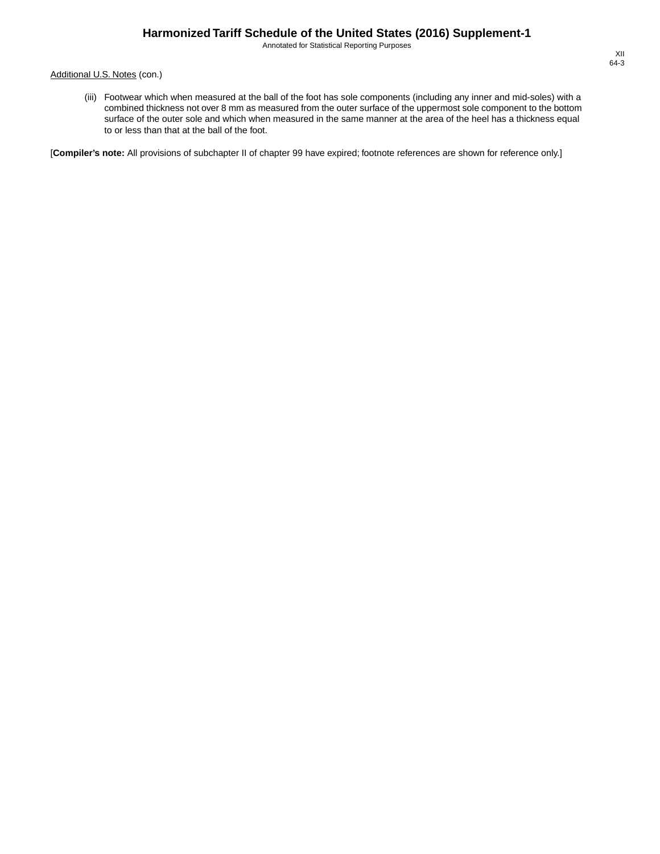Annotated for Statistical Reporting Purposes

#### Additional U.S. Notes (con.)

(iii) Footwear which when measured at the ball of the foot has sole components (including any inner and mid-soles) with a combined thickness not over 8 mm as measured from the outer surface of the uppermost sole component to the bottom surface of the outer sole and which when measured in the same manner at the area of the heel has a thickness equal to or less than that at the ball of the foot.

[**Compiler's note:** All provisions of subchapter II of chapter 99 have expired; footnote references are shown for reference only.]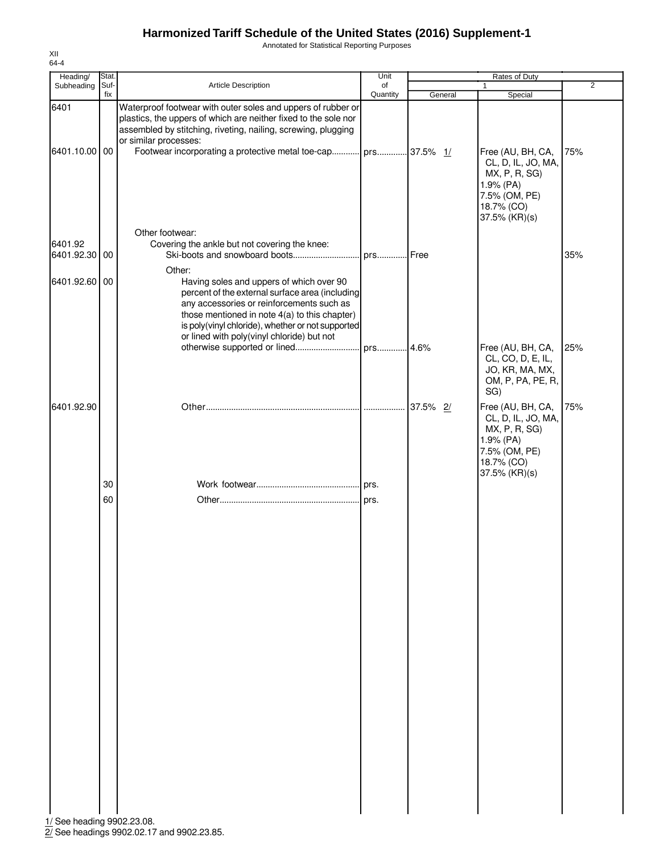Annotated for Statistical Reporting Purposes

| Heading/                   | Stat. |                                                                                                                                                                                                                                                                                                        | Unit     |         | Rates of Duty                                                                                                         |                |
|----------------------------|-------|--------------------------------------------------------------------------------------------------------------------------------------------------------------------------------------------------------------------------------------------------------------------------------------------------------|----------|---------|-----------------------------------------------------------------------------------------------------------------------|----------------|
| Subheading                 | Suf-  | Article Description                                                                                                                                                                                                                                                                                    | of       |         | $\mathbf{1}$                                                                                                          | $\overline{2}$ |
| 6401                       | fix   | Waterproof footwear with outer soles and uppers of rubber or<br>plastics, the uppers of which are neither fixed to the sole nor<br>assembled by stitching, riveting, nailing, screwing, plugging                                                                                                       | Quantity | General | Special                                                                                                               |                |
| 6401.10.00 00              |       | or similar processes:<br>Footwear incorporating a protective metal toe-cap prs 37.5% 1/                                                                                                                                                                                                                |          |         | Free (AU, BH, CA,<br>CL, D, IL, JO, MA,<br>MX, P, R, SG)<br>1.9% (PA)<br>7.5% (OM, PE)<br>18.7% (CO)<br>37.5% (KR)(s) | 75%            |
| 6401.92<br>6401.92.30 00   |       | Other footwear:<br>Covering the ankle but not covering the knee:                                                                                                                                                                                                                                       |          |         |                                                                                                                       | 35%            |
| 6401.92.60 00              |       | Other:<br>Having soles and uppers of which over 90<br>percent of the external surface area (including<br>any accessories or reinforcements such as<br>those mentioned in note 4(a) to this chapter)<br>is poly(vinyl chloride), whether or not supported<br>or lined with poly(vinyl chloride) but not |          |         |                                                                                                                       |                |
|                            |       |                                                                                                                                                                                                                                                                                                        |          |         | Free (AU, BH, CA,<br>CL, CO, D, E, IL,<br>JO, KR, MA, MX,<br>OM, P, PA, PE, R,<br>SG)                                 | 25%            |
| 6401.92.90                 |       |                                                                                                                                                                                                                                                                                                        |          |         | Free (AU, BH, CA,<br>CL, D, IL, JO, MA,<br>MX, P, R, SG)<br>1.9% (PA)<br>7.5% (OM, PE)<br>18.7% (CO)<br>37.5% (KR)(s) | 75%            |
|                            | 30    |                                                                                                                                                                                                                                                                                                        |          |         |                                                                                                                       |                |
|                            | 60    |                                                                                                                                                                                                                                                                                                        |          |         |                                                                                                                       |                |
|                            |       |                                                                                                                                                                                                                                                                                                        |          |         |                                                                                                                       |                |
|                            |       |                                                                                                                                                                                                                                                                                                        |          |         |                                                                                                                       |                |
|                            |       |                                                                                                                                                                                                                                                                                                        |          |         |                                                                                                                       |                |
|                            |       |                                                                                                                                                                                                                                                                                                        |          |         |                                                                                                                       |                |
| 1/ See heading 9902.23.08. |       |                                                                                                                                                                                                                                                                                                        |          |         |                                                                                                                       |                |

2/ See headings 9902.02.17 and 9902.23.85.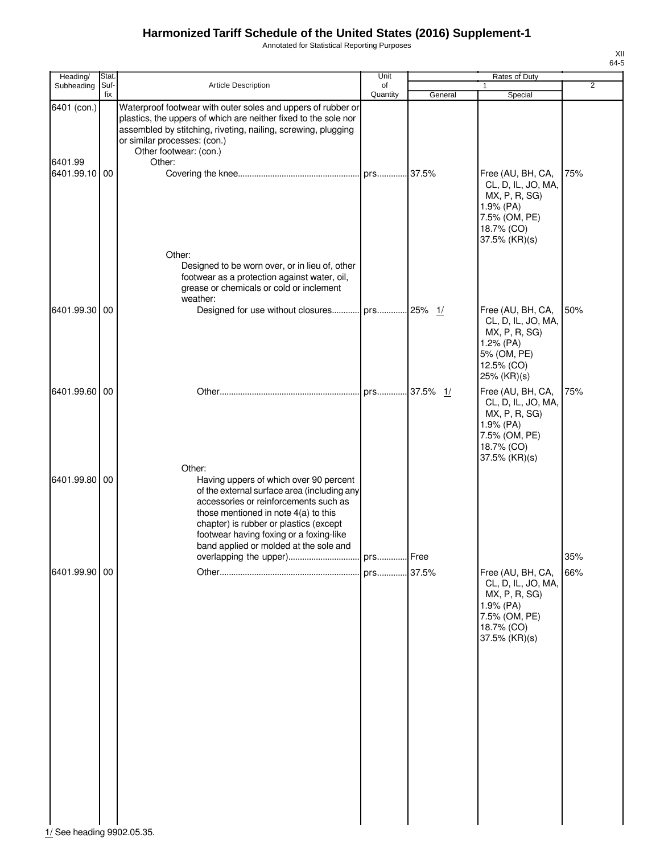Annotated for Statistical Reporting Purposes

| Stat.         |                                                                                                                                                                                                                                                        | Unit             |                                                                                                                         | Rates of Duty                                                                                                            |                |
|---------------|--------------------------------------------------------------------------------------------------------------------------------------------------------------------------------------------------------------------------------------------------------|------------------|-------------------------------------------------------------------------------------------------------------------------|--------------------------------------------------------------------------------------------------------------------------|----------------|
| Suf-          | <b>Article Description</b>                                                                                                                                                                                                                             | of               |                                                                                                                         | 1                                                                                                                        | $\overline{2}$ |
|               | plastics, the uppers of which are neither fixed to the sole nor<br>assembled by stitching, riveting, nailing, screwing, plugging<br>or similar processes: (con.)<br>Other footwear: (con.)                                                             |                  |                                                                                                                         |                                                                                                                          |                |
| 6401.99.10 00 |                                                                                                                                                                                                                                                        |                  |                                                                                                                         | Free (AU, BH, CA,<br>CL, D, IL, JO, MA,<br>MX, P, R, SG)<br>$1.9\%$ (PA)<br>7.5% (OM, PE)<br>18.7% (CO)<br>37.5% (KR)(s) | 75%            |
|               | Other:<br>Designed to be worn over, or in lieu of, other<br>footwear as a protection against water, oil,<br>grease or chemicals or cold or inclement<br>weather:                                                                                       |                  |                                                                                                                         |                                                                                                                          |                |
| 6401.99.30 00 |                                                                                                                                                                                                                                                        |                  | 1/                                                                                                                      | Free (AU, BH, CA,<br>CL, D, IL, JO, MA,<br>MX, P, R, SG)<br>1.2% (PA)<br>5% (OM, PE)<br>12.5% (CO)<br>25% (KR)(s)        | 50%            |
| 6401.99.60 00 |                                                                                                                                                                                                                                                        |                  |                                                                                                                         | Free (AU, BH, CA,<br>CL, D, IL, JO, MA,<br>MX, P, R, SG)<br>1.9% (PA)<br>7.5% (OM, PE)<br>18.7% (CO)<br>37.5% (KR)(s)    | 75%            |
| 6401.99.80 00 | Having uppers of which over 90 percent<br>accessories or reinforcements such as<br>those mentioned in note 4(a) to this<br>chapter) is rubber or plastics (except<br>footwear having foxing or a foxing-like<br>band applied or molded at the sole and |                  |                                                                                                                         |                                                                                                                          | 35%            |
| 6401.99.90 00 |                                                                                                                                                                                                                                                        |                  |                                                                                                                         | Free (AU, BH, CA,<br>CL, D, IL, JO, MA,<br>MX, P, R, SG)<br>1.9% (PA)<br>7.5% (OM, PE)<br>18.7% (CO)<br>37.5% (KR)(s)    | 66%            |
|               | fix                                                                                                                                                                                                                                                    | Other:<br>Other: | Quantity<br>Waterproof footwear with outer soles and uppers of rubber or<br>of the external surface area (including any | General<br>.37.5%<br>Designed for use without closures prs 25%<br>.37.5% 1/<br>.37.5%                                    | Special        |

 $\frac{1}{1}$ See heading 9902.05.35.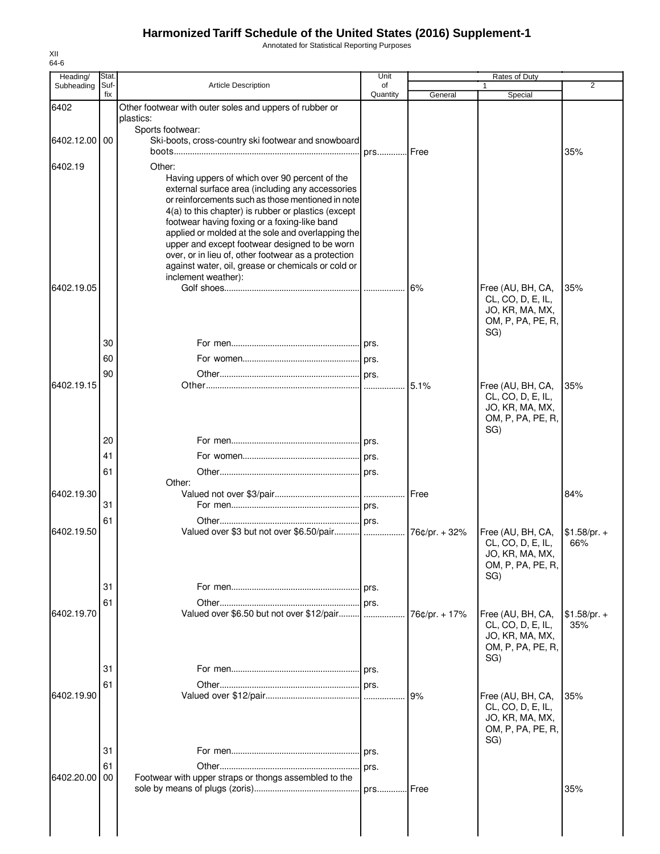Annotated for Statistical Reporting Purposes

| Heading/      | Stat.       |                                                                                                                                                                                                                                                                                                                                                                                                                                                                                            | Unit           |               | Rates of Duty                                                                         |                      |
|---------------|-------------|--------------------------------------------------------------------------------------------------------------------------------------------------------------------------------------------------------------------------------------------------------------------------------------------------------------------------------------------------------------------------------------------------------------------------------------------------------------------------------------------|----------------|---------------|---------------------------------------------------------------------------------------|----------------------|
| Subheading    | Suf-<br>fix | <b>Article Description</b>                                                                                                                                                                                                                                                                                                                                                                                                                                                                 | of<br>Quantity | General       | 1<br>Special                                                                          | $\overline{2}$       |
| 6402          |             | Other footwear with outer soles and uppers of rubber or<br>plastics:                                                                                                                                                                                                                                                                                                                                                                                                                       |                |               |                                                                                       |                      |
| 6402.12.00 00 |             | Sports footwear:<br>Ski-boots, cross-country ski footwear and snowboard                                                                                                                                                                                                                                                                                                                                                                                                                    | prs Free       |               |                                                                                       | 35%                  |
| 6402.19       |             | Other:<br>Having uppers of which over 90 percent of the<br>external surface area (including any accessories<br>or reinforcements such as those mentioned in note<br>4(a) to this chapter) is rubber or plastics (except<br>footwear having foxing or a foxing-like band<br>applied or molded at the sole and overlapping the<br>upper and except footwear designed to be worn<br>over, or in lieu of, other footwear as a protection<br>against water, oil, grease or chemicals or cold or |                |               |                                                                                       |                      |
| 6402.19.05    |             | inclement weather):                                                                                                                                                                                                                                                                                                                                                                                                                                                                        |                | 6%            | Free (AU, BH, CA,                                                                     | 35%                  |
|               |             |                                                                                                                                                                                                                                                                                                                                                                                                                                                                                            |                |               | CL, CO, D, E, IL,<br>JO, KR, MA, MX,<br>OM, P, PA, PE, R,<br>SG)                      |                      |
|               | 30          |                                                                                                                                                                                                                                                                                                                                                                                                                                                                                            |                |               |                                                                                       |                      |
|               | 60          |                                                                                                                                                                                                                                                                                                                                                                                                                                                                                            |                |               |                                                                                       |                      |
| 6402.19.15    | 90          |                                                                                                                                                                                                                                                                                                                                                                                                                                                                                            |                | 5.1%          | Free (AU, BH, CA,                                                                     | 35%                  |
|               |             |                                                                                                                                                                                                                                                                                                                                                                                                                                                                                            |                |               | CL, CO, D, E, IL,<br>JO, KR, MA, MX,<br>OM, P, PA, PE, R,<br>SG)                      |                      |
|               | 20          |                                                                                                                                                                                                                                                                                                                                                                                                                                                                                            |                |               |                                                                                       |                      |
|               | 41          |                                                                                                                                                                                                                                                                                                                                                                                                                                                                                            |                |               |                                                                                       |                      |
|               | 61          | Other:                                                                                                                                                                                                                                                                                                                                                                                                                                                                                     |                |               |                                                                                       |                      |
| 6402.19.30    |             |                                                                                                                                                                                                                                                                                                                                                                                                                                                                                            |                | Free          |                                                                                       | 84%                  |
|               | 31<br>61    |                                                                                                                                                                                                                                                                                                                                                                                                                                                                                            |                |               |                                                                                       |                      |
| 6402.19.50    |             |                                                                                                                                                                                                                                                                                                                                                                                                                                                                                            |                | 76¢/pr. + 32% | Free (AU, BH, CA,<br>CL, CO, D, E, IL,<br>JO, KR, MA, MX,<br>OM, P, PA, PE, R,<br>SG) | $$1.58/pr. +$<br>66% |
|               | 31          |                                                                                                                                                                                                                                                                                                                                                                                                                                                                                            |                |               |                                                                                       |                      |
|               | 61          |                                                                                                                                                                                                                                                                                                                                                                                                                                                                                            |                |               |                                                                                       |                      |
| 6402.19.70    |             | Valued over \$6.50 but not over \$12/pair                                                                                                                                                                                                                                                                                                                                                                                                                                                  | 1.1.1.1.1      | 76¢/pr. + 17% | Free (AU, BH, CA,<br>CL, CO, D, E, IL,<br>JO, KR, MA, MX,<br>OM, P, PA, PE, R,<br>SG) | $$1.58/pr. +$<br>35% |
|               | 31          |                                                                                                                                                                                                                                                                                                                                                                                                                                                                                            |                |               |                                                                                       |                      |
| 6402.19.90    | 61          |                                                                                                                                                                                                                                                                                                                                                                                                                                                                                            |                | 9%            | Free (AU, BH, CA,                                                                     | 35%                  |
|               |             |                                                                                                                                                                                                                                                                                                                                                                                                                                                                                            |                |               | CL, CO, D, E, IL,<br>JO, KR, MA, MX,<br>OM, P, PA, PE, R,<br>SG)                      |                      |
|               | 31          |                                                                                                                                                                                                                                                                                                                                                                                                                                                                                            |                |               |                                                                                       |                      |
| 6402.20.00    | 61<br>00    | Footwear with upper straps or thongs assembled to the                                                                                                                                                                                                                                                                                                                                                                                                                                      | prs.           |               |                                                                                       |                      |
|               |             |                                                                                                                                                                                                                                                                                                                                                                                                                                                                                            | prs            | Free          |                                                                                       | 35%                  |
|               |             |                                                                                                                                                                                                                                                                                                                                                                                                                                                                                            |                |               |                                                                                       |                      |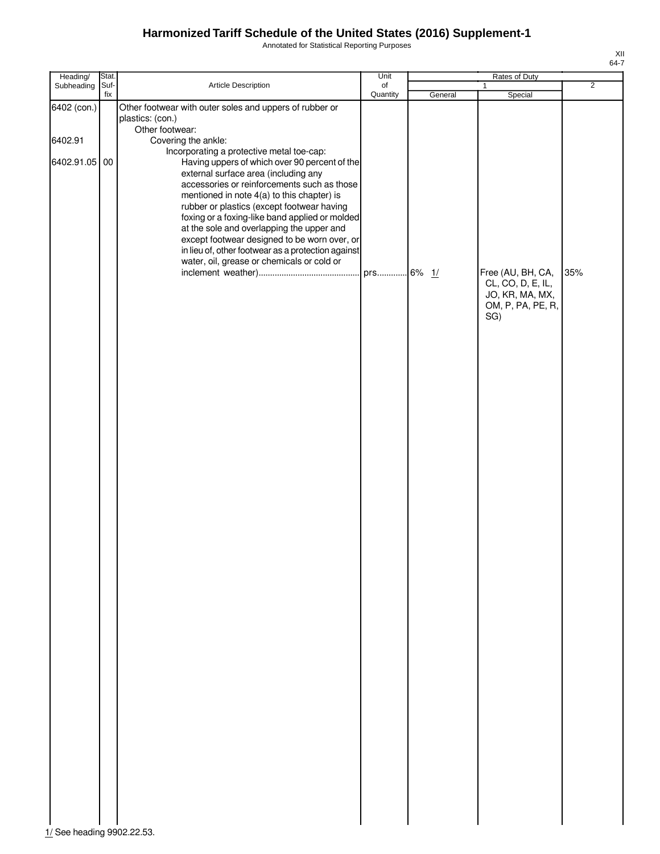Annotated for Statistical Reporting Purposes

| Heading/                                | Stat.       |                                                                                                                                                                                                                                                                                                                                                                                                                                                                                                                                                                                                                                                           | Unit           | Rates of Duty |                                                                                                  |                |
|-----------------------------------------|-------------|-----------------------------------------------------------------------------------------------------------------------------------------------------------------------------------------------------------------------------------------------------------------------------------------------------------------------------------------------------------------------------------------------------------------------------------------------------------------------------------------------------------------------------------------------------------------------------------------------------------------------------------------------------------|----------------|---------------|--------------------------------------------------------------------------------------------------|----------------|
| Subheading                              | Suf-<br>fix | Article Description                                                                                                                                                                                                                                                                                                                                                                                                                                                                                                                                                                                                                                       | of<br>Quantity |               | $\mathbf{1}$                                                                                     | $\overline{2}$ |
| 6402 (con.)<br>6402.91<br>6402.91.05 00 |             | Other footwear with outer soles and uppers of rubber or<br>plastics: (con.)<br>Other footwear:<br>Covering the ankle:<br>Incorporating a protective metal toe-cap:<br>Having uppers of which over 90 percent of the<br>external surface area (including any<br>accessories or reinforcements such as those<br>mentioned in note 4(a) to this chapter) is<br>rubber or plastics (except footwear having<br>foxing or a foxing-like band applied or molded<br>at the sole and overlapping the upper and<br>except footwear designed to be worn over, or<br>in lieu of, other footwear as a protection against<br>water, oil, grease or chemicals or cold or | prs 6% 1/      | General       | Special<br>Free (AU, BH, CA,<br>CL, CO, D, E, IL,<br>JO, KR, MA, MX,<br>OM, P, PA, PE, R,<br>SG) | 35%            |

 $\frac{1}{2}$ See heading 9902.22.53.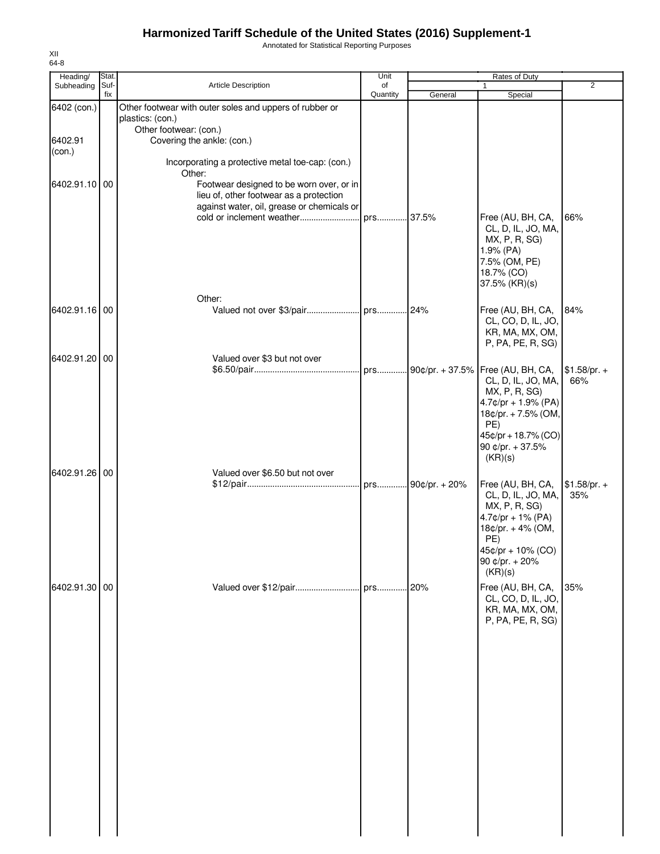Annotated for Statistical Reporting Purposes

| Heading/                         | Stat.       |                                                                                                                                                                                         | Unit           |         | Rates of Duty                                                                                                                                       |                      |
|----------------------------------|-------------|-----------------------------------------------------------------------------------------------------------------------------------------------------------------------------------------|----------------|---------|-----------------------------------------------------------------------------------------------------------------------------------------------------|----------------------|
| Subheading                       | Suf-<br>fix | Article Description                                                                                                                                                                     | of<br>Quantity | General | Special                                                                                                                                             | $\overline{2}$       |
| 6402 (con.)<br>6402.91<br>(con.) |             | Other footwear with outer soles and uppers of rubber or<br>plastics: (con.)<br>Other footwear: (con.)<br>Covering the ankle: (con.)<br>Incorporating a protective metal toe-cap: (con.) |                |         |                                                                                                                                                     |                      |
| 6402.91.10 00                    |             | Other:<br>Footwear designed to be worn over, or in<br>lieu of, other footwear as a protection<br>against water, oil, grease or chemicals or                                             |                |         |                                                                                                                                                     |                      |
|                                  |             | cold or inclement weather<br>Other:                                                                                                                                                     | prs            | .37.5%  | Free (AU, BH, CA,<br>CL, D, IL, JO, MA,<br>MX, P, R, SG)<br>1.9% (PA)<br>7.5% (OM, PE)<br>18.7% (CO)<br>37.5% (KR)(s)                               | 66%                  |
| 6402.91.16 00                    |             |                                                                                                                                                                                         |                |         | Free (AU, BH, CA,                                                                                                                                   | 84%                  |
|                                  |             |                                                                                                                                                                                         |                |         | CL, CO, D, IL, JO,<br>KR, MA, MX, OM,<br>P, PA, PE, R, SG)                                                                                          |                      |
| 6402.91.20 00                    |             | Valued over \$3 but not over                                                                                                                                                            |                |         | prs 90¢/pr. + 37.5% Free (AU, BH, CA,                                                                                                               |                      |
|                                  |             |                                                                                                                                                                                         |                |         | CL, D, IL, JO, MA,<br>MX, P, R, SG)<br>$4.7$ ¢/pr + 1.9% (PA)<br>18¢/pr. + 7.5% (OM,<br>PE)<br>45¢/pr + 18.7% (CO)<br>90 ¢/pr. + 37.5%<br>(KR)(s)   | $$1.58/pr. +$<br>66% |
| 6402.91.26 00                    |             | Valued over \$6.50 but not over                                                                                                                                                         |                |         | Free (AU, BH, CA,<br>CL, D, IL, JO, MA,<br>MX, P, R, SG)<br>$4.7$ ¢/pr + 1% (PA)<br>18¢/pr. + 4% (OM,<br>PE)<br>45¢/pr + 10% (CO)<br>90 ¢/pr. + 20% | $$1.58/pr. +$<br>35% |
|                                  |             |                                                                                                                                                                                         |                |         | (KR)(s)                                                                                                                                             |                      |
| 6402.91.30 00                    |             | Valued over \$12/pair                                                                                                                                                                   | . prs          | .20%    | Free (AU, BH, CA,<br>CL, CO, D, IL, JO,<br>KR, MA, MX, OM,<br>P, PA, PE, R, SG)                                                                     | 35%                  |
|                                  |             |                                                                                                                                                                                         |                |         |                                                                                                                                                     |                      |

XII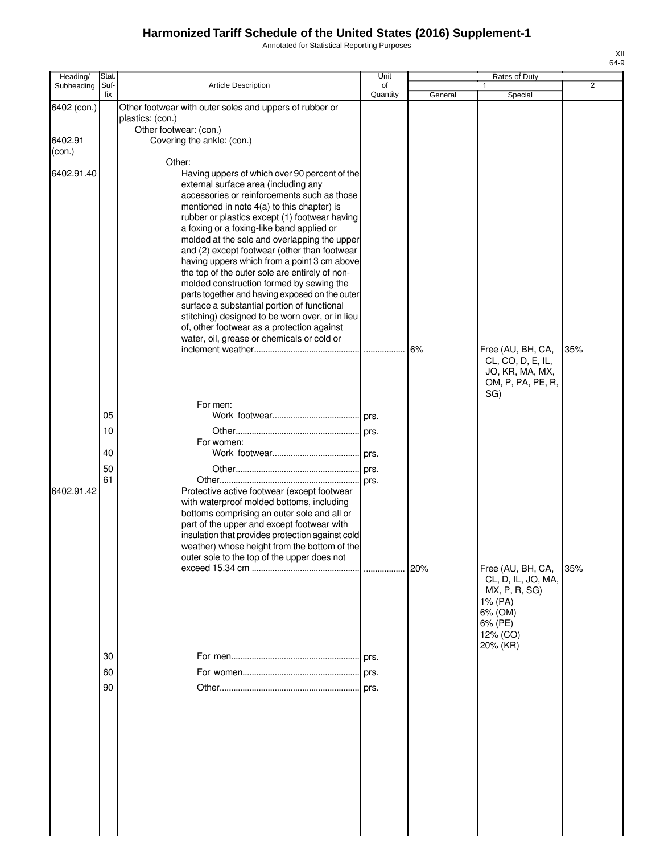Annotated for Statistical Reporting Purposes

| Heading/                         | Stat.                      |                                                                                                                                                                                                                                                                                                                                                                                                                                                                                                                                                                                                                                                                                                                                                                                         | Unit           |         | Rates of Duty                                                                        |                |
|----------------------------------|----------------------------|-----------------------------------------------------------------------------------------------------------------------------------------------------------------------------------------------------------------------------------------------------------------------------------------------------------------------------------------------------------------------------------------------------------------------------------------------------------------------------------------------------------------------------------------------------------------------------------------------------------------------------------------------------------------------------------------------------------------------------------------------------------------------------------------|----------------|---------|--------------------------------------------------------------------------------------|----------------|
| Subheading                       | Suf-<br>fix                | <b>Article Description</b>                                                                                                                                                                                                                                                                                                                                                                                                                                                                                                                                                                                                                                                                                                                                                              | of<br>Quantity | General | 1<br>Special                                                                         | $\overline{2}$ |
| 6402 (con.)<br>6402.91<br>(con.) |                            | Other footwear with outer soles and uppers of rubber or<br>plastics: (con.)<br>Other footwear: (con.)<br>Covering the ankle: (con.)                                                                                                                                                                                                                                                                                                                                                                                                                                                                                                                                                                                                                                                     |                |         |                                                                                      |                |
| 6402.91.40                       |                            | Other:<br>Having uppers of which over 90 percent of the<br>external surface area (including any<br>accessories or reinforcements such as those<br>mentioned in note 4(a) to this chapter) is<br>rubber or plastics except (1) footwear having<br>a foxing or a foxing-like band applied or<br>molded at the sole and overlapping the upper<br>and (2) except footwear (other than footwear<br>having uppers which from a point 3 cm above<br>the top of the outer sole are entirely of non-<br>molded construction formed by sewing the<br>parts together and having exposed on the outer<br>surface a substantial portion of functional<br>stitching) designed to be worn over, or in lieu<br>of, other footwear as a protection against<br>water, oil, grease or chemicals or cold or |                | 6%      | Free (AU, BH, CA,<br>CL, CO, D, E, IL,<br>JO, KR, MA, MX,                            | 35%            |
| 6402.91.42                       | 05<br>10<br>40<br>50<br>61 | For men:<br>For women:<br>Protective active footwear (except footwear<br>with waterproof molded bottoms, including<br>bottoms comprising an outer sole and all or<br>part of the upper and except footwear with<br>insulation that provides protection against cold<br>weather) whose height from the bottom of the<br>outer sole to the top of the upper does not                                                                                                                                                                                                                                                                                                                                                                                                                      | prs.           | 20%     | OM, P, PA, PE, R,<br>SG)<br>Free (AU, BH, CA,<br>CL, D, IL, JO, MA,<br>MX, P, R, SG) | 35%            |
|                                  | 30<br>60<br>90             |                                                                                                                                                                                                                                                                                                                                                                                                                                                                                                                                                                                                                                                                                                                                                                                         |                |         | 1% (PA)<br>6% (OM)<br>6% (PE)<br>12% (CO)<br>20% (KR)                                |                |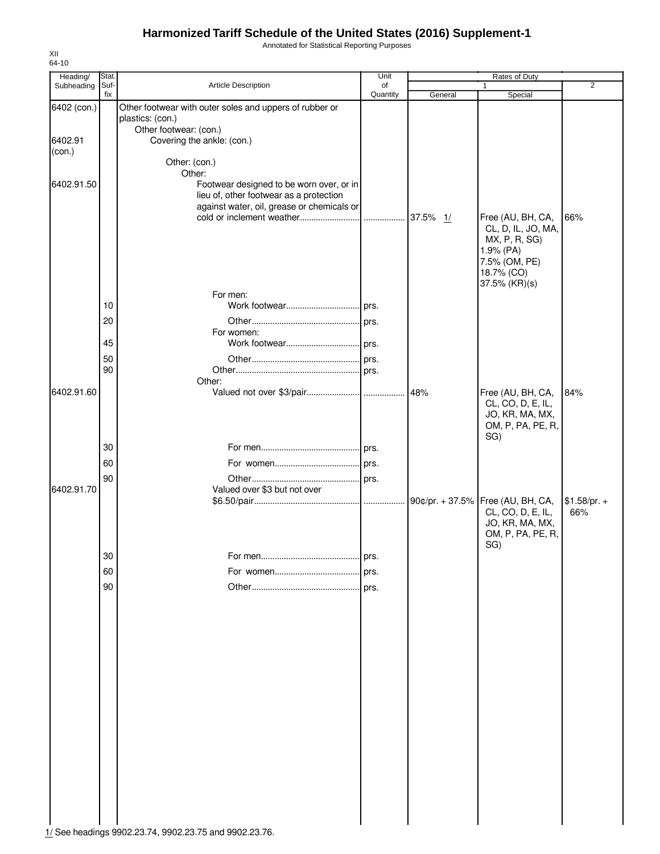Annotated for Statistical Reporting Purposes

| Heading/          | Stat.       |                                                                                                       | Unit           |          | Rates of Duty                                                                                         |                      |
|-------------------|-------------|-------------------------------------------------------------------------------------------------------|----------------|----------|-------------------------------------------------------------------------------------------------------|----------------------|
| Subheading        | Suf-<br>fix | Article Description                                                                                   | of<br>Quantity | General  | $\mathbf{1}$<br>Special                                                                               | $\overline{2}$       |
| 6402 (con.)       |             | Other footwear with outer soles and uppers of rubber or<br>plastics: (con.)<br>Other footwear: (con.) |                |          |                                                                                                       |                      |
| 6402.91<br>(con.) |             | Covering the ankle: (con.)                                                                            |                |          |                                                                                                       |                      |
|                   |             | Other: (con.)<br>Other:                                                                               |                |          |                                                                                                       |                      |
| 6402.91.50        |             | Footwear designed to be worn over, or in<br>lieu of, other footwear as a protection                   |                |          |                                                                                                       |                      |
|                   |             | against water, oil, grease or chemicals or                                                            |                | 37.5% 1/ | Free (AU, BH, CA,                                                                                     | 66%                  |
|                   |             |                                                                                                       |                |          | CL, D, IL, JO, MA,<br>MX, P, R, SG)<br>1.9% (PA)<br>7.5% (OM, PE)<br>18.7% (CO)<br>37.5% (KR)(s)      |                      |
|                   |             | For men:                                                                                              |                |          |                                                                                                       |                      |
|                   | 10          |                                                                                                       |                |          |                                                                                                       |                      |
|                   | 20          | For women:                                                                                            |                |          |                                                                                                       |                      |
|                   | 45          | Work footwear prs.                                                                                    |                |          |                                                                                                       |                      |
|                   | 50          |                                                                                                       |                |          |                                                                                                       |                      |
|                   | 90          |                                                                                                       |                |          |                                                                                                       |                      |
|                   |             | Other:                                                                                                |                |          |                                                                                                       |                      |
| 6402.91.60        |             |                                                                                                       |                | 48%      | Free (AU, BH, CA,<br>CL, CO, D, E, IL,<br>JO, KR, MA, MX,<br>OM, P, PA, PE, R,<br>SG)                 | 84%                  |
|                   | 30          |                                                                                                       |                |          |                                                                                                       |                      |
|                   | 60          |                                                                                                       |                |          |                                                                                                       |                      |
|                   | 90          |                                                                                                       |                |          |                                                                                                       |                      |
| 6402.91.70        |             | Valued over \$3 but not over                                                                          |                |          |                                                                                                       |                      |
|                   |             |                                                                                                       |                |          | 90¢/pr. + 37.5% Free (AU, BH, CA,<br>CL, CO, D, E, IL,<br>JO, KR, MA, MX,<br>OM, P, PA, PE, R,<br>SG) | $$1.58/pr. +$<br>66% |
|                   | 30          |                                                                                                       | prs.           |          |                                                                                                       |                      |
|                   | 60          |                                                                                                       |                |          |                                                                                                       |                      |
|                   | 90          |                                                                                                       | prs.           |          |                                                                                                       |                      |
|                   |             |                                                                                                       |                |          |                                                                                                       |                      |
|                   |             |                                                                                                       |                |          |                                                                                                       |                      |
|                   |             |                                                                                                       |                |          |                                                                                                       |                      |
|                   |             |                                                                                                       |                |          |                                                                                                       |                      |
|                   |             |                                                                                                       |                |          |                                                                                                       |                      |
|                   |             |                                                                                                       |                |          |                                                                                                       |                      |
|                   |             |                                                                                                       |                |          |                                                                                                       |                      |
|                   |             |                                                                                                       |                |          |                                                                                                       |                      |

XII 64-10

1/ See headings 9902.23.74, 9902.23.75 and 9902.23.76.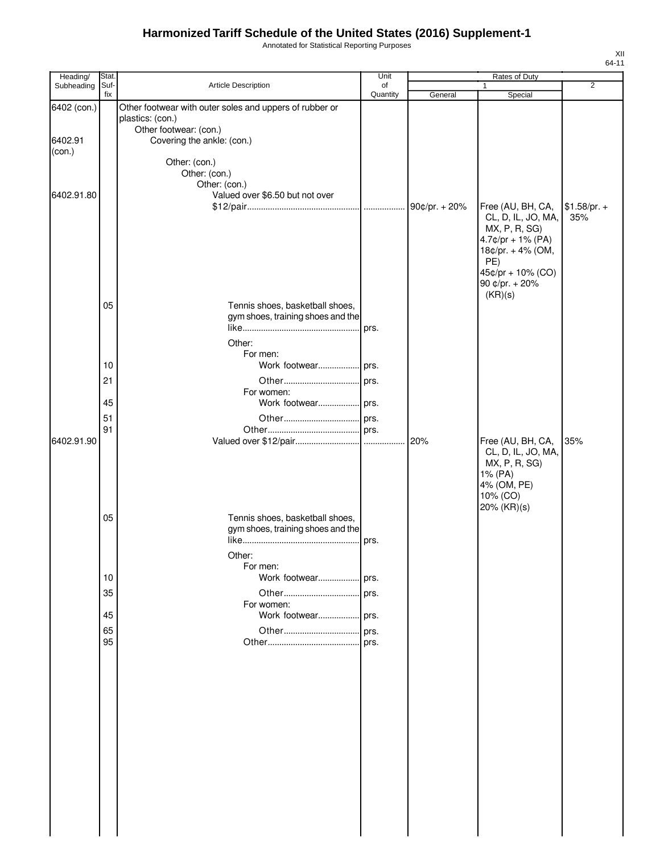Annotated for Statistical Reporting Purposes

| Heading/    | Stat.       |                                                         | Unit           |         | Rates of Duty             |                |
|-------------|-------------|---------------------------------------------------------|----------------|---------|---------------------------|----------------|
| Subheading  | Suf-<br>fix | Article Description                                     | of<br>Quantity |         | 1                         | $\overline{2}$ |
| 6402 (con.) |             | Other footwear with outer soles and uppers of rubber or |                | General | Special                   |                |
|             |             | plastics: (con.)                                        |                |         |                           |                |
|             |             | Other footwear: (con.)                                  |                |         |                           |                |
| 6402.91     |             | Covering the ankle: (con.)                              |                |         |                           |                |
| (con.)      |             |                                                         |                |         |                           |                |
|             |             | Other: (con.)                                           |                |         |                           |                |
|             |             | Other: (con.)                                           |                |         |                           |                |
| 6402.91.80  |             | Other: (con.)<br>Valued over \$6.50 but not over        |                |         |                           |                |
|             |             |                                                         |                |         | Free (AU, BH, CA,         | $$1.58/pr. +$  |
|             |             |                                                         |                |         | CL, D, IL, JO, MA,        | 35%            |
|             |             |                                                         |                |         | MX, P, R, SG)             |                |
|             |             |                                                         |                |         | $4.7$ ¢/pr + 1% (PA)      |                |
|             |             |                                                         |                |         | 18¢/pr. + 4% (OM,         |                |
|             |             |                                                         |                |         | PE)                       |                |
|             |             |                                                         |                |         | 45¢/pr + 10% (CO)         |                |
|             |             |                                                         |                |         | 90 ¢/pr. + 20%<br>(KR)(s) |                |
|             | 05          | Tennis shoes, basketball shoes,                         |                |         |                           |                |
|             |             | gym shoes, training shoes and the                       |                |         |                           |                |
|             |             |                                                         | prs.           |         |                           |                |
|             |             | Other:                                                  |                |         |                           |                |
|             |             | For men:                                                |                |         |                           |                |
|             | 10          | Work footwear prs.                                      |                |         |                           |                |
|             | 21          |                                                         |                |         |                           |                |
|             |             | For women:                                              |                |         |                           |                |
|             | 45          | Work footwear prs.                                      |                |         |                           |                |
|             | 51          |                                                         |                |         |                           |                |
|             | 91          |                                                         |                |         |                           |                |
| 6402.91.90  |             |                                                         |                |         | Free (AU, BH, CA,         | 35%            |
|             |             |                                                         |                |         | CL, D, IL, JO, MA,        |                |
|             |             |                                                         |                |         | MX, P, R, SG)             |                |
|             |             |                                                         |                |         | 1% (PA)                   |                |
|             |             |                                                         |                |         | 4% (OM, PE)               |                |
|             |             |                                                         |                |         | 10% (CO)<br>20% (KR)(s)   |                |
|             | 05          | Tennis shoes, basketball shoes,                         |                |         |                           |                |
|             |             | gym shoes, training shoes and the                       |                |         |                           |                |
|             |             |                                                         | prs.           |         |                           |                |
|             |             | Other:                                                  |                |         |                           |                |
|             |             | For men:                                                |                |         |                           |                |
|             | 10          |                                                         |                |         |                           |                |
|             | 35          | Other                                                   | prs.           |         |                           |                |
|             |             | For women:                                              |                |         |                           |                |
|             | 45          | Work footwear prs.                                      |                |         |                           |                |
|             | 65          | Other                                                   | prs.           |         |                           |                |
|             | 95          |                                                         | prs.           |         |                           |                |
|             |             |                                                         |                |         |                           |                |
|             |             |                                                         |                |         |                           |                |
|             |             |                                                         |                |         |                           |                |
|             |             |                                                         |                |         |                           |                |
|             |             |                                                         |                |         |                           |                |
|             |             |                                                         |                |         |                           |                |
|             |             |                                                         |                |         |                           |                |
|             |             |                                                         |                |         |                           |                |
|             |             |                                                         |                |         |                           |                |
|             |             |                                                         |                |         |                           |                |
|             |             |                                                         |                |         |                           |                |
|             |             |                                                         |                |         |                           |                |
|             |             |                                                         |                |         |                           |                |
|             |             |                                                         |                |         |                           |                |
|             |             |                                                         |                |         |                           |                |
|             |             |                                                         |                |         |                           |                |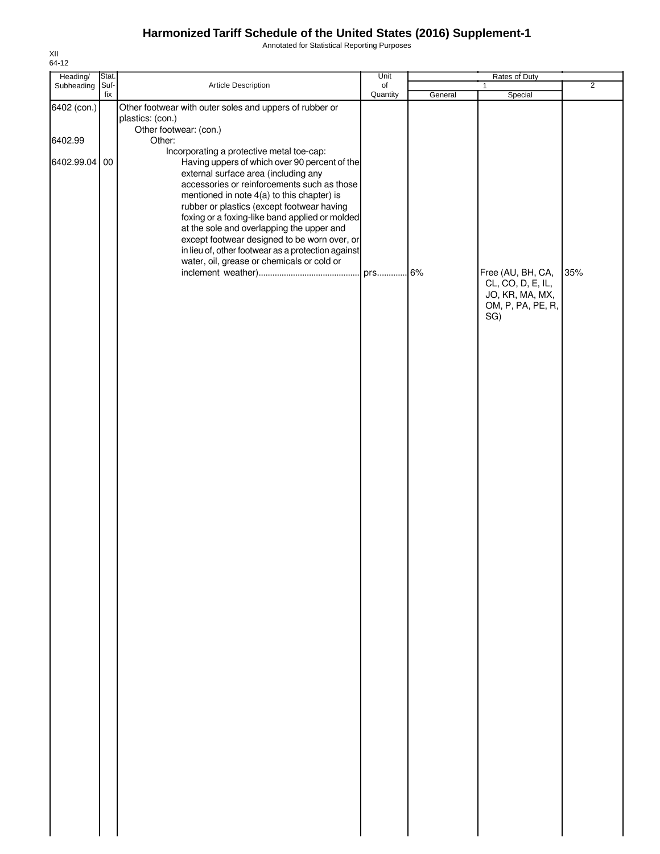Annotated for Statistical Reporting Purposes

| Heading/                             | Stat.         |                                                                                                                                                                                                                                                                                                                                                                                                  | Unit     | Rates of Duty |                                                                                       |                |
|--------------------------------------|---------------|--------------------------------------------------------------------------------------------------------------------------------------------------------------------------------------------------------------------------------------------------------------------------------------------------------------------------------------------------------------------------------------------------|----------|---------------|---------------------------------------------------------------------------------------|----------------|
| Subheading                           | Suf-          | Article Description                                                                                                                                                                                                                                                                                                                                                                              | of       |               | $\mathbf{1}$                                                                          | $\overline{2}$ |
| 6402 (con.)<br>6402.99<br>6402.99.04 | fix<br>$00\,$ | Other footwear with outer soles and uppers of rubber or<br>plastics: (con.)<br>Other footwear: (con.)<br>Other:<br>Incorporating a protective metal toe-cap:<br>Having uppers of which over 90 percent of the<br>external surface area (including any<br>accessories or reinforcements such as those<br>mentioned in note 4(a) to this chapter) is<br>rubber or plastics (except footwear having | Quantity | General       | Special                                                                               |                |
|                                      |               | foxing or a foxing-like band applied or molded<br>at the sole and overlapping the upper and<br>except footwear designed to be worn over, or<br>in lieu of, other footwear as a protection against<br>water, oil, grease or chemicals or cold or                                                                                                                                                  | prs 6%   |               | Free (AU, BH, CA,<br>CL, CO, D, E, IL,<br>JO, KR, MA, MX,<br>OM, P, PA, PE, R,<br>SG) | 35%            |
|                                      |               |                                                                                                                                                                                                                                                                                                                                                                                                  |          |               |                                                                                       |                |
|                                      |               |                                                                                                                                                                                                                                                                                                                                                                                                  |          |               |                                                                                       |                |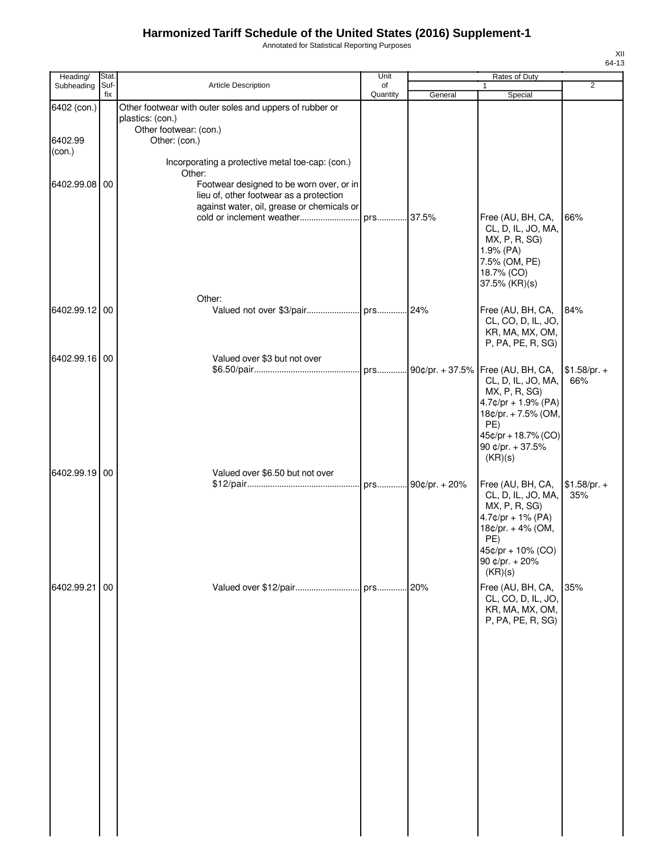Annotated for Statistical Reporting Purposes

| Heading/          | Stat.       |                                                                                                        | Unit           |                 | Rates of Duty                                                                                                                                                  |                      |
|-------------------|-------------|--------------------------------------------------------------------------------------------------------|----------------|-----------------|----------------------------------------------------------------------------------------------------------------------------------------------------------------|----------------------|
| Subheading        | Suf-<br>fix | Article Description                                                                                    | of<br>Quantity | General         | $\mathbf{1}$<br>Special                                                                                                                                        | $\overline{2}$       |
| 6402 (con.)       |             | Other footwear with outer soles and uppers of rubber or<br>plastics: (con.)                            |                |                 |                                                                                                                                                                |                      |
| 6402.99<br>(con.) |             | Other footwear: (con.)<br>Other: (con.)                                                                |                |                 |                                                                                                                                                                |                      |
| 6402.99.08 00     |             | Incorporating a protective metal toe-cap: (con.)<br>Other:<br>Footwear designed to be worn over, or in |                |                 |                                                                                                                                                                |                      |
|                   |             | lieu of, other footwear as a protection<br>against water, oil, grease or chemicals or                  | prs 37.5%      |                 |                                                                                                                                                                |                      |
|                   |             | cold or inclement weather<br>Other:                                                                    |                |                 | Free (AU, BH, CA,<br>CL, D, IL, JO, MA,<br>MX, P, R, SG)<br>1.9% (PA)<br>7.5% (OM, PE)<br>18.7% (CO)<br>37.5% (KR)(s)                                          | 66%                  |
| 6402.99.12 00     |             |                                                                                                        |                |                 | Free (AU, BH, CA,<br>CL, CO, D, IL, JO,<br>KR, MA, MX, OM,<br>P, PA, PE, R, SG)                                                                                | 84%                  |
| 6402.99.16 00     |             | Valued over \$3 but not over                                                                           |                |                 |                                                                                                                                                                |                      |
|                   |             |                                                                                                        |                |                 | CL, D, IL, JO, MA,<br>MX, P, R, SG)<br>4.7¢/pr + 1.9% (PA)<br>18¢/pr. + 7.5% (OM,<br>PE)<br>45¢/pr + 18.7% (CO)<br>90 ¢/pr. + 37.5%<br>(KR)(s)                 | $$1.58/pr. +$<br>66% |
| 6402.99.19        | 00          | Valued over \$6.50 but not over                                                                        | prs            | 90¢/pr. $+ 20%$ | Free (AU, BH, CA,<br>CL, D, IL, JO, MA,<br>MX, P, R, SG)<br>$4.7$ ¢/pr + 1% (PA)<br>18¢/pr. + 4% (OM,<br>PE)<br>45¢/pr + 10% (CO)<br>90 ¢/pr. + 20%<br>(KR)(s) | $$1.58/pr. +$<br>35% |
| 6402.99.21        | 00          | Valued over \$12/pair                                                                                  | prs            | 20%             | Free (AU, BH, CA,<br>CL, CO, D, IL, JO,<br>KR, MA, MX, OM,<br>P, PA, PE, R, SG)                                                                                | 35%                  |
|                   |             |                                                                                                        |                |                 |                                                                                                                                                                |                      |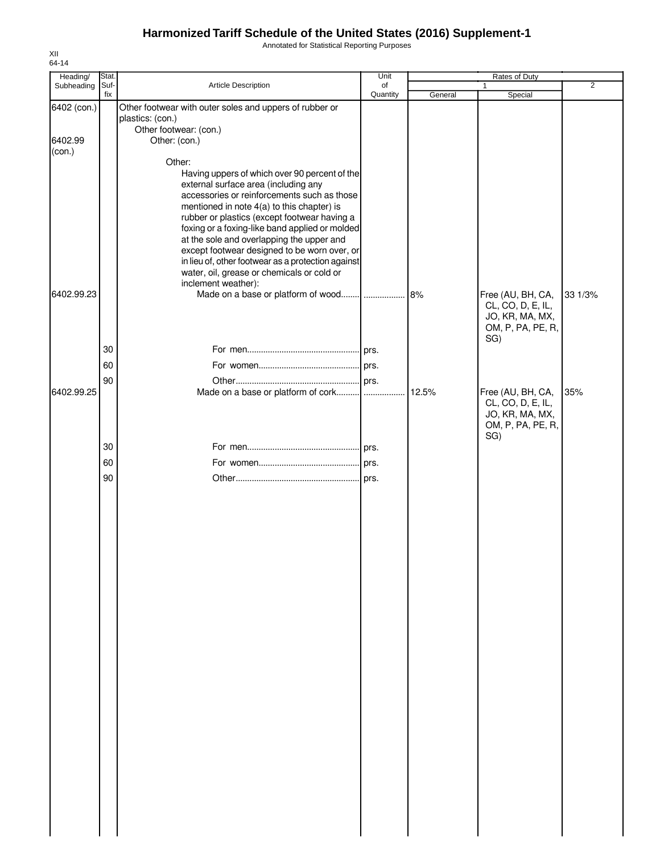Annotated for Statistical Reporting Purposes

| Heading/          | Stat.       |                                                                                                    | Unit           |         | Rates of Duty                                             |         |
|-------------------|-------------|----------------------------------------------------------------------------------------------------|----------------|---------|-----------------------------------------------------------|---------|
| Subheading        | Suf-<br>fix | Article Description                                                                                | of<br>Quantity | General | 1<br>Special                                              | 2       |
| 6402 (con.)       |             | Other footwear with outer soles and uppers of rubber or<br>plastics: (con.)                        |                |         |                                                           |         |
| 6402.99<br>(con.) |             | Other footwear: (con.)<br>Other: (con.)                                                            |                |         |                                                           |         |
|                   |             | Other:                                                                                             |                |         |                                                           |         |
|                   |             | Having uppers of which over 90 percent of the<br>external surface area (including any              |                |         |                                                           |         |
|                   |             | accessories or reinforcements such as those<br>mentioned in note 4(a) to this chapter) is          |                |         |                                                           |         |
|                   |             | rubber or plastics (except footwear having a                                                       |                |         |                                                           |         |
|                   |             | foxing or a foxing-like band applied or molded<br>at the sole and overlapping the upper and        |                |         |                                                           |         |
|                   |             | except footwear designed to be worn over, or<br>in lieu of, other footwear as a protection against |                |         |                                                           |         |
|                   |             | water, oil, grease or chemicals or cold or                                                         |                |         |                                                           |         |
| 6402.99.23        |             | inclement weather):                                                                                |                | 8%      | Free (AU, BH, CA,                                         | 33 1/3% |
|                   |             |                                                                                                    |                |         | CL, CO, D, E, IL,<br>JO, KR, MA, MX,                      |         |
|                   |             |                                                                                                    |                |         | OM, P, PA, PE, R,                                         |         |
|                   | 30          |                                                                                                    |                |         | SG)                                                       |         |
|                   | 60          |                                                                                                    |                |         |                                                           |         |
|                   | 90          |                                                                                                    |                |         |                                                           |         |
| 6402.99.25        |             |                                                                                                    |                | 12.5%   | Free (AU, BH, CA,<br>CL, CO, D, E, IL,<br>JO, KR, MA, MX, | 35%     |
|                   |             |                                                                                                    |                |         | OM, P, PA, PE, R,<br>SG)                                  |         |
|                   | 30          |                                                                                                    |                |         |                                                           |         |
|                   | 60          |                                                                                                    |                |         |                                                           |         |
|                   | 90          |                                                                                                    |                |         |                                                           |         |
|                   |             |                                                                                                    |                |         |                                                           |         |
|                   |             |                                                                                                    |                |         |                                                           |         |
|                   |             |                                                                                                    |                |         |                                                           |         |
|                   |             |                                                                                                    |                |         |                                                           |         |
|                   |             |                                                                                                    |                |         |                                                           |         |
|                   |             |                                                                                                    |                |         |                                                           |         |
|                   |             |                                                                                                    |                |         |                                                           |         |
|                   |             |                                                                                                    |                |         |                                                           |         |
|                   |             |                                                                                                    |                |         |                                                           |         |
|                   |             |                                                                                                    |                |         |                                                           |         |
|                   |             |                                                                                                    |                |         |                                                           |         |
|                   |             |                                                                                                    |                |         |                                                           |         |
|                   |             |                                                                                                    |                |         |                                                           |         |
|                   |             |                                                                                                    |                |         |                                                           |         |
|                   |             |                                                                                                    |                |         |                                                           |         |
|                   |             |                                                                                                    |                |         |                                                           |         |
|                   |             |                                                                                                    |                |         |                                                           |         |
|                   |             |                                                                                                    |                |         |                                                           |         |
|                   |             |                                                                                                    |                |         |                                                           |         |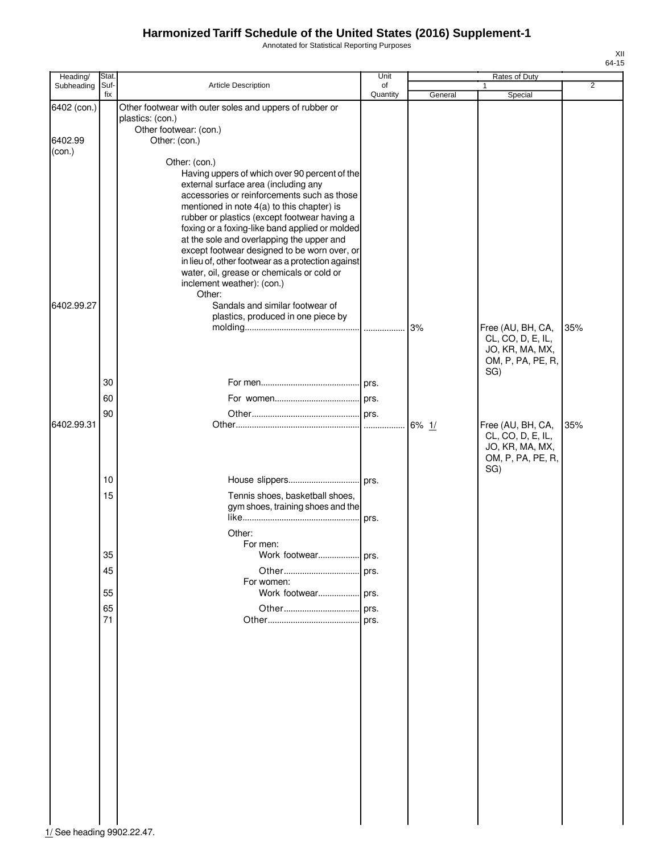Annotated for Statistical Reporting Purposes

| Heading/          | Stat.       |                                                                                                                                                                                                                                                                                         | Unit           |         | Rates of Duty                                                                  |     |
|-------------------|-------------|-----------------------------------------------------------------------------------------------------------------------------------------------------------------------------------------------------------------------------------------------------------------------------------------|----------------|---------|--------------------------------------------------------------------------------|-----|
| Subheading        | Suf-<br>fix | Article Description                                                                                                                                                                                                                                                                     | of<br>Quantity | General | $\mathbf{1}$<br>Special                                                        | 2   |
| 6402 (con.)       |             | Other footwear with outer soles and uppers of rubber or<br>plastics: (con.)                                                                                                                                                                                                             |                |         |                                                                                |     |
| 6402.99<br>(con.) |             | Other footwear: (con.)<br>Other: (con.)                                                                                                                                                                                                                                                 |                |         |                                                                                |     |
|                   |             | Other: (con.)<br>Having uppers of which over 90 percent of the<br>external surface area (including any<br>accessories or reinforcements such as those<br>mentioned in note 4(a) to this chapter) is<br>rubber or plastics (except footwear having a                                     |                |         |                                                                                |     |
|                   |             | foxing or a foxing-like band applied or molded<br>at the sole and overlapping the upper and<br>except footwear designed to be worn over, or<br>in lieu of, other footwear as a protection against<br>water, oil, grease or chemicals or cold or<br>inclement weather): (con.)<br>Other: |                |         |                                                                                |     |
| 6402.99.27        |             | Sandals and similar footwear of<br>plastics, produced in one piece by                                                                                                                                                                                                                   |                | 3%      | Free (AU, BH, CA,<br>CL, CO, D, E, IL,<br>JO, KR, MA, MX,                      | 35% |
|                   | 30          |                                                                                                                                                                                                                                                                                         |                |         | OM, P, PA, PE, R,<br>SG)                                                       |     |
|                   | 60          |                                                                                                                                                                                                                                                                                         |                |         |                                                                                |     |
|                   | 90          |                                                                                                                                                                                                                                                                                         |                |         |                                                                                |     |
| 6402.99.31        |             |                                                                                                                                                                                                                                                                                         |                |         | Free (AU, BH, CA,<br>CL, CO, D, E, IL,<br>JO, KR, MA, MX,<br>OM, P, PA, PE, R, | 35% |
|                   | 10          | House slippers prs.                                                                                                                                                                                                                                                                     |                |         | SG)                                                                            |     |
|                   | 15          | Tennis shoes, basketball shoes,<br>gym shoes, training shoes and the                                                                                                                                                                                                                    | prs.           |         |                                                                                |     |
|                   |             | Other:<br>For men:                                                                                                                                                                                                                                                                      |                |         |                                                                                |     |
|                   | 35          | Work footwear prs.                                                                                                                                                                                                                                                                      |                |         |                                                                                |     |
|                   | 45          |                                                                                                                                                                                                                                                                                         |                |         |                                                                                |     |
|                   | 55          | For women:<br>Work footwear prs.                                                                                                                                                                                                                                                        |                |         |                                                                                |     |
|                   | 65          |                                                                                                                                                                                                                                                                                         |                |         |                                                                                |     |
|                   | 71          |                                                                                                                                                                                                                                                                                         |                |         |                                                                                |     |
|                   |             |                                                                                                                                                                                                                                                                                         |                |         |                                                                                |     |
|                   |             |                                                                                                                                                                                                                                                                                         |                |         |                                                                                |     |
|                   |             |                                                                                                                                                                                                                                                                                         |                |         |                                                                                |     |
|                   |             |                                                                                                                                                                                                                                                                                         |                |         |                                                                                |     |
|                   |             |                                                                                                                                                                                                                                                                                         |                |         |                                                                                |     |
|                   |             |                                                                                                                                                                                                                                                                                         |                |         |                                                                                |     |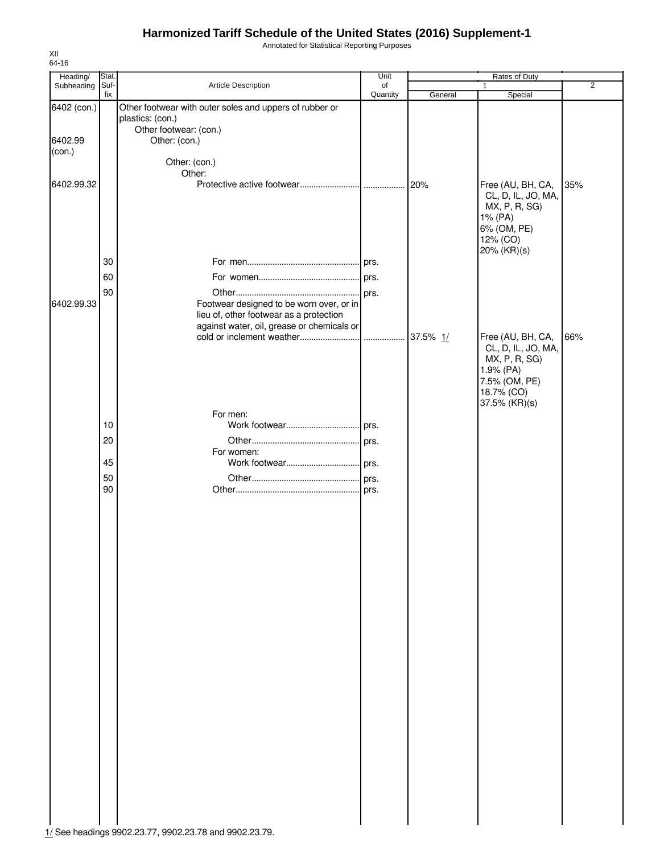Annotated for Statistical Reporting Purposes

| Suf-<br>fix<br>Quantity<br>General<br>Special<br>6402 (con.)<br>Other footwear with outer soles and uppers of rubber or<br>plastics: (con.)<br>Other footwear: (con.)<br>6402.99<br>Other: (con.)<br>(con.)<br>Other: (con.)<br>Other:<br>6402.99.32<br>20%<br>Free (AU, BH, CA,<br>35%<br>CL, D, IL, JO, MA,<br>MX, P, R, SG)<br>1% (PA)<br>6% (OM, PE)<br>12% (CO)<br>20% (KR)(s)<br>30<br>60<br>90<br>Footwear designed to be worn over, or in<br>6402.99.33<br>lieu of, other footwear as a protection<br>against water, oil, grease or chemicals or<br>37.5% 1/<br>66%<br>Free (AU, BH, CA,<br>CL, D, IL, JO, MA,<br>MX, P, R, SG)<br>1.9% (PA)<br>7.5% (OM, PE)<br>18.7% (CO)<br>37.5% (KR)(s)<br>For men:<br>10<br>20<br>For women:<br>45<br>50<br>90 | Heading/   | Stat. |                     | Unit | Rates of Duty |                |
|--------------------------------------------------------------------------------------------------------------------------------------------------------------------------------------------------------------------------------------------------------------------------------------------------------------------------------------------------------------------------------------------------------------------------------------------------------------------------------------------------------------------------------------------------------------------------------------------------------------------------------------------------------------------------------------------------------------------------------------------------------------|------------|-------|---------------------|------|---------------|----------------|
|                                                                                                                                                                                                                                                                                                                                                                                                                                                                                                                                                                                                                                                                                                                                                              | Subheading |       | Article Description | of   | 1             | $\overline{2}$ |
|                                                                                                                                                                                                                                                                                                                                                                                                                                                                                                                                                                                                                                                                                                                                                              |            |       |                     |      |               |                |
|                                                                                                                                                                                                                                                                                                                                                                                                                                                                                                                                                                                                                                                                                                                                                              |            |       |                     |      |               |                |
|                                                                                                                                                                                                                                                                                                                                                                                                                                                                                                                                                                                                                                                                                                                                                              |            |       |                     |      |               |                |
|                                                                                                                                                                                                                                                                                                                                                                                                                                                                                                                                                                                                                                                                                                                                                              |            |       |                     |      |               |                |
|                                                                                                                                                                                                                                                                                                                                                                                                                                                                                                                                                                                                                                                                                                                                                              |            |       |                     |      |               |                |
|                                                                                                                                                                                                                                                                                                                                                                                                                                                                                                                                                                                                                                                                                                                                                              |            |       |                     |      |               |                |
|                                                                                                                                                                                                                                                                                                                                                                                                                                                                                                                                                                                                                                                                                                                                                              |            |       |                     |      |               |                |
|                                                                                                                                                                                                                                                                                                                                                                                                                                                                                                                                                                                                                                                                                                                                                              |            |       |                     |      |               |                |
|                                                                                                                                                                                                                                                                                                                                                                                                                                                                                                                                                                                                                                                                                                                                                              |            |       |                     |      |               |                |
|                                                                                                                                                                                                                                                                                                                                                                                                                                                                                                                                                                                                                                                                                                                                                              |            |       |                     |      |               |                |
|                                                                                                                                                                                                                                                                                                                                                                                                                                                                                                                                                                                                                                                                                                                                                              |            |       |                     |      |               |                |
|                                                                                                                                                                                                                                                                                                                                                                                                                                                                                                                                                                                                                                                                                                                                                              |            |       |                     |      |               |                |
|                                                                                                                                                                                                                                                                                                                                                                                                                                                                                                                                                                                                                                                                                                                                                              |            |       |                     |      |               |                |
|                                                                                                                                                                                                                                                                                                                                                                                                                                                                                                                                                                                                                                                                                                                                                              |            |       |                     |      |               |                |
|                                                                                                                                                                                                                                                                                                                                                                                                                                                                                                                                                                                                                                                                                                                                                              |            |       |                     |      |               |                |
|                                                                                                                                                                                                                                                                                                                                                                                                                                                                                                                                                                                                                                                                                                                                                              |            |       |                     |      |               |                |
|                                                                                                                                                                                                                                                                                                                                                                                                                                                                                                                                                                                                                                                                                                                                                              |            |       |                     |      |               |                |
|                                                                                                                                                                                                                                                                                                                                                                                                                                                                                                                                                                                                                                                                                                                                                              |            |       |                     |      |               |                |
|                                                                                                                                                                                                                                                                                                                                                                                                                                                                                                                                                                                                                                                                                                                                                              |            |       |                     |      |               |                |
|                                                                                                                                                                                                                                                                                                                                                                                                                                                                                                                                                                                                                                                                                                                                                              |            |       |                     |      |               |                |
|                                                                                                                                                                                                                                                                                                                                                                                                                                                                                                                                                                                                                                                                                                                                                              |            |       |                     |      |               |                |
|                                                                                                                                                                                                                                                                                                                                                                                                                                                                                                                                                                                                                                                                                                                                                              |            |       |                     |      |               |                |
|                                                                                                                                                                                                                                                                                                                                                                                                                                                                                                                                                                                                                                                                                                                                                              |            |       |                     |      |               |                |
|                                                                                                                                                                                                                                                                                                                                                                                                                                                                                                                                                                                                                                                                                                                                                              |            |       |                     |      |               |                |
|                                                                                                                                                                                                                                                                                                                                                                                                                                                                                                                                                                                                                                                                                                                                                              |            |       |                     |      |               |                |
|                                                                                                                                                                                                                                                                                                                                                                                                                                                                                                                                                                                                                                                                                                                                                              |            |       |                     |      |               |                |
|                                                                                                                                                                                                                                                                                                                                                                                                                                                                                                                                                                                                                                                                                                                                                              |            |       |                     |      |               |                |
|                                                                                                                                                                                                                                                                                                                                                                                                                                                                                                                                                                                                                                                                                                                                                              |            |       |                     |      |               |                |
|                                                                                                                                                                                                                                                                                                                                                                                                                                                                                                                                                                                                                                                                                                                                                              |            |       |                     |      |               |                |
|                                                                                                                                                                                                                                                                                                                                                                                                                                                                                                                                                                                                                                                                                                                                                              |            |       |                     |      |               |                |
|                                                                                                                                                                                                                                                                                                                                                                                                                                                                                                                                                                                                                                                                                                                                                              |            |       |                     |      |               |                |
|                                                                                                                                                                                                                                                                                                                                                                                                                                                                                                                                                                                                                                                                                                                                                              |            |       |                     |      |               |                |
|                                                                                                                                                                                                                                                                                                                                                                                                                                                                                                                                                                                                                                                                                                                                                              |            |       |                     |      |               |                |
|                                                                                                                                                                                                                                                                                                                                                                                                                                                                                                                                                                                                                                                                                                                                                              |            |       |                     |      |               |                |
|                                                                                                                                                                                                                                                                                                                                                                                                                                                                                                                                                                                                                                                                                                                                                              |            |       |                     |      |               |                |
|                                                                                                                                                                                                                                                                                                                                                                                                                                                                                                                                                                                                                                                                                                                                                              |            |       |                     |      |               |                |
| 0.0000070                                                                                                                                                                                                                                                                                                                                                                                                                                                                                                                                                                                                                                                                                                                                                    |            |       |                     |      |               |                |

XII 64-16

1/ See headings 9902.23.77, 9902.23.78 and 9902.23.79.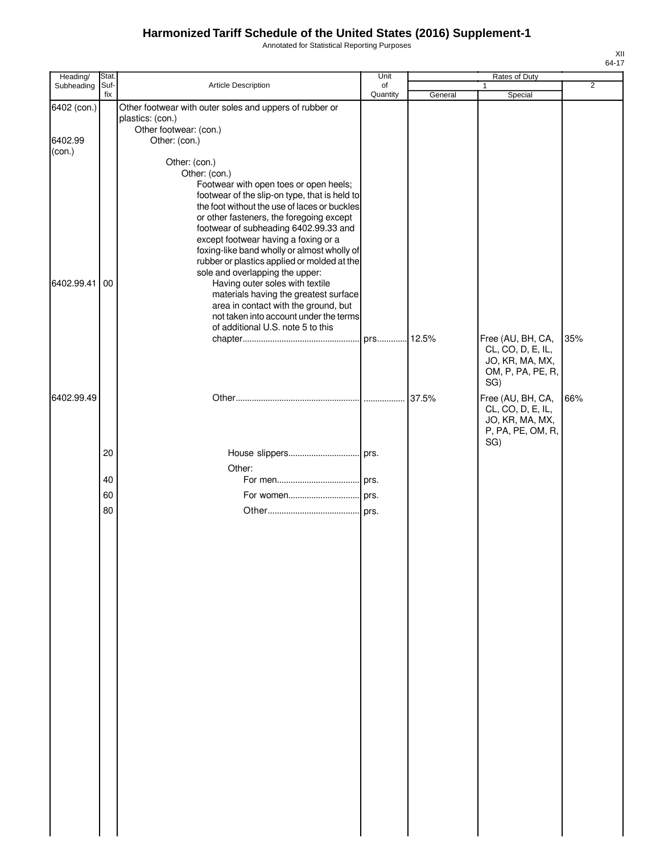Annotated for Statistical Reporting Purposes

| Heading/          | Stat.           |                                                                                                                                                                                                                                                                                                                                                                                                                                                                                                               | Unit           |         | Rates of Duty                                                                         |                |
|-------------------|-----------------|---------------------------------------------------------------------------------------------------------------------------------------------------------------------------------------------------------------------------------------------------------------------------------------------------------------------------------------------------------------------------------------------------------------------------------------------------------------------------------------------------------------|----------------|---------|---------------------------------------------------------------------------------------|----------------|
| Subheading        | Suf-<br>fix     | Article Description                                                                                                                                                                                                                                                                                                                                                                                                                                                                                           | of<br>Quantity | General | 1<br>Special                                                                          | $\overline{2}$ |
| 6402 (con.)       |                 | Other footwear with outer soles and uppers of rubber or<br>plastics: (con.)<br>Other footwear: (con.)                                                                                                                                                                                                                                                                                                                                                                                                         |                |         |                                                                                       |                |
| 6402.99<br>(con.) |                 | Other: (con.)<br>Other: (con.)<br>Other: (con.)<br>Footwear with open toes or open heels;<br>footwear of the slip-on type, that is held to                                                                                                                                                                                                                                                                                                                                                                    |                |         |                                                                                       |                |
| 6402.99.41        | $\overline{00}$ | the foot without the use of laces or buckles<br>or other fasteners, the foregoing except<br>footwear of subheading 6402.99.33 and<br>except footwear having a foxing or a<br>foxing-like band wholly or almost wholly of<br>rubber or plastics applied or molded at the<br>sole and overlapping the upper:<br>Having outer soles with textile<br>materials having the greatest surface<br>area in contact with the ground, but<br>not taken into account under the terms<br>of additional U.S. note 5 to this |                |         | Free (AU, BH, CA,                                                                     | 35%            |
|                   |                 |                                                                                                                                                                                                                                                                                                                                                                                                                                                                                                               |                |         | CL, CO, D, E, IL,<br>JO, KR, MA, MX,<br>OM, P, PA, PE, R,<br>SG)                      |                |
| 6402.99.49        |                 |                                                                                                                                                                                                                                                                                                                                                                                                                                                                                                               |                | 37.5%   | Free (AU, BH, CA,<br>CL, CO, D, E, IL,<br>JO, KR, MA, MX,<br>P, PA, PE, OM, R,<br>SG) | 66%            |
|                   | 20              | Other:                                                                                                                                                                                                                                                                                                                                                                                                                                                                                                        |                |         |                                                                                       |                |
|                   | 40              |                                                                                                                                                                                                                                                                                                                                                                                                                                                                                                               |                |         |                                                                                       |                |
|                   | 60              |                                                                                                                                                                                                                                                                                                                                                                                                                                                                                                               |                |         |                                                                                       |                |
|                   | 80              |                                                                                                                                                                                                                                                                                                                                                                                                                                                                                                               |                |         |                                                                                       |                |
|                   |                 |                                                                                                                                                                                                                                                                                                                                                                                                                                                                                                               |                |         |                                                                                       |                |
|                   |                 |                                                                                                                                                                                                                                                                                                                                                                                                                                                                                                               |                |         |                                                                                       |                |
|                   |                 |                                                                                                                                                                                                                                                                                                                                                                                                                                                                                                               |                |         |                                                                                       |                |
|                   |                 |                                                                                                                                                                                                                                                                                                                                                                                                                                                                                                               |                |         |                                                                                       |                |
|                   |                 |                                                                                                                                                                                                                                                                                                                                                                                                                                                                                                               |                |         |                                                                                       |                |
|                   |                 |                                                                                                                                                                                                                                                                                                                                                                                                                                                                                                               |                |         |                                                                                       |                |
|                   |                 |                                                                                                                                                                                                                                                                                                                                                                                                                                                                                                               |                |         |                                                                                       |                |
|                   |                 |                                                                                                                                                                                                                                                                                                                                                                                                                                                                                                               |                |         |                                                                                       |                |
|                   |                 |                                                                                                                                                                                                                                                                                                                                                                                                                                                                                                               |                |         |                                                                                       |                |
|                   |                 |                                                                                                                                                                                                                                                                                                                                                                                                                                                                                                               |                |         |                                                                                       |                |
|                   |                 |                                                                                                                                                                                                                                                                                                                                                                                                                                                                                                               |                |         |                                                                                       |                |
|                   |                 |                                                                                                                                                                                                                                                                                                                                                                                                                                                                                                               |                |         |                                                                                       |                |
|                   |                 |                                                                                                                                                                                                                                                                                                                                                                                                                                                                                                               |                |         |                                                                                       |                |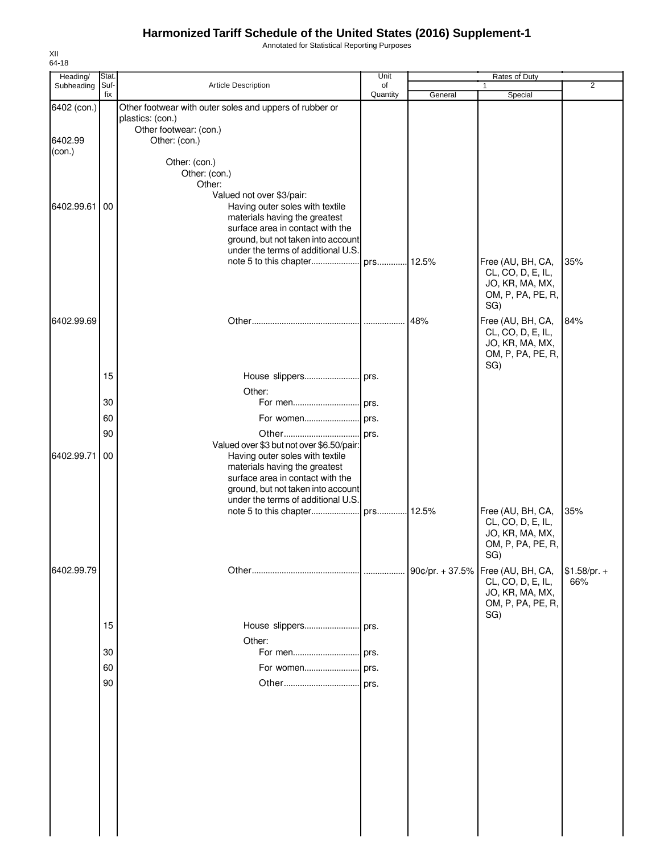Annotated for Statistical Reporting Purposes

| Heading/<br>Subheading | Stat.<br>Suf- | Article Description                                                                                   | Unit<br>of |         | Rates of Duty<br>$\mathbf{1}$          |               |  |
|------------------------|---------------|-------------------------------------------------------------------------------------------------------|------------|---------|----------------------------------------|---------------|--|
|                        | fix           |                                                                                                       | Quantity   | General | Special                                | 2             |  |
| 6402 (con.)            |               | Other footwear with outer soles and uppers of rubber or<br>plastics: (con.)<br>Other footwear: (con.) |            |         |                                        |               |  |
| 6402.99<br>(con.)      |               | Other: (con.)                                                                                         |            |         |                                        |               |  |
|                        |               | Other: (con.)                                                                                         |            |         |                                        |               |  |
|                        |               | Other: (con.)<br>Other:                                                                               |            |         |                                        |               |  |
|                        |               | Valued not over \$3/pair:                                                                             |            |         |                                        |               |  |
| 6402.99.61             | 00            | Having outer soles with textile<br>materials having the greatest                                      |            |         |                                        |               |  |
|                        |               | surface area in contact with the                                                                      |            |         |                                        |               |  |
|                        |               | ground, but not taken into account                                                                    |            |         |                                        |               |  |
|                        |               | under the terms of additional U.S.                                                                    |            |         |                                        | 35%           |  |
|                        |               |                                                                                                       |            |         | Free (AU, BH, CA,<br>CL, CO, D, E, IL, |               |  |
|                        |               |                                                                                                       |            |         | JO, KR, MA, MX,                        |               |  |
|                        |               |                                                                                                       |            |         | OM, P, PA, PE, R,                      |               |  |
|                        |               |                                                                                                       |            |         | SG)                                    |               |  |
| 6402.99.69             |               |                                                                                                       |            | 48%     | Free (AU, BH, CA,<br>CL, CO, D, E, IL, | 84%           |  |
|                        |               |                                                                                                       |            |         | JO, KR, MA, MX,                        |               |  |
|                        |               |                                                                                                       |            |         | OM, P, PA, PE, R,                      |               |  |
|                        | 15            |                                                                                                       |            |         | SG)                                    |               |  |
|                        |               | Other:                                                                                                |            |         |                                        |               |  |
|                        | 30            | For men prs.                                                                                          |            |         |                                        |               |  |
|                        | 60            |                                                                                                       |            |         |                                        |               |  |
|                        | 90            |                                                                                                       |            |         |                                        |               |  |
|                        |               | Valued over \$3 but not over \$6.50/pair:                                                             |            |         |                                        |               |  |
| 6402.99.71             | <b>100</b>    | Having outer soles with textile<br>materials having the greatest                                      |            |         |                                        |               |  |
|                        |               | surface area in contact with the                                                                      |            |         |                                        |               |  |
|                        |               | ground, but not taken into account                                                                    |            |         |                                        |               |  |
|                        |               | under the terms of additional U.S.                                                                    |            |         | Free (AU, BH, CA,                      | 35%           |  |
|                        |               |                                                                                                       |            |         | CL, CO, D, E, IL,                      |               |  |
|                        |               |                                                                                                       |            |         | JO, KR, MA, MX,                        |               |  |
|                        |               |                                                                                                       |            |         | OM, P, PA, PE, R,<br>SG)               |               |  |
| 6402.99.79             |               |                                                                                                       |            |         | 90¢/pr. + 37.5% Free (AU, BH, CA,      | $$1.58/pr. +$ |  |
|                        |               |                                                                                                       |            |         | CL, CO, D, E, IL,                      | 66%           |  |
|                        |               |                                                                                                       |            |         | JO, KR, MA, MX,<br>OM, P, PA, PE, R,   |               |  |
|                        |               |                                                                                                       |            |         | SG)                                    |               |  |
|                        | 15            | House slippers prs.                                                                                   |            |         |                                        |               |  |
|                        |               | Other:                                                                                                |            |         |                                        |               |  |
|                        | 30            |                                                                                                       |            |         |                                        |               |  |
|                        | 60            |                                                                                                       |            |         |                                        |               |  |
|                        | 90            |                                                                                                       | prs.       |         |                                        |               |  |
|                        |               |                                                                                                       |            |         |                                        |               |  |
|                        |               |                                                                                                       |            |         |                                        |               |  |
|                        |               |                                                                                                       |            |         |                                        |               |  |
|                        |               |                                                                                                       |            |         |                                        |               |  |
|                        |               |                                                                                                       |            |         |                                        |               |  |
|                        |               |                                                                                                       |            |         |                                        |               |  |
|                        |               |                                                                                                       |            |         |                                        |               |  |
|                        |               |                                                                                                       |            |         |                                        |               |  |
|                        |               |                                                                                                       |            |         |                                        |               |  |
|                        |               |                                                                                                       |            |         |                                        |               |  |

XII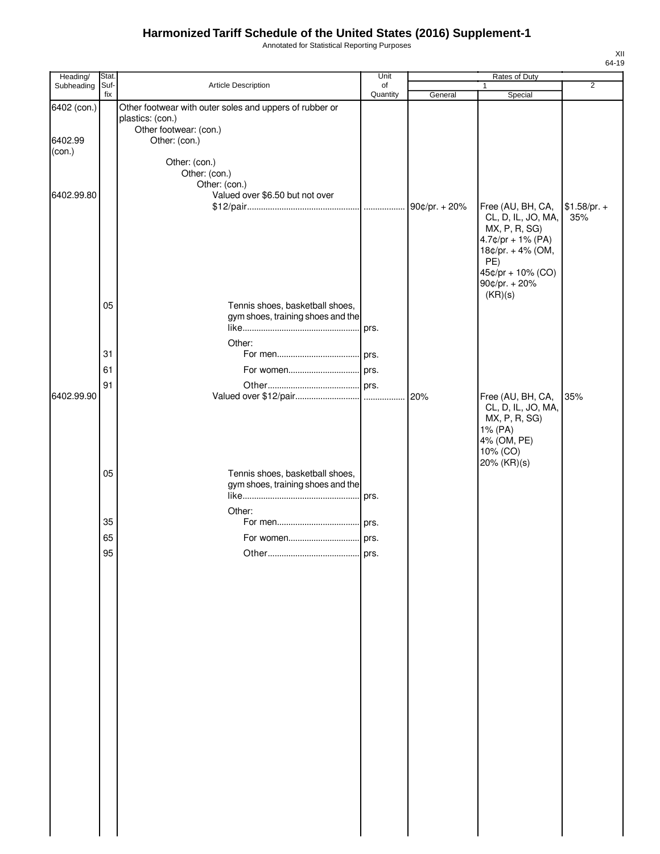Annotated for Statistical Reporting Purposes

|   | ı |
|---|---|
| r |   |

| Heading/    | Stat.       |                                                         | Unit           |               | Rates of Duty      |                |
|-------------|-------------|---------------------------------------------------------|----------------|---------------|--------------------|----------------|
| Subheading  | Suf-<br>fix | Article Description                                     | of<br>Quantity | General       | 1<br>Special       | $\overline{2}$ |
| 6402 (con.) |             | Other footwear with outer soles and uppers of rubber or |                |               |                    |                |
|             |             | plastics: (con.)                                        |                |               |                    |                |
|             |             | Other footwear: (con.)                                  |                |               |                    |                |
| 6402.99     |             | Other: (con.)                                           |                |               |                    |                |
| (con.)      |             |                                                         |                |               |                    |                |
|             |             | Other: (con.)                                           |                |               |                    |                |
|             |             | Other: (con.)                                           |                |               |                    |                |
|             |             | Other: (con.)                                           |                |               |                    |                |
| 6402.99.80  |             | Valued over \$6.50 but not over                         |                |               |                    |                |
|             |             |                                                         |                | 90¢/pr. + 20% | Free (AU, BH, CA,  | $$1.58/pr. +$  |
|             |             |                                                         |                |               | CL, D, IL, JO, MA, | 35%            |
|             |             |                                                         |                |               | MX, P, R, SG)      |                |
|             |             |                                                         |                |               | 4.7¢/pr + 1% (PA)  |                |
|             |             |                                                         |                |               | 18¢/pr. + 4% (OM,  |                |
|             |             |                                                         |                |               | PE)                |                |
|             |             |                                                         |                |               | 45¢/pr + 10% (CO)  |                |
|             |             |                                                         |                |               | 90¢/pr. + 20%      |                |
|             |             |                                                         |                |               | (KR)(s)            |                |
|             | 05          | Tennis shoes, basketball shoes,                         |                |               |                    |                |
|             |             | gym shoes, training shoes and the                       |                |               |                    |                |
|             |             |                                                         | prs.           |               |                    |                |
|             |             | Other:                                                  |                |               |                    |                |
|             | 31          |                                                         |                |               |                    |                |
|             | 61          | For women prs.                                          |                |               |                    |                |
|             | 91          |                                                         |                |               |                    |                |
| 6402.99.90  |             |                                                         |                | 20%           | Free (AU, BH, CA,  | 35%            |
|             |             |                                                         |                |               | CL, D, IL, JO, MA, |                |
|             |             |                                                         |                |               | MX, P, R, SG)      |                |
|             |             |                                                         |                |               | 1% (PA)            |                |
|             |             |                                                         |                |               | 4% (OM, PE)        |                |
|             |             |                                                         |                |               | 10% (CO)           |                |
|             |             |                                                         |                |               | 20% (KR)(s)        |                |
|             | 05          | Tennis shoes, basketball shoes,                         |                |               |                    |                |
|             |             | gym shoes, training shoes and the                       |                |               |                    |                |
|             |             |                                                         | prs.           |               |                    |                |
|             |             | Other:                                                  |                |               |                    |                |
|             | 35          |                                                         |                |               |                    |                |
|             |             |                                                         |                |               |                    |                |
|             | 65          |                                                         |                |               |                    |                |
|             | 95          | Other                                                   | prs.           |               |                    |                |
|             |             |                                                         |                |               |                    |                |
|             |             |                                                         |                |               |                    |                |
|             |             |                                                         |                |               |                    |                |
|             |             |                                                         |                |               |                    |                |
|             |             |                                                         |                |               |                    |                |
|             |             |                                                         |                |               |                    |                |
|             |             |                                                         |                |               |                    |                |
|             |             |                                                         |                |               |                    |                |
|             |             |                                                         |                |               |                    |                |
|             |             |                                                         |                |               |                    |                |
|             |             |                                                         |                |               |                    |                |
|             |             |                                                         |                |               |                    |                |
|             |             |                                                         |                |               |                    |                |
|             |             |                                                         |                |               |                    |                |
|             |             |                                                         |                |               |                    |                |
|             |             |                                                         |                |               |                    |                |
|             |             |                                                         |                |               |                    |                |
|             |             |                                                         |                |               |                    |                |
|             |             |                                                         |                |               |                    |                |
|             |             |                                                         |                |               |                    |                |
|             |             |                                                         |                |               |                    |                |
|             |             |                                                         |                |               |                    |                |
|             |             |                                                         |                |               |                    |                |
|             |             |                                                         |                |               |                    |                |
|             |             |                                                         |                |               |                    |                |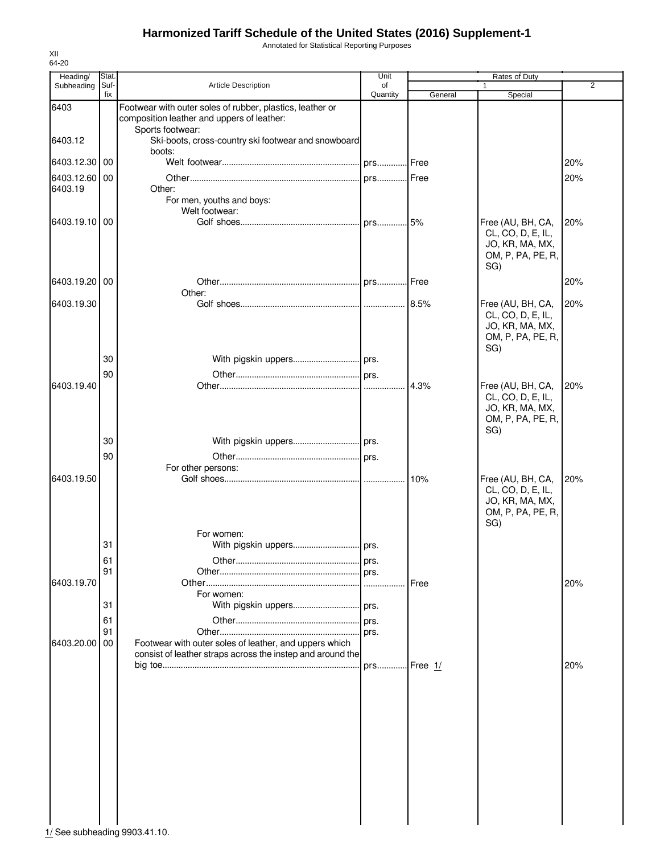Annotated for Statistical Reporting Purposes

| Heading/                 | Stat.    |                                                                                                         | Unit         |         | Rates of Duty                                                                         |                |
|--------------------------|----------|---------------------------------------------------------------------------------------------------------|--------------|---------|---------------------------------------------------------------------------------------|----------------|
| Subheading               | Suf-     | <b>Article Description</b>                                                                              | of           |         |                                                                                       | $\overline{2}$ |
| 6403                     | fix      | Footwear with outer soles of rubber, plastics, leather or<br>composition leather and uppers of leather: | Quantity     | General | Special                                                                               |                |
| 6403.12                  |          | Sports footwear:<br>Ski-boots, cross-country ski footwear and snowboard                                 |              |         |                                                                                       |                |
|                          |          | boots:                                                                                                  |              |         |                                                                                       |                |
| 6403.12.30 00            |          |                                                                                                         | prs Free     |         |                                                                                       | 20%            |
| 6403.12.60 00<br>6403.19 |          | Other:<br>For men, youths and boys:                                                                     | . prs Free   |         |                                                                                       | 20%            |
|                          |          | Welt footwear:                                                                                          |              |         |                                                                                       |                |
| 6403.19.10 00            |          |                                                                                                         |              |         | Free (AU, BH, CA,<br>CL, CO, D, E, IL,<br>JO, KR, MA, MX,<br>OM, P, PA, PE, R,<br>SG) | 20%            |
| 6403.19.20 00            |          |                                                                                                         |              |         |                                                                                       | 20%            |
| 6403.19.30               |          | Other:                                                                                                  |              | 8.5%    | Free (AU, BH, CA,                                                                     | 20%            |
|                          |          |                                                                                                         |              |         | CL, CO, D, E, IL,<br>JO, KR, MA, MX,<br>OM, P, PA, PE, R,<br>SG)                      |                |
|                          | 30       |                                                                                                         |              |         |                                                                                       |                |
| 6403.19.40               | 90       |                                                                                                         | .            | 4.3%    | Free (AU, BH, CA,                                                                     | 20%            |
|                          |          |                                                                                                         |              |         | CL, CO, D, E, IL,<br>JO, KR, MA, MX,<br>OM, P, PA, PE, R,<br>SG)                      |                |
|                          | 30       |                                                                                                         |              |         |                                                                                       |                |
|                          | 90       |                                                                                                         |              |         |                                                                                       |                |
| 6403.19.50               |          | For other persons:                                                                                      |              |         |                                                                                       |                |
|                          |          |                                                                                                         |              | 10%     | Free (AU, BH, CA,<br>CL, CO, D, E, IL,<br>JO, KR, MA, MX,<br>OM, P, PA, PE, R,<br>SG) | 20%            |
|                          | 31       | For women:                                                                                              |              |         |                                                                                       |                |
|                          |          |                                                                                                         |              |         |                                                                                       |                |
|                          | 61<br>91 |                                                                                                         | prs.<br>prs. |         |                                                                                       |                |
| 6403.19.70               |          |                                                                                                         | .<br>.       | Free    |                                                                                       | 20%            |
|                          | 31       | For women:                                                                                              |              |         |                                                                                       |                |
|                          | 61       |                                                                                                         |              |         |                                                                                       |                |
|                          | 91       |                                                                                                         | prs.         |         |                                                                                       |                |
| 6403.20.00               | 00       | Footwear with outer soles of leather, and uppers which                                                  |              |         |                                                                                       |                |
|                          |          | consist of leather straps across the instep and around the                                              | prs Free 1/  |         |                                                                                       | 20%            |
|                          |          |                                                                                                         |              |         |                                                                                       |                |
|                          |          |                                                                                                         |              |         |                                                                                       |                |
|                          |          |                                                                                                         |              |         |                                                                                       |                |
|                          |          |                                                                                                         |              |         |                                                                                       |                |
|                          |          |                                                                                                         |              |         |                                                                                       |                |
|                          |          |                                                                                                         |              |         |                                                                                       |                |
|                          |          |                                                                                                         |              |         |                                                                                       |                |
|                          |          |                                                                                                         |              |         |                                                                                       |                |
|                          |          |                                                                                                         |              |         |                                                                                       |                |
|                          |          |                                                                                                         |              |         |                                                                                       |                |
|                          |          |                                                                                                         |              |         |                                                                                       |                |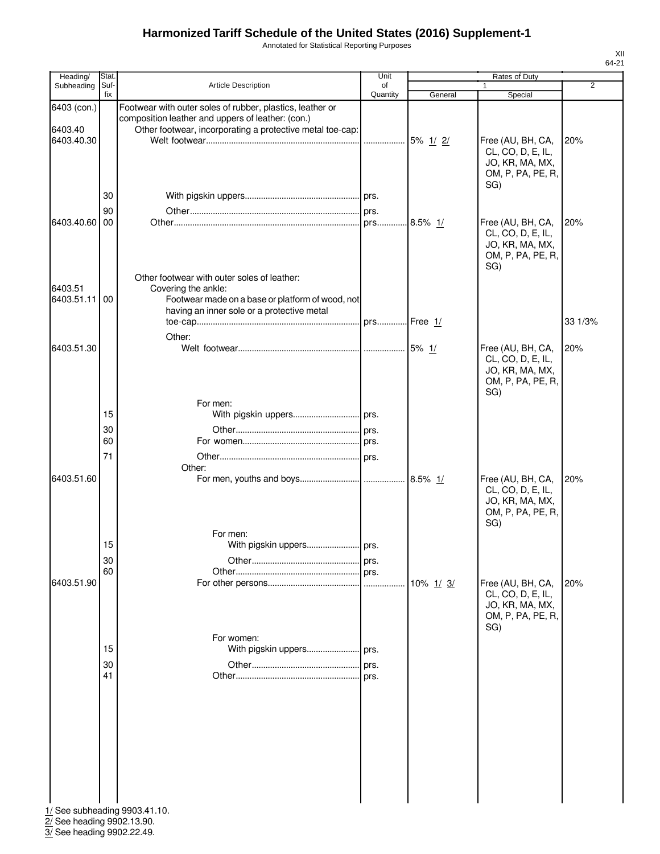Annotated for Statistical Reporting Purposes

| Heading/              | Stat.       |                                                                                                                | Unit           |             | Rates of Duty                                                                         |                |
|-----------------------|-------------|----------------------------------------------------------------------------------------------------------------|----------------|-------------|---------------------------------------------------------------------------------------|----------------|
| Subheading            | Suf-<br>fix | Article Description                                                                                            | of<br>Quantity |             |                                                                                       | $\overline{2}$ |
| 6403 (con.)           |             | Footwear with outer soles of rubber, plastics, leather or<br>composition leather and uppers of leather: (con.) |                | General     | Special                                                                               |                |
| 6403.40               |             | Other footwear, incorporating a protective metal toe-cap:                                                      |                |             |                                                                                       |                |
| 6403.40.30            |             |                                                                                                                |                |             | Free (AU, BH, CA,<br>CL, CO, D, E, IL,<br>JO, KR, MA, MX,<br>OM, P, PA, PE, R,        | 20%            |
|                       | 30          |                                                                                                                |                |             | SG)                                                                                   |                |
|                       | 90          |                                                                                                                |                |             |                                                                                       |                |
| 6403.40.60            | 00          |                                                                                                                |                | 8.5% 1/     | Free (AU, BH, CA,<br>CL, CO, D, E, IL,<br>JO, KR, MA, MX,<br>OM, P, PA, PE, R,        | 20%            |
|                       |             | Other footwear with outer soles of leather:                                                                    |                |             | SG)                                                                                   |                |
| 6403.51<br>6403.51.11 | 00          | Covering the ankle:<br>Footwear made on a base or platform of wood, not                                        |                |             |                                                                                       |                |
|                       |             | having an inner sole or a protective metal                                                                     |                |             |                                                                                       |                |
|                       |             | Other:                                                                                                         |                |             |                                                                                       | 33 1/3%        |
| 6403.51.30            |             |                                                                                                                |                |             | Free (AU, BH, CA,<br>CL, CO, D, E, IL,<br>JO, KR, MA, MX,<br>OM, P, PA, PE, R,<br>SG) | 20%            |
|                       |             | For men:                                                                                                       |                |             |                                                                                       |                |
|                       | 15          |                                                                                                                |                |             |                                                                                       |                |
|                       | 30          |                                                                                                                |                |             |                                                                                       |                |
|                       | 60          |                                                                                                                |                |             |                                                                                       |                |
|                       | 71          | Other:                                                                                                         |                |             |                                                                                       |                |
| 6403.51.60            |             |                                                                                                                |                |             | Free (AU, BH, CA,<br>CL, CO, D, E, IL,<br>JO, KR, MA, MX,<br>OM, P, PA, PE, R,<br>SG) | 20%            |
|                       |             | For men:                                                                                                       |                |             |                                                                                       |                |
|                       | 15          | With pigskin uppers prs.                                                                                       |                |             |                                                                                       |                |
|                       | 30          |                                                                                                                |                |             |                                                                                       |                |
| 6403.51.90            | 60          |                                                                                                                |                | 10% $1/$ 3/ | Free (AU, BH, CA,<br>CL, CO, D, E, IL,<br>JO, KR, MA, MX,<br>OM, P, PA, PE, R,<br>SG) | 20%            |
|                       |             | For women:                                                                                                     |                |             |                                                                                       |                |
|                       | 15          |                                                                                                                |                |             |                                                                                       |                |
|                       | 30          |                                                                                                                |                |             |                                                                                       |                |
|                       | 41          |                                                                                                                |                |             |                                                                                       |                |
|                       |             |                                                                                                                |                |             |                                                                                       |                |

1/ See subheading 9903.41.10.

2/ See heading 9902.13.90.

3/ See heading 9902.22.49.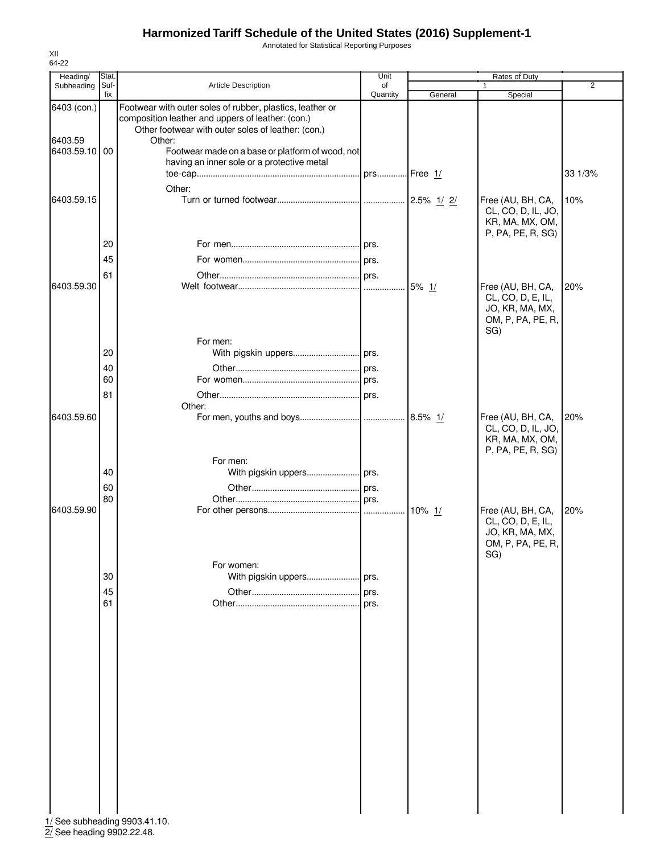Annotated for Statistical Reporting Purposes

| Heading/                                | Stat.       |                                                                                                                                                                                                                                    | Unit           |          | Rates of Duty                                                                         |                |
|-----------------------------------------|-------------|------------------------------------------------------------------------------------------------------------------------------------------------------------------------------------------------------------------------------------|----------------|----------|---------------------------------------------------------------------------------------|----------------|
| Subheading                              | Suf-<br>fix | Article Description                                                                                                                                                                                                                | of<br>Quantity | General  | Special                                                                               | $\overline{2}$ |
| 6403 (con.)<br>6403.59<br>6403.59.10 00 |             | Footwear with outer soles of rubber, plastics, leather or<br>composition leather and uppers of leather: (con.)<br>Other footwear with outer soles of leather: (con.)<br>Other:<br>Footwear made on a base or platform of wood, not |                |          |                                                                                       |                |
|                                         |             | having an inner sole or a protective metal<br>Other:                                                                                                                                                                               |                |          |                                                                                       | 33 1/3%        |
| 6403.59.15                              |             |                                                                                                                                                                                                                                    |                |          | Free (AU, BH, CA,<br>CL, CO, D, IL, JO,<br>KR, MA, MX, OM,<br>P, PA, PE, R, SG)       | 10%            |
|                                         | 20          |                                                                                                                                                                                                                                    |                |          |                                                                                       |                |
|                                         | 45          |                                                                                                                                                                                                                                    |                |          |                                                                                       |                |
| 6403.59.30                              | 61          |                                                                                                                                                                                                                                    |                | 5% 1/    | Free (AU, BH, CA,                                                                     | 20%            |
|                                         |             | For men:                                                                                                                                                                                                                           |                |          | CL, CO, D, E, IL,<br>JO, KR, MA, MX,<br>OM, P, PA, PE, R,<br>SG)                      |                |
|                                         | 20          |                                                                                                                                                                                                                                    |                |          |                                                                                       |                |
|                                         | 40          |                                                                                                                                                                                                                                    |                |          |                                                                                       |                |
|                                         | 60          |                                                                                                                                                                                                                                    |                |          |                                                                                       |                |
|                                         | 81          | Other:                                                                                                                                                                                                                             |                |          |                                                                                       |                |
| 6403.59.60                              |             |                                                                                                                                                                                                                                    |                | 8.5% 1/  | Free (AU, BH, CA,<br>CL, CO, D, IL, JO,<br>KR, MA, MX, OM,<br>P, PA, PE, R, SG)       | 20%            |
|                                         | 40          | For men:                                                                                                                                                                                                                           |                |          |                                                                                       |                |
|                                         | 60<br>80    |                                                                                                                                                                                                                                    |                |          |                                                                                       |                |
| 6403.59.90                              |             |                                                                                                                                                                                                                                    |                | 10% $1/$ | Free (AU, BH, CA,<br>CL, CO, D, E, IL,<br>JO, KR, MA, MX,<br>OM, P, PA, PE, R,<br>SG) | 20%            |
|                                         |             | For women:                                                                                                                                                                                                                         |                |          |                                                                                       |                |
|                                         | 30          | With pigskin uppers prs.                                                                                                                                                                                                           |                |          |                                                                                       |                |
|                                         | 45<br>61    |                                                                                                                                                                                                                                    | prs.<br>prs.   |          |                                                                                       |                |
|                                         |             |                                                                                                                                                                                                                                    |                |          |                                                                                       |                |
|                                         |             |                                                                                                                                                                                                                                    |                |          |                                                                                       |                |
|                                         |             |                                                                                                                                                                                                                                    |                |          |                                                                                       |                |
| 1/ See subheading 9903.41.10.           |             |                                                                                                                                                                                                                                    |                |          |                                                                                       |                |

2/ See heading 9902.22.48.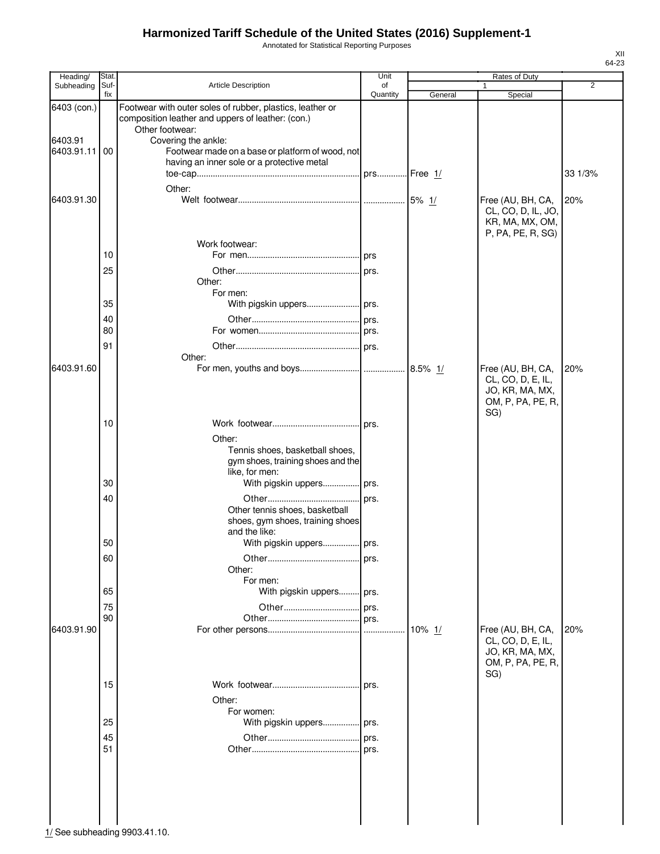Annotated for Statistical Reporting Purposes

|                             |       |                                                                                                                                                          |            |         |                                                                                       | 64-23   |
|-----------------------------|-------|----------------------------------------------------------------------------------------------------------------------------------------------------------|------------|---------|---------------------------------------------------------------------------------------|---------|
| Heading/<br>Subheading Suf- | Stat. | <b>Article Description</b>                                                                                                                               | Unit<br>of |         | Rates of Duty<br>$\mathbf{1}$                                                         | 2       |
|                             | fix   |                                                                                                                                                          | Quantity   | General | Special                                                                               |         |
| 6403 (con.)<br>6403.91      |       | Footwear with outer soles of rubber, plastics, leather or<br>composition leather and uppers of leather: (con.)<br>Other footwear:<br>Covering the ankle: |            |         |                                                                                       |         |
| 6403.91.11 00               |       | Footwear made on a base or platform of wood, not<br>having an inner sole or a protective metal                                                           |            |         |                                                                                       | 33 1/3% |
|                             |       | Other:                                                                                                                                                   |            |         |                                                                                       |         |
| 6403.91.30                  |       |                                                                                                                                                          |            |         | Free (AU, BH, CA,<br>CL, CO, D, IL, JO,<br>KR, MA, MX, OM,<br>P, PA, PE, R, SG)       | 20%     |
|                             |       | Work footwear:                                                                                                                                           |            |         |                                                                                       |         |
|                             | 10    |                                                                                                                                                          |            |         |                                                                                       |         |
|                             | 25    | Other:                                                                                                                                                   |            |         |                                                                                       |         |
|                             | 35    | For men:                                                                                                                                                 |            |         |                                                                                       |         |
|                             | 40    |                                                                                                                                                          |            |         |                                                                                       |         |
|                             | 80    |                                                                                                                                                          |            |         |                                                                                       |         |
|                             | 91    |                                                                                                                                                          |            |         |                                                                                       |         |
| 6403.91.60                  |       | Other:                                                                                                                                                   |            |         | Free (AU, BH, CA,                                                                     | 20%     |
|                             |       |                                                                                                                                                          |            |         | CL, CO, D, E, IL,<br>JO, KR, MA, MX,<br>OM, P, PA, PE, R,<br>SG)                      |         |
|                             | 10    |                                                                                                                                                          |            |         |                                                                                       |         |
|                             |       | Other:<br>Tennis shoes, basketball shoes,<br>gym shoes, training shoes and the<br>like, for men:                                                         |            |         |                                                                                       |         |
|                             | 30    | With pigskin uppers prs.                                                                                                                                 |            |         |                                                                                       |         |
|                             | 40    | Other tennis shoes, basketball<br>shoes, gym shoes, training shoes                                                                                       |            |         |                                                                                       |         |
|                             | 50    | and the like:<br>With pigskin uppers prs.                                                                                                                |            |         |                                                                                       |         |
|                             | 60    |                                                                                                                                                          | prs.       |         |                                                                                       |         |
|                             |       | Other:<br>For men:                                                                                                                                       |            |         |                                                                                       |         |
|                             | 65    | With pigskin uppers prs.                                                                                                                                 |            |         |                                                                                       |         |
|                             | 75    |                                                                                                                                                          |            |         |                                                                                       |         |
|                             | 90    |                                                                                                                                                          |            |         |                                                                                       |         |
| 6403.91.90                  |       |                                                                                                                                                          |            | 10% 1/  | Free (AU, BH, CA,<br>CL, CO, D, E, IL,<br>JO, KR, MA, MX,<br>OM, P, PA, PE, R,<br>SG) | 20%     |
|                             | 15    |                                                                                                                                                          | prs.       |         |                                                                                       |         |

XII

1/ See subheading 9903.41.10.

Other:

For women: 25 With pigskin uppers.................. prs. 45 Other........................................ prs.

51 Other............................................... prs.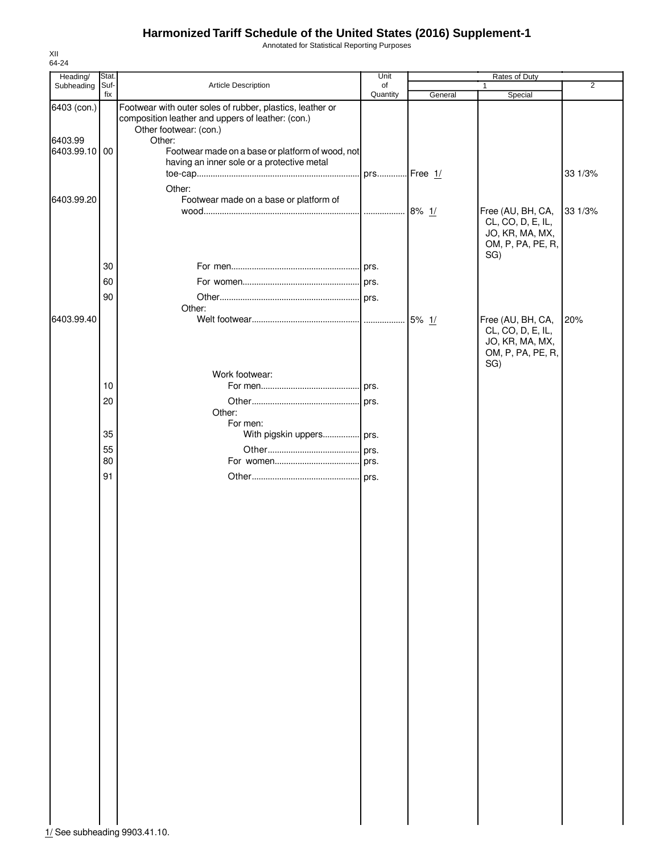Annotated for Statistical Reporting Purposes

| 64-24                                   |               |                                                                                                                                                                                                        |             |          |                                                                                       |                |
|-----------------------------------------|---------------|--------------------------------------------------------------------------------------------------------------------------------------------------------------------------------------------------------|-------------|----------|---------------------------------------------------------------------------------------|----------------|
| Heading/                                | Stat.<br>Suf- | Article Description                                                                                                                                                                                    | Unit<br>of  |          | Rates of Duty                                                                         | $\overline{2}$ |
| Subheading                              | fix           |                                                                                                                                                                                                        | Quantity    | General  | 1<br>Special                                                                          |                |
| 6403 (con.)<br>6403.99<br>6403.99.10 00 |               | Footwear with outer soles of rubber, plastics, leather or<br>composition leather and uppers of leather: (con.)<br>Other footwear: (con.)<br>Other:<br>Footwear made on a base or platform of wood, not |             |          |                                                                                       |                |
|                                         |               | having an inner sole or a protective metal<br>Other:                                                                                                                                                   | prs Free 1/ |          |                                                                                       | 33 1/3%        |
| 6403.99.20                              |               | Footwear made on a base or platform of                                                                                                                                                                 |             | $8\%$ 1/ | Free (AU, BH, CA,<br>CL, CO, D, E, IL,<br>JO, KR, MA, MX,<br>OM, P, PA, PE, R,<br>SG) | 33 1/3%        |
|                                         | 30            |                                                                                                                                                                                                        |             |          |                                                                                       |                |
|                                         | 60            |                                                                                                                                                                                                        |             |          |                                                                                       |                |
|                                         | 90            |                                                                                                                                                                                                        |             |          |                                                                                       |                |
|                                         |               | Other:                                                                                                                                                                                                 |             |          |                                                                                       |                |
| 6403.99.40                              |               |                                                                                                                                                                                                        |             |          | Free (AU, BH, CA,<br>CL, CO, D, E, IL,<br>JO, KR, MA, MX,<br>OM, P, PA, PE, R,<br>SG) | 20%            |
|                                         |               | Work footwear:                                                                                                                                                                                         |             |          |                                                                                       |                |
|                                         | 10            |                                                                                                                                                                                                        |             |          |                                                                                       |                |
|                                         | 20            |                                                                                                                                                                                                        |             |          |                                                                                       |                |
|                                         |               | Other:                                                                                                                                                                                                 |             |          |                                                                                       |                |
|                                         | 35            | For men:<br>With pigskin uppers prs.                                                                                                                                                                   |             |          |                                                                                       |                |
|                                         |               |                                                                                                                                                                                                        |             |          |                                                                                       |                |
|                                         | 55<br>80      |                                                                                                                                                                                                        |             |          |                                                                                       |                |
|                                         |               |                                                                                                                                                                                                        |             |          |                                                                                       |                |
|                                         | 91            |                                                                                                                                                                                                        |             |          |                                                                                       |                |

XII

1/ See subheading 9903.41.10.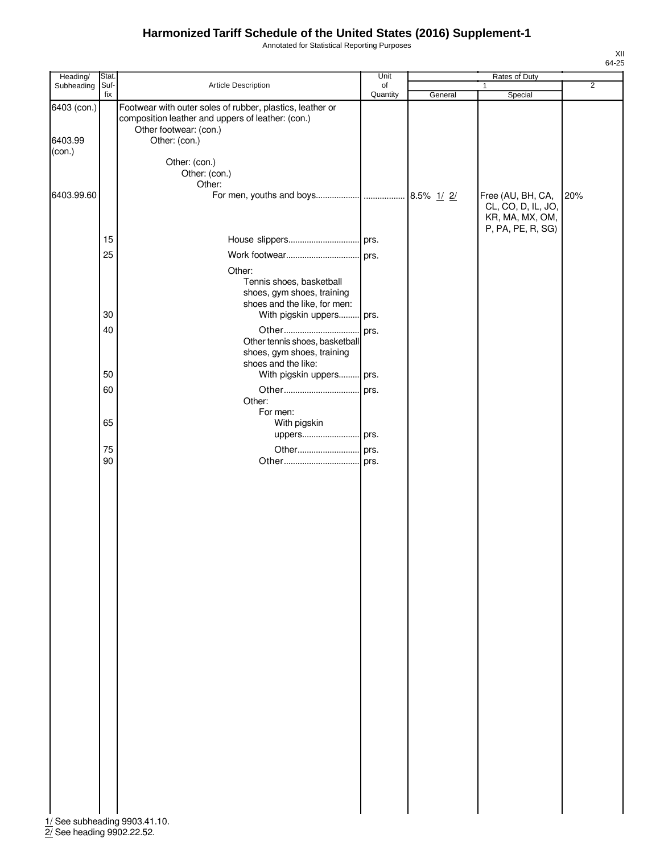Annotated for Statistical Reporting Purposes

| ı |  |
|---|--|
|   |  |

| Heading/    | Stat. |                                                                             | Unit     |          | Rates of Duty                                                                   |                |
|-------------|-------|-----------------------------------------------------------------------------|----------|----------|---------------------------------------------------------------------------------|----------------|
| Subheading  | Suf-  | Article Description                                                         | of       |          | $\mathbf{1}$                                                                    | $\overline{2}$ |
| 6403 (con.) | fix   | Footwear with outer soles of rubber, plastics, leather or                   | Quantity | General  | Special                                                                         |                |
| 6403.99     |       | composition leather and uppers of leather: (con.)<br>Other footwear: (con.) |          |          |                                                                                 |                |
|             |       | Other: (con.)                                                               |          |          |                                                                                 |                |
| (con.)      |       | Other: (con.)<br>Other: (con.)                                              |          |          |                                                                                 |                |
|             |       | Other:                                                                      |          |          |                                                                                 |                |
| 6403.99.60  |       |                                                                             |          | 8.5% 1/2 | Free (AU, BH, CA,<br>CL, CO, D, IL, JO,<br>KR, MA, MX, OM,<br>P, PA, PE, R, SG) | 20%            |
|             | 15    |                                                                             |          |          |                                                                                 |                |
|             | 25    |                                                                             |          |          |                                                                                 |                |
|             |       | Other:                                                                      |          |          |                                                                                 |                |
|             |       | Tennis shoes, basketball<br>shoes, gym shoes, training                      |          |          |                                                                                 |                |
|             |       | shoes and the like, for men:                                                |          |          |                                                                                 |                |
|             | 30    | With pigskin uppers prs.                                                    |          |          |                                                                                 |                |
|             | 40    | Other tennis shoes, basketball                                              |          |          |                                                                                 |                |
|             |       | shoes, gym shoes, training<br>shoes and the like:                           |          |          |                                                                                 |                |
|             | 50    | With pigskin uppers prs.                                                    |          |          |                                                                                 |                |
|             | 60    |                                                                             | prs.     |          |                                                                                 |                |
|             |       | Other:<br>For men:                                                          |          |          |                                                                                 |                |
|             | 65    | With pigskin                                                                |          |          |                                                                                 |                |
|             |       | uppers prs.                                                                 |          |          |                                                                                 |                |
|             | 75    |                                                                             |          |          |                                                                                 |                |
|             | 90    |                                                                             |          |          |                                                                                 |                |
|             |       |                                                                             |          |          |                                                                                 |                |
|             |       |                                                                             |          |          |                                                                                 |                |
|             |       |                                                                             |          |          |                                                                                 |                |
|             |       |                                                                             |          |          |                                                                                 |                |
|             |       |                                                                             |          |          |                                                                                 |                |
|             |       |                                                                             |          |          |                                                                                 |                |
|             |       |                                                                             |          |          |                                                                                 |                |
|             |       |                                                                             |          |          |                                                                                 |                |
|             |       |                                                                             |          |          |                                                                                 |                |
|             |       |                                                                             |          |          |                                                                                 |                |
|             |       |                                                                             |          |          |                                                                                 |                |
|             |       |                                                                             |          |          |                                                                                 |                |
|             |       |                                                                             |          |          |                                                                                 |                |
|             |       |                                                                             |          |          |                                                                                 |                |
|             |       |                                                                             |          |          |                                                                                 |                |
|             |       |                                                                             |          |          |                                                                                 |                |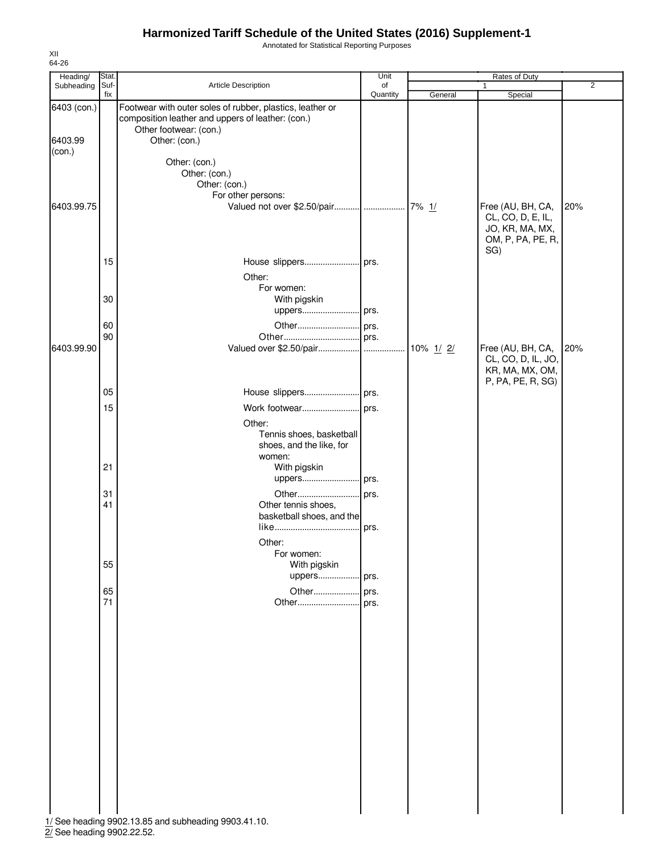Annotated for Statistical Reporting Purposes

| Suf-<br>fix | Article Description<br>Footwear with outer soles of rubber, plastics, leather or<br>composition leather and uppers of leather: (con.)<br>Other footwear: (con.)<br>Other: (con.)<br>Other: (con.) | of<br>Quantity                                                                     | General                                                                                                                        | 1<br>Special                                                                   | $\overline{2}$           |
|-------------|---------------------------------------------------------------------------------------------------------------------------------------------------------------------------------------------------|------------------------------------------------------------------------------------|--------------------------------------------------------------------------------------------------------------------------------|--------------------------------------------------------------------------------|--------------------------|
|             |                                                                                                                                                                                                   |                                                                                    |                                                                                                                                |                                                                                |                          |
|             | Other: (con.)                                                                                                                                                                                     |                                                                                    |                                                                                                                                |                                                                                |                          |
|             | Other: (con.)<br>For other persons:                                                                                                                                                               |                                                                                    | 7% 1/                                                                                                                          | Free (AU, BH, CA,<br>CL, CO, D, E, IL,<br>JO, KR, MA, MX,<br>OM, P, PA, PE, R, | 20%                      |
| 15          | Other:<br>For women:                                                                                                                                                                              |                                                                                    |                                                                                                                                |                                                                                |                          |
| 60          |                                                                                                                                                                                                   |                                                                                    |                                                                                                                                |                                                                                |                          |
| 90          |                                                                                                                                                                                                   |                                                                                    | 10% 1/ 2/                                                                                                                      | Free (AU, BH, CA,<br>CL, CO, D, IL, JO,<br>KR, MA, MX, OM,                     | 20%                      |
| 05          |                                                                                                                                                                                                   |                                                                                    |                                                                                                                                |                                                                                |                          |
| 15          |                                                                                                                                                                                                   |                                                                                    |                                                                                                                                |                                                                                |                          |
| 21          | Other:<br>shoes, and the like, for<br>women:<br>With pigskin                                                                                                                                      |                                                                                    |                                                                                                                                |                                                                                |                          |
| 31<br>41    | Other tennis shoes,<br>Other:                                                                                                                                                                     | prs.                                                                               |                                                                                                                                |                                                                                |                          |
| 55          | With pigskin<br>uppers                                                                                                                                                                            | prs.                                                                               |                                                                                                                                |                                                                                |                          |
| 65<br>71    | Other<br>Other                                                                                                                                                                                    |                                                                                    |                                                                                                                                |                                                                                |                          |
|             |                                                                                                                                                                                                   |                                                                                    |                                                                                                                                |                                                                                |                          |
|             | 30                                                                                                                                                                                                | With pigskin<br>For women:<br>1/ See heading 9902.13.85 and subheading 9903.41.10. | House slippers prs.<br>uppers prs.<br>Tennis shoes, basketball<br>uppers prs.<br>basketball shoes, and the<br>. prs.<br>. prs. |                                                                                | SG)<br>P, PA, PE, R, SG) |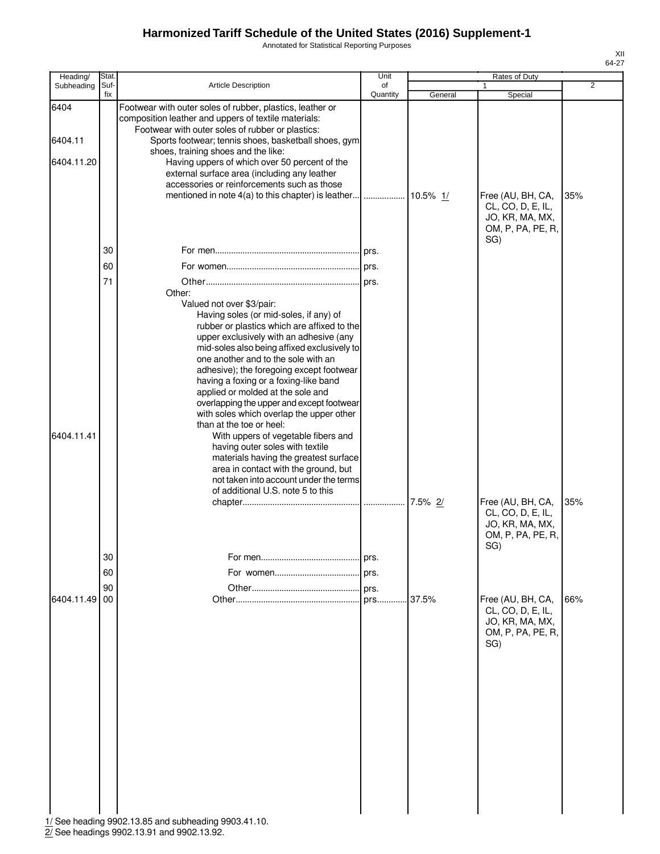Annotated for Statistical Reporting Purposes

| Heading/      | Stat.       |                                                                                                                                                                       | Unit           |          | <b>Rates of Duty</b>                                                           |                |
|---------------|-------------|-----------------------------------------------------------------------------------------------------------------------------------------------------------------------|----------------|----------|--------------------------------------------------------------------------------|----------------|
| Subheading    | Suf-<br>fix | <b>Article Description</b>                                                                                                                                            | of<br>Quantity | General  | 1<br>Special                                                                   | $\overline{2}$ |
| 6404          |             | Footwear with outer soles of rubber, plastics, leather or<br>composition leather and uppers of textile materials:<br>Footwear with outer soles of rubber or plastics: |                |          |                                                                                |                |
| 6404.11       |             | Sports footwear; tennis shoes, basketball shoes, gym<br>shoes, training shoes and the like:                                                                           |                |          |                                                                                |                |
| 6404.11.20    |             | Having uppers of which over 50 percent of the<br>external surface area (including any leather                                                                         |                |          |                                                                                |                |
|               |             | accessories or reinforcements such as those<br>mentioned in note 4(a) to this chapter) is leather                                                                     |                | 10.5% 1/ |                                                                                | 35%            |
|               |             |                                                                                                                                                                       | .              |          | Free (AU, BH, CA,<br>CL, CO, D, E, IL,<br>JO, KR, MA, MX,<br>OM, P, PA, PE, R, |                |
|               | 30          |                                                                                                                                                                       |                |          | SG)                                                                            |                |
|               | 60          |                                                                                                                                                                       |                |          |                                                                                |                |
|               | 71          | Other:                                                                                                                                                                |                |          |                                                                                |                |
|               |             | Valued not over \$3/pair:                                                                                                                                             |                |          |                                                                                |                |
|               |             | Having soles (or mid-soles, if any) of<br>rubber or plastics which are affixed to the                                                                                 |                |          |                                                                                |                |
|               |             | upper exclusively with an adhesive (any                                                                                                                               |                |          |                                                                                |                |
|               |             | mid-soles also being affixed exclusively to<br>one another and to the sole with an                                                                                    |                |          |                                                                                |                |
|               |             | adhesive); the foregoing except footwear                                                                                                                              |                |          |                                                                                |                |
|               |             | having a foxing or a foxing-like band<br>applied or molded at the sole and                                                                                            |                |          |                                                                                |                |
|               |             | overlapping the upper and except footwear                                                                                                                             |                |          |                                                                                |                |
|               |             | with soles which overlap the upper other<br>than at the toe or heel:                                                                                                  |                |          |                                                                                |                |
| 6404.11.41    |             | With uppers of vegetable fibers and                                                                                                                                   |                |          |                                                                                |                |
|               |             | having outer soles with textile<br>materials having the greatest surface                                                                                              |                |          |                                                                                |                |
|               |             | area in contact with the ground, but                                                                                                                                  |                |          |                                                                                |                |
|               |             | not taken into account under the terms<br>of additional U.S. note 5 to this                                                                                           |                |          |                                                                                |                |
|               |             |                                                                                                                                                                       |                |          | Free (AU, BH, CA,                                                              | 35%            |
|               |             |                                                                                                                                                                       |                |          | CL, CO, D, E, IL,<br>JO, KR, MA, MX,<br>OM, P, PA, PE, R,<br>SG)               |                |
|               | 30          |                                                                                                                                                                       | prs.           |          |                                                                                |                |
|               | 60          |                                                                                                                                                                       | prs.           |          |                                                                                |                |
| 6404.11.49 00 | 90          |                                                                                                                                                                       | prs.<br>prs    | 37.5%    | Free (AU, BH, CA,                                                              | 66%            |
|               |             |                                                                                                                                                                       |                |          | CL, CO, D, E, IL,<br>JO, KR, MA, MX,<br>OM, P, PA, PE, R,<br>SG)               |                |
|               |             |                                                                                                                                                                       |                |          |                                                                                |                |
|               |             |                                                                                                                                                                       |                |          |                                                                                |                |
|               |             |                                                                                                                                                                       |                |          |                                                                                |                |
|               |             |                                                                                                                                                                       |                |          |                                                                                |                |
|               |             |                                                                                                                                                                       |                |          |                                                                                |                |
|               |             |                                                                                                                                                                       |                |          |                                                                                |                |
|               |             |                                                                                                                                                                       |                |          |                                                                                |                |
|               |             |                                                                                                                                                                       |                |          |                                                                                |                |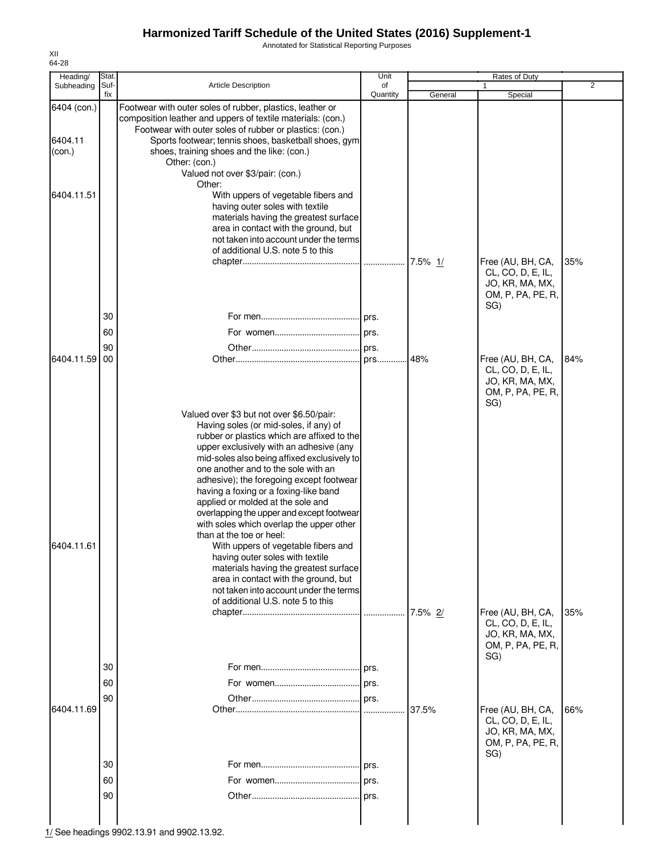Annotated for Statistical Reporting Purposes

| Heading/                         | Stat.       |                                                                                                                                                                                                                                                                                                                                                                                                                                                                                                                                                                                                                                                                                                                                                              | Unit           |            | Rates of Duty                                                                         |     |
|----------------------------------|-------------|--------------------------------------------------------------------------------------------------------------------------------------------------------------------------------------------------------------------------------------------------------------------------------------------------------------------------------------------------------------------------------------------------------------------------------------------------------------------------------------------------------------------------------------------------------------------------------------------------------------------------------------------------------------------------------------------------------------------------------------------------------------|----------------|------------|---------------------------------------------------------------------------------------|-----|
| Subheading                       | Suf-<br>fix | <b>Article Description</b>                                                                                                                                                                                                                                                                                                                                                                                                                                                                                                                                                                                                                                                                                                                                   | of<br>Quantity | General    | Special                                                                               | 2   |
| 6404 (con.)<br>6404.11<br>(con.) |             | Footwear with outer soles of rubber, plastics, leather or<br>composition leather and uppers of textile materials: (con.)<br>Footwear with outer soles of rubber or plastics: (con.)<br>Sports footwear; tennis shoes, basketball shoes, gym<br>shoes, training shoes and the like: (con.)<br>Other: (con.)<br>Valued not over \$3/pair: (con.)<br>Other:                                                                                                                                                                                                                                                                                                                                                                                                     |                |            |                                                                                       |     |
| 6404.11.51                       |             | With uppers of vegetable fibers and<br>having outer soles with textile<br>materials having the greatest surface<br>area in contact with the ground, but<br>not taken into account under the terms<br>of additional U.S. note 5 to this                                                                                                                                                                                                                                                                                                                                                                                                                                                                                                                       |                |            | Free (AU, BH, CA,<br>CL, CO, D, E, IL,<br>JO, KR, MA, MX,<br>OM, P, PA, PE, R,<br>SG) | 35% |
|                                  | 30          |                                                                                                                                                                                                                                                                                                                                                                                                                                                                                                                                                                                                                                                                                                                                                              |                |            |                                                                                       |     |
|                                  | 60          |                                                                                                                                                                                                                                                                                                                                                                                                                                                                                                                                                                                                                                                                                                                                                              |                |            |                                                                                       |     |
| 6404.11.59                       | 90<br>00    |                                                                                                                                                                                                                                                                                                                                                                                                                                                                                                                                                                                                                                                                                                                                                              |                | 48%        | Free (AU, BH, CA,<br>CL, CO, D, E, IL,<br>JO, KR, MA, MX,<br>OM, P, PA, PE, R,<br>SG) | 84% |
| 6404.11.61                       |             | Valued over \$3 but not over \$6.50/pair:<br>Having soles (or mid-soles, if any) of<br>rubber or plastics which are affixed to the<br>upper exclusively with an adhesive (any<br>mid-soles also being affixed exclusively to<br>one another and to the sole with an<br>adhesive); the foregoing except footwear<br>having a foxing or a foxing-like band<br>applied or molded at the sole and<br>overlapping the upper and except footwear<br>with soles which overlap the upper other<br>than at the toe or heel:<br>With uppers of vegetable fibers and<br>having outer soles with textile<br>materials having the greatest surface<br>area in contact with the ground, but<br>not taken into account under the terms<br>of additional U.S. note 5 to this |                |            |                                                                                       |     |
|                                  |             |                                                                                                                                                                                                                                                                                                                                                                                                                                                                                                                                                                                                                                                                                                                                                              |                | $7.5\%$ 2/ | Free (AU, BH, CA,<br>CL, CO, D, E, IL,<br>JO, KR, MA, MX,<br>OM, P, PA, PE, R,<br>SG) | 35% |
|                                  | 30<br>60    |                                                                                                                                                                                                                                                                                                                                                                                                                                                                                                                                                                                                                                                                                                                                                              | prs.           |            |                                                                                       |     |
|                                  | 90          |                                                                                                                                                                                                                                                                                                                                                                                                                                                                                                                                                                                                                                                                                                                                                              |                |            |                                                                                       |     |
| 6404.11.69                       |             |                                                                                                                                                                                                                                                                                                                                                                                                                                                                                                                                                                                                                                                                                                                                                              | .              | 37.5%      | Free (AU, BH, CA,<br>CL, CO, D, E, IL,<br>JO, KR, MA, MX,<br>OM, P, PA, PE, R,<br>SG) | 66% |
|                                  | 30          |                                                                                                                                                                                                                                                                                                                                                                                                                                                                                                                                                                                                                                                                                                                                                              |                |            |                                                                                       |     |
|                                  | 60<br>90    |                                                                                                                                                                                                                                                                                                                                                                                                                                                                                                                                                                                                                                                                                                                                                              |                |            |                                                                                       |     |
|                                  |             |                                                                                                                                                                                                                                                                                                                                                                                                                                                                                                                                                                                                                                                                                                                                                              |                |            |                                                                                       |     |

 $\frac{1}{1/2}$  See headings 9902.13.91 and 9902.13.92.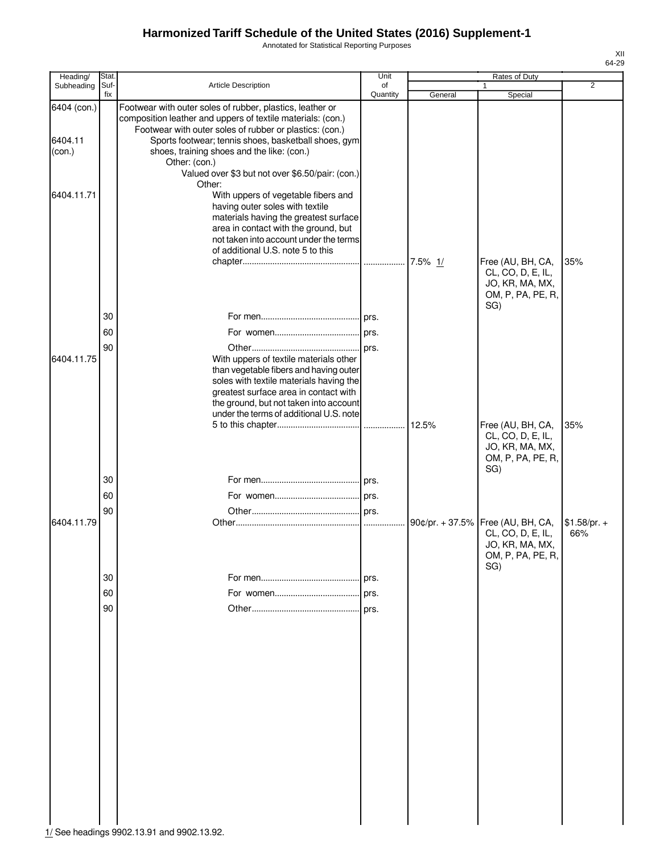Annotated for Statistical Reporting Purposes

| Heading/<br>Stat.<br>Unit                                                                                                                                                                                                                                                                                                                                                                                    | Rates of Duty                                                                         |                      |
|--------------------------------------------------------------------------------------------------------------------------------------------------------------------------------------------------------------------------------------------------------------------------------------------------------------------------------------------------------------------------------------------------------------|---------------------------------------------------------------------------------------|----------------------|
| Suf-<br>Article Description<br>Subheading<br>of<br>1<br>fix<br>Quantity<br>General                                                                                                                                                                                                                                                                                                                           | Special                                                                               | $\overline{2}$       |
| 6404 (con.)<br>Footwear with outer soles of rubber, plastics, leather or<br>composition leather and uppers of textile materials: (con.)<br>Footwear with outer soles of rubber or plastics: (con.)<br>6404.11<br>Sports footwear; tennis shoes, basketball shoes, gym<br>(con.)<br>shoes, training shoes and the like: (con.)<br>Other: (con.)<br>Valued over \$3 but not over \$6.50/pair: (con.)<br>Other: |                                                                                       |                      |
| With uppers of vegetable fibers and<br>6404.11.71<br>having outer soles with textile<br>materials having the greatest surface<br>area in contact with the ground, but<br>not taken into account under the terms<br>of additional U.S. note 5 to this                                                                                                                                                         | Free (AU, BH, CA,<br>CL, CO, D, E, IL,<br>JO, KR, MA, MX,                             | 35%                  |
|                                                                                                                                                                                                                                                                                                                                                                                                              | OM, P, PA, PE, R,<br>SG)                                                              |                      |
| 30                                                                                                                                                                                                                                                                                                                                                                                                           |                                                                                       |                      |
| 60                                                                                                                                                                                                                                                                                                                                                                                                           |                                                                                       |                      |
| 90<br>6404.11.75<br>With uppers of textile materials other<br>than vegetable fibers and having outer<br>soles with textile materials having the<br>greatest surface area in contact with<br>the ground, but not taken into account                                                                                                                                                                           |                                                                                       |                      |
| under the terms of additional U.S. note                                                                                                                                                                                                                                                                                                                                                                      |                                                                                       |                      |
| 12.5%                                                                                                                                                                                                                                                                                                                                                                                                        | Free (AU, BH, CA,<br>CL, CO, D, E, IL,<br>JO, KR, MA, MX,<br>OM, P, PA, PE, R,<br>SG) | 35%                  |
| 30                                                                                                                                                                                                                                                                                                                                                                                                           |                                                                                       |                      |
| 60                                                                                                                                                                                                                                                                                                                                                                                                           |                                                                                       |                      |
| 90                                                                                                                                                                                                                                                                                                                                                                                                           |                                                                                       |                      |
| 6404.11.79<br>90¢/pr. + 37.5%   Free (AU, BH, CA,<br>.                                                                                                                                                                                                                                                                                                                                                       | CL, CO, D, E, IL,<br>JO, KR, MA, MX,<br>OM, P, PA, PE, R,<br>SG)                      | $$1.58/pr. +$<br>66% |
| 30<br>prs.                                                                                                                                                                                                                                                                                                                                                                                                   |                                                                                       |                      |
| 60<br>prs.                                                                                                                                                                                                                                                                                                                                                                                                   |                                                                                       |                      |
| 90                                                                                                                                                                                                                                                                                                                                                                                                           |                                                                                       |                      |
|                                                                                                                                                                                                                                                                                                                                                                                                              |                                                                                       |                      |
|                                                                                                                                                                                                                                                                                                                                                                                                              |                                                                                       |                      |
|                                                                                                                                                                                                                                                                                                                                                                                                              |                                                                                       |                      |
|                                                                                                                                                                                                                                                                                                                                                                                                              |                                                                                       |                      |
|                                                                                                                                                                                                                                                                                                                                                                                                              |                                                                                       |                      |
|                                                                                                                                                                                                                                                                                                                                                                                                              |                                                                                       |                      |

XII 64-29

1/ See headings 9902.13.91 and 9902.13.92.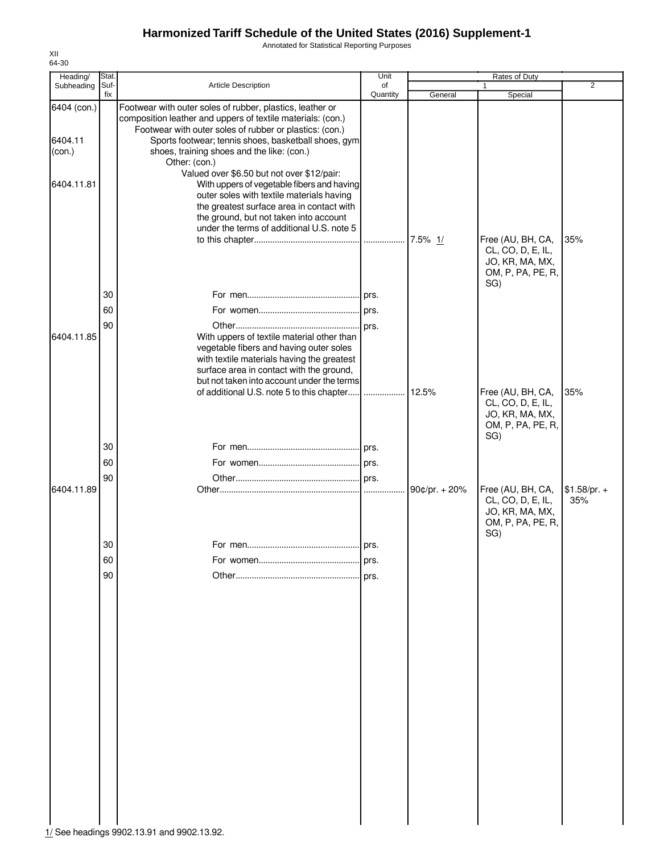Annotated for Statistical Reporting Purposes

| Heading/    | Stat.       |                                                                                                                          | Unit           |               | Rates of Duty                        |                      |
|-------------|-------------|--------------------------------------------------------------------------------------------------------------------------|----------------|---------------|--------------------------------------|----------------------|
| Subheading  | Suf-<br>fix | <b>Article Description</b>                                                                                               | of<br>Quantity | General       | 1<br>Special                         | $\overline{2}$       |
| 6404 (con.) |             | Footwear with outer soles of rubber, plastics, leather or<br>composition leather and uppers of textile materials: (con.) |                |               |                                      |                      |
| 6404.11     |             | Footwear with outer soles of rubber or plastics: (con.)<br>Sports footwear; tennis shoes, basketball shoes, gym          |                |               |                                      |                      |
| (con.)      |             | shoes, training shoes and the like: (con.)                                                                               |                |               |                                      |                      |
|             |             | Other: (con.)                                                                                                            |                |               |                                      |                      |
|             |             | Valued over \$6.50 but not over \$12/pair:                                                                               |                |               |                                      |                      |
| 6404.11.81  |             | With uppers of vegetable fibers and having<br>outer soles with textile materials having                                  |                |               |                                      |                      |
|             |             | the greatest surface area in contact with                                                                                |                |               |                                      |                      |
|             |             | the ground, but not taken into account                                                                                   |                |               |                                      |                      |
|             |             | under the terms of additional U.S. note 5                                                                                |                |               | Free (AU, BH, CA,                    | 35%                  |
|             |             |                                                                                                                          |                |               | CL, CO, D, E, IL,                    |                      |
|             |             |                                                                                                                          |                |               | JO, KR, MA, MX,                      |                      |
|             |             |                                                                                                                          |                |               | OM, P, PA, PE, R,<br>SG)             |                      |
|             | 30          |                                                                                                                          |                |               |                                      |                      |
|             | 60          |                                                                                                                          |                |               |                                      |                      |
|             | 90          |                                                                                                                          |                |               |                                      |                      |
| 6404.11.85  |             | With uppers of textile material other than                                                                               |                |               |                                      |                      |
|             |             | vegetable fibers and having outer soles                                                                                  |                |               |                                      |                      |
|             |             | with textile materials having the greatest<br>surface area in contact with the ground,                                   |                |               |                                      |                      |
|             |             | but not taken into account under the terms                                                                               |                |               |                                      |                      |
|             |             | of additional U.S. note 5 to this chapter                                                                                | .              | 12.5%         | Free (AU, BH, CA,                    | 35%                  |
|             |             |                                                                                                                          |                |               | CL, CO, D, E, IL,                    |                      |
|             |             |                                                                                                                          |                |               | JO, KR, MA, MX,<br>OM, P, PA, PE, R, |                      |
|             |             |                                                                                                                          |                |               | SG)                                  |                      |
|             | 30          |                                                                                                                          |                |               |                                      |                      |
|             | 60          |                                                                                                                          |                |               |                                      |                      |
|             | 90          |                                                                                                                          |                |               |                                      |                      |
| 6404.11.89  |             |                                                                                                                          | .              | 90¢/pr. + 20% | Free (AU, BH, CA,                    | $$1.58/pr. +$<br>35% |
|             |             |                                                                                                                          |                |               | CL, CO, D, E, IL,<br>JO, KR, MA, MX, |                      |
|             |             |                                                                                                                          |                |               | OM, P, PA, PE, R,                    |                      |
|             | 30          |                                                                                                                          |                |               | SG)                                  |                      |
|             | 60          |                                                                                                                          |                |               |                                      |                      |
|             |             |                                                                                                                          | prs.           |               |                                      |                      |
|             | 90          |                                                                                                                          | prs.           |               |                                      |                      |
|             |             |                                                                                                                          |                |               |                                      |                      |
|             |             |                                                                                                                          |                |               |                                      |                      |
|             |             |                                                                                                                          |                |               |                                      |                      |
|             |             |                                                                                                                          |                |               |                                      |                      |
|             |             |                                                                                                                          |                |               |                                      |                      |
|             |             |                                                                                                                          |                |               |                                      |                      |
|             |             |                                                                                                                          |                |               |                                      |                      |
|             |             |                                                                                                                          |                |               |                                      |                      |
|             |             |                                                                                                                          |                |               |                                      |                      |
|             |             |                                                                                                                          |                |               |                                      |                      |
|             |             |                                                                                                                          |                |               |                                      |                      |
|             |             |                                                                                                                          |                |               |                                      |                      |
|             |             |                                                                                                                          |                |               |                                      |                      |
|             |             |                                                                                                                          |                |               |                                      |                      |
|             |             |                                                                                                                          |                |               |                                      |                      |
|             |             |                                                                                                                          |                |               |                                      |                      |
|             |             | 1/ See headings 9902.13.91 and 9902.13.92.                                                                               |                |               |                                      |                      |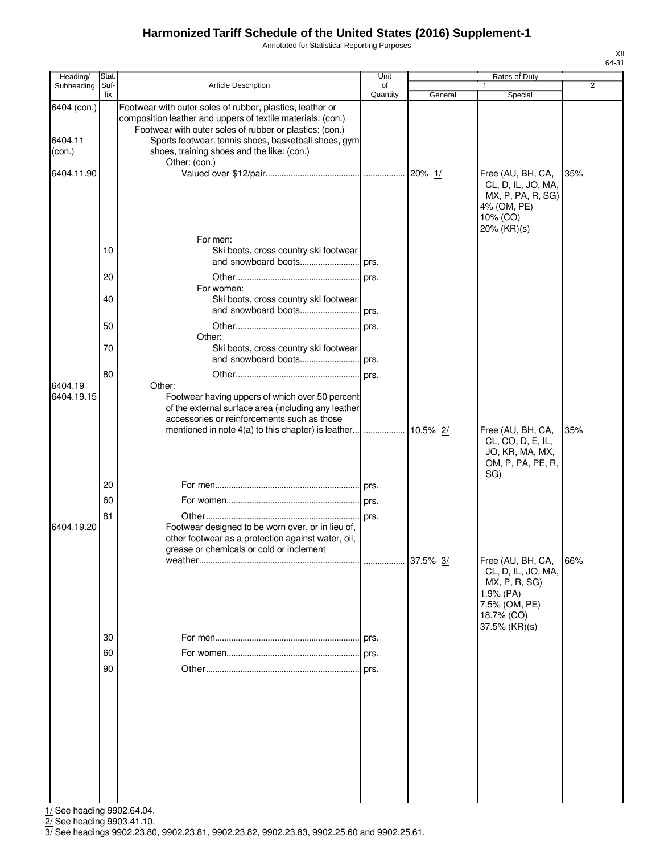Annotated for Statistical Reporting Purposes

| ı |  |
|---|--|
|   |  |

| Heading/                         | Stat.       |                                                                                                                                                                                                                                                                                                            | Unit           |         | Rates of Duty                                                                                                            |                |
|----------------------------------|-------------|------------------------------------------------------------------------------------------------------------------------------------------------------------------------------------------------------------------------------------------------------------------------------------------------------------|----------------|---------|--------------------------------------------------------------------------------------------------------------------------|----------------|
| Subheading                       | Suf-<br>fix | <b>Article Description</b>                                                                                                                                                                                                                                                                                 | of<br>Quantity | General | Special                                                                                                                  | $\overline{2}$ |
| 6404 (con.)<br>6404.11<br>(con.) |             | Footwear with outer soles of rubber, plastics, leather or<br>composition leather and uppers of textile materials: (con.)<br>Footwear with outer soles of rubber or plastics: (con.)<br>Sports footwear; tennis shoes, basketball shoes, gym<br>shoes, training shoes and the like: (con.)<br>Other: (con.) |                |         |                                                                                                                          |                |
| 6404.11.90                       |             |                                                                                                                                                                                                                                                                                                            |                |         | Free (AU, BH, CA,<br>CL, D, IL, JO, MA,<br>MX, P, PA, R, SG)<br>4% (OM, PE)<br>10% (CO)<br>20% (KR)(s)                   | 35%            |
|                                  | 10          | For men:<br>Ski boots, cross country ski footwear                                                                                                                                                                                                                                                          |                |         |                                                                                                                          |                |
|                                  | 20          |                                                                                                                                                                                                                                                                                                            |                |         |                                                                                                                          |                |
|                                  | 40          | For women:<br>Ski boots, cross country ski footwear                                                                                                                                                                                                                                                        |                |         |                                                                                                                          |                |
|                                  |             |                                                                                                                                                                                                                                                                                                            |                |         |                                                                                                                          |                |
|                                  | 50          |                                                                                                                                                                                                                                                                                                            |                |         |                                                                                                                          |                |
|                                  |             | Other:                                                                                                                                                                                                                                                                                                     |                |         |                                                                                                                          |                |
|                                  | 70          | Ski boots, cross country ski footwear                                                                                                                                                                                                                                                                      |                |         |                                                                                                                          |                |
|                                  |             | and snowboard boots                                                                                                                                                                                                                                                                                        | . prs.         |         |                                                                                                                          |                |
|                                  | 80          |                                                                                                                                                                                                                                                                                                            |                |         |                                                                                                                          |                |
| 6404.19<br>6404.19.15            |             | Other:<br>Footwear having uppers of which over 50 percent<br>of the external surface area (including any leather<br>accessories or reinforcements such as those                                                                                                                                            |                |         | Free (AU, BH, CA,<br>CL, CO, D, E, IL,                                                                                   | 35%            |
|                                  |             |                                                                                                                                                                                                                                                                                                            |                |         | JO, KR, MA, MX,<br>OM, P, PA, PE, R,<br>SG)                                                                              |                |
|                                  | 20          |                                                                                                                                                                                                                                                                                                            |                |         |                                                                                                                          |                |
|                                  | 60          |                                                                                                                                                                                                                                                                                                            |                |         |                                                                                                                          |                |
| 6404.19.20                       | 81          | Footwear designed to be worn over, or in lieu of,<br>other footwear as a protection against water, oil,<br>grease or chemicals or cold or inclement                                                                                                                                                        |                |         |                                                                                                                          |                |
|                                  |             |                                                                                                                                                                                                                                                                                                            |                |         | Free (AU, BH, CA,<br>CL, D, IL, JO, MA,<br>MX, P, R, SG)<br>$1.9\%$ (PA)<br>7.5% (OM, PE)<br>18.7% (CO)<br>37.5% (KR)(s) | 66%            |
|                                  | 30          |                                                                                                                                                                                                                                                                                                            |                |         |                                                                                                                          |                |
|                                  | 60          |                                                                                                                                                                                                                                                                                                            |                |         |                                                                                                                          |                |
|                                  | 90          |                                                                                                                                                                                                                                                                                                            |                |         |                                                                                                                          |                |
|                                  |             |                                                                                                                                                                                                                                                                                                            |                |         |                                                                                                                          |                |
| 1/ See heading 9902.64.04.       |             |                                                                                                                                                                                                                                                                                                            |                |         |                                                                                                                          |                |

2/ See heading 9903.41.10.

3/ See headings 9902.23.80, 9902.23.81, 9902.23.82, 9902.23.83, 9902.25.60 and 9902.25.61.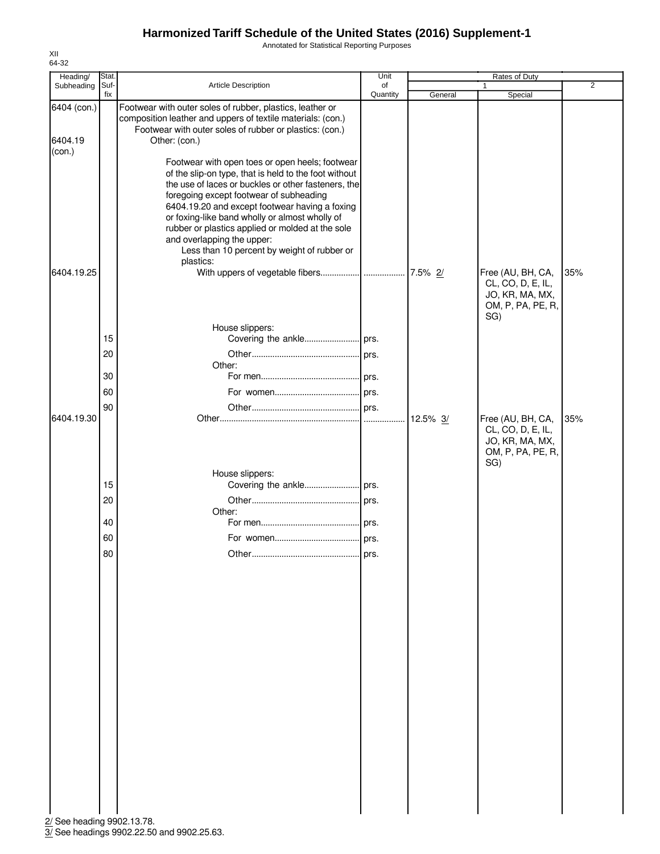Annotated for Statistical Reporting Purposes

| Heading/                   | Stat. |                                                                                                                                                                                                      | Unit     |          | Rates of Duty     |     |
|----------------------------|-------|------------------------------------------------------------------------------------------------------------------------------------------------------------------------------------------------------|----------|----------|-------------------|-----|
| Subheading                 | Suf-  | Article Description                                                                                                                                                                                  | of       |          | 1                 | 2   |
|                            | fix   |                                                                                                                                                                                                      | Quantity | General  | Special           |     |
| 6404 (con.)<br>6404.19     |       | Footwear with outer soles of rubber, plastics, leather or<br>composition leather and uppers of textile materials: (con.)<br>Footwear with outer soles of rubber or plastics: (con.)<br>Other: (con.) |          |          |                   |     |
| (con.)                     |       |                                                                                                                                                                                                      |          |          |                   |     |
|                            |       | Footwear with open toes or open heels; footwear                                                                                                                                                      |          |          |                   |     |
|                            |       | of the slip-on type, that is held to the foot without                                                                                                                                                |          |          |                   |     |
|                            |       | the use of laces or buckles or other fasteners, the                                                                                                                                                  |          |          |                   |     |
|                            |       | foregoing except footwear of subheading                                                                                                                                                              |          |          |                   |     |
|                            |       | 6404.19.20 and except footwear having a foxing                                                                                                                                                       |          |          |                   |     |
|                            |       | or foxing-like band wholly or almost wholly of                                                                                                                                                       |          |          |                   |     |
|                            |       | rubber or plastics applied or molded at the sole<br>and overlapping the upper:                                                                                                                       |          |          |                   |     |
|                            |       | Less than 10 percent by weight of rubber or                                                                                                                                                          |          |          |                   |     |
|                            |       | plastics:                                                                                                                                                                                            |          |          |                   |     |
| 6404.19.25                 |       |                                                                                                                                                                                                      |          |          | Free (AU, BH, CA, | 35% |
|                            |       |                                                                                                                                                                                                      |          |          | CL, CO, D, E, IL, |     |
|                            |       |                                                                                                                                                                                                      |          |          | JO, KR, MA, MX,   |     |
|                            |       |                                                                                                                                                                                                      |          |          | OM, P, PA, PE, R, |     |
|                            |       | House slippers:                                                                                                                                                                                      |          |          | SG)               |     |
|                            | 15    |                                                                                                                                                                                                      |          |          |                   |     |
|                            | 20    |                                                                                                                                                                                                      |          |          |                   |     |
|                            |       | Other:                                                                                                                                                                                               |          |          |                   |     |
|                            | 30    |                                                                                                                                                                                                      |          |          |                   |     |
|                            | 60    |                                                                                                                                                                                                      |          |          |                   |     |
|                            | 90    |                                                                                                                                                                                                      |          |          |                   |     |
| 6404.19.30                 |       |                                                                                                                                                                                                      |          | 12.5% 3/ | Free (AU, BH, CA, | 35% |
|                            |       |                                                                                                                                                                                                      |          |          | CL, CO, D, E, IL, |     |
|                            |       |                                                                                                                                                                                                      |          |          | JO, KR, MA, MX,   |     |
|                            |       |                                                                                                                                                                                                      |          |          | OM, P, PA, PE, R, |     |
|                            |       |                                                                                                                                                                                                      |          |          | SG)               |     |
|                            | 15    | House slippers:                                                                                                                                                                                      |          |          |                   |     |
|                            |       |                                                                                                                                                                                                      |          |          |                   |     |
|                            | 20    | Other:                                                                                                                                                                                               |          |          |                   |     |
|                            | 40    |                                                                                                                                                                                                      |          |          |                   |     |
|                            | 60    |                                                                                                                                                                                                      |          |          |                   |     |
|                            |       |                                                                                                                                                                                                      |          |          |                   |     |
|                            | 80    |                                                                                                                                                                                                      | . prs.   |          |                   |     |
|                            |       |                                                                                                                                                                                                      |          |          |                   |     |
|                            |       |                                                                                                                                                                                                      |          |          |                   |     |
|                            |       |                                                                                                                                                                                                      |          |          |                   |     |
|                            |       |                                                                                                                                                                                                      |          |          |                   |     |
|                            |       |                                                                                                                                                                                                      |          |          |                   |     |
|                            |       |                                                                                                                                                                                                      |          |          |                   |     |
|                            |       |                                                                                                                                                                                                      |          |          |                   |     |
|                            |       |                                                                                                                                                                                                      |          |          |                   |     |
|                            |       |                                                                                                                                                                                                      |          |          |                   |     |
|                            |       |                                                                                                                                                                                                      |          |          |                   |     |
|                            |       |                                                                                                                                                                                                      |          |          |                   |     |
|                            |       |                                                                                                                                                                                                      |          |          |                   |     |
|                            |       |                                                                                                                                                                                                      |          |          |                   |     |
|                            |       |                                                                                                                                                                                                      |          |          |                   |     |
|                            |       |                                                                                                                                                                                                      |          |          |                   |     |
|                            |       |                                                                                                                                                                                                      |          |          |                   |     |
|                            |       |                                                                                                                                                                                                      |          |          |                   |     |
|                            |       |                                                                                                                                                                                                      |          |          |                   |     |
|                            |       |                                                                                                                                                                                                      |          |          |                   |     |
| 2/ See heading 9902.13.78. |       |                                                                                                                                                                                                      |          |          |                   |     |

3/ See headings 9902.22.50 and 9902.25.63.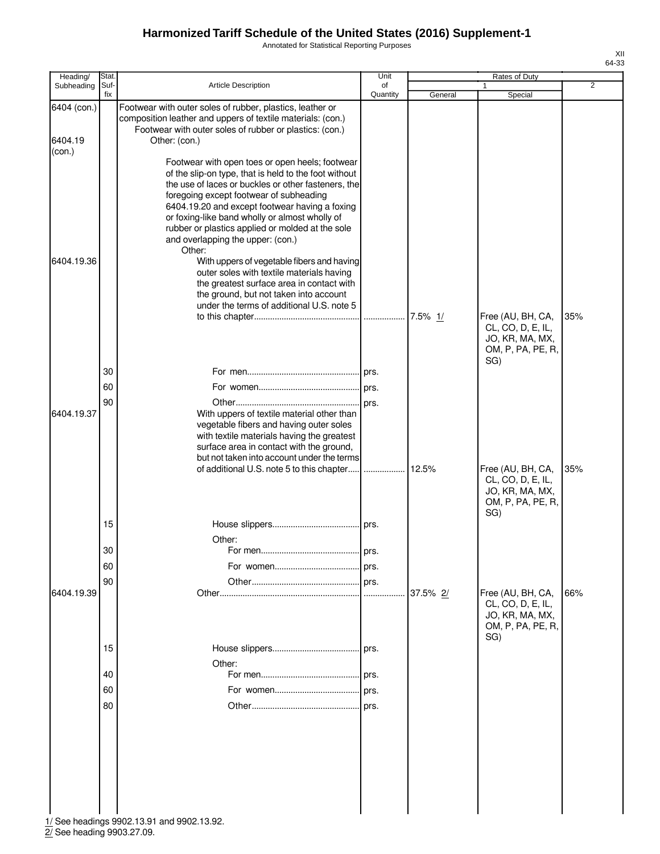Annotated for Statistical Reporting Purposes

| Heading/                         | Stat.          |                                                                                                                                                                                                                                                                                                                                                                                                                                    | Unit           |          | Rates of Duty                                                                         |                |
|----------------------------------|----------------|------------------------------------------------------------------------------------------------------------------------------------------------------------------------------------------------------------------------------------------------------------------------------------------------------------------------------------------------------------------------------------------------------------------------------------|----------------|----------|---------------------------------------------------------------------------------------|----------------|
| Subheading                       | Suf-<br>fix    | <b>Article Description</b>                                                                                                                                                                                                                                                                                                                                                                                                         | of<br>Quantity | General  | 1<br>Special                                                                          | $\overline{2}$ |
| 6404 (con.)<br>6404.19<br>(con.) |                | Footwear with outer soles of rubber, plastics, leather or<br>composition leather and uppers of textile materials: (con.)<br>Footwear with outer soles of rubber or plastics: (con.)<br>Other: (con.)<br>Footwear with open toes or open heels; footwear<br>of the slip-on type, that is held to the foot without<br>the use of laces or buckles or other fasteners, the<br>foregoing except footwear of subheading                 |                |          |                                                                                       |                |
| 6404.19.36                       |                | 6404.19.20 and except footwear having a foxing<br>or foxing-like band wholly or almost wholly of<br>rubber or plastics applied or molded at the sole<br>and overlapping the upper: (con.)<br>Other:<br>With uppers of vegetable fibers and having<br>outer soles with textile materials having<br>the greatest surface area in contact with<br>the ground, but not taken into account<br>under the terms of additional U.S. note 5 |                | 7.5% 1/  | Free (AU, BH, CA,<br>CL, CO, D, E, IL,<br>JO, KR, MA, MX,<br>OM, P, PA, PE, R,        | 35%            |
| 6404.19.37                       | 30<br>60<br>90 | With uppers of textile material other than<br>vegetable fibers and having outer soles<br>with textile materials having the greatest<br>surface area in contact with the ground,                                                                                                                                                                                                                                                    |                |          | SG)                                                                                   |                |
|                                  |                | but not taken into account under the terms<br>of additional U.S. note 5 to this chapter                                                                                                                                                                                                                                                                                                                                            | .              | 12.5%    | Free (AU, BH, CA,<br>CL, CO, D, E, IL,<br>JO, KR, MA, MX,<br>OM, P, PA, PE, R,<br>SG) | 35%            |
|                                  | 15             |                                                                                                                                                                                                                                                                                                                                                                                                                                    |                |          |                                                                                       |                |
|                                  | 30             | Other:                                                                                                                                                                                                                                                                                                                                                                                                                             | prs.           |          |                                                                                       |                |
|                                  | 60             |                                                                                                                                                                                                                                                                                                                                                                                                                                    |                |          |                                                                                       |                |
| 6404.19.39                       | 90             |                                                                                                                                                                                                                                                                                                                                                                                                                                    | .              | 37.5% 2/ | Free (AU, BH, CA,<br>CL, CO, D, E, IL,<br>JO, KR, MA, MX,<br>OM, P, PA, PE, R,        | 66%            |
|                                  | 15             | Other:                                                                                                                                                                                                                                                                                                                                                                                                                             |                |          | SG)                                                                                   |                |
|                                  | 40             |                                                                                                                                                                                                                                                                                                                                                                                                                                    |                |          |                                                                                       |                |
|                                  | 60             |                                                                                                                                                                                                                                                                                                                                                                                                                                    |                |          |                                                                                       |                |
|                                  | 80             |                                                                                                                                                                                                                                                                                                                                                                                                                                    |                |          |                                                                                       |                |
|                                  |                |                                                                                                                                                                                                                                                                                                                                                                                                                                    |                |          |                                                                                       |                |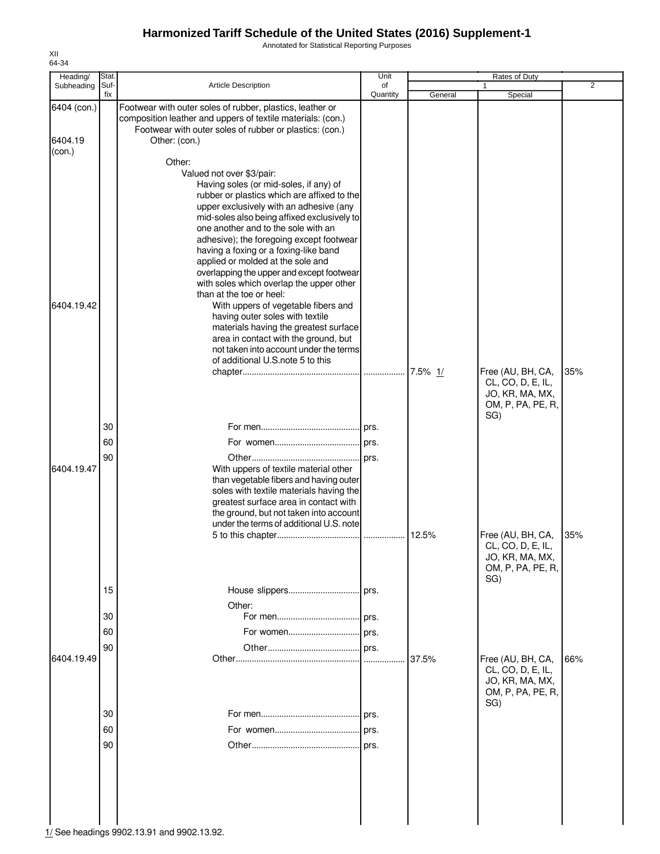Annotated for Statistical Reporting Purposes

| Heading/                         | Stat.                                  |                                                                                                                                                                                                                                                                                                                                                                                                                                                                                                                                                                                                                                                                                                                                              | Unit           |         | Rates of Duty                                                                                                     |                |
|----------------------------------|----------------------------------------|----------------------------------------------------------------------------------------------------------------------------------------------------------------------------------------------------------------------------------------------------------------------------------------------------------------------------------------------------------------------------------------------------------------------------------------------------------------------------------------------------------------------------------------------------------------------------------------------------------------------------------------------------------------------------------------------------------------------------------------------|----------------|---------|-------------------------------------------------------------------------------------------------------------------|----------------|
| Subheading                       | Suf-<br>fix                            | <b>Article Description</b>                                                                                                                                                                                                                                                                                                                                                                                                                                                                                                                                                                                                                                                                                                                   | of<br>Quantity | General | Special                                                                                                           | $\overline{2}$ |
| 6404 (con.)<br>6404.19<br>(con.) |                                        | Footwear with outer soles of rubber, plastics, leather or<br>composition leather and uppers of textile materials: (con.)<br>Footwear with outer soles of rubber or plastics: (con.)<br>Other: (con.)<br>Other:                                                                                                                                                                                                                                                                                                                                                                                                                                                                                                                               |                |         |                                                                                                                   |                |
| 6404.19.42                       |                                        | Valued not over \$3/pair:<br>Having soles (or mid-soles, if any) of<br>rubber or plastics which are affixed to the<br>upper exclusively with an adhesive (any<br>mid-soles also being affixed exclusively to<br>one another and to the sole with an<br>adhesive); the foregoing except footwear<br>having a foxing or a foxing-like band<br>applied or molded at the sole and<br>overlapping the upper and except footwear<br>with soles which overlap the upper other<br>than at the toe or heel:<br>With uppers of vegetable fibers and<br>having outer soles with textile<br>materials having the greatest surface<br>area in contact with the ground, but<br>not taken into account under the terms<br>of additional U.S. note 5 to this |                |         | Free (AU, BH, CA,<br>CL, CO, D, E, IL,                                                                            | 35%            |
| 6404.19.47                       | 30<br>60<br>90                         | With uppers of textile material other<br>than vegetable fibers and having outer<br>soles with textile materials having the<br>greatest surface area in contact with<br>the ground, but not taken into account<br>under the terms of additional U.S. note                                                                                                                                                                                                                                                                                                                                                                                                                                                                                     |                | 12.5%   | JO, KR, MA, MX,<br>OM, P, PA, PE, R,<br>SG)<br>Free (AU, BH, CA,<br>CL, CO, D, E, IL,<br>JO, KR, MA, MX,          | 35%            |
| 6404.19.49                       | 15<br>30<br>60<br>90<br>30<br>60<br>90 | Other:<br>For women prs.                                                                                                                                                                                                                                                                                                                                                                                                                                                                                                                                                                                                                                                                                                                     | prs.<br>prs.   | 37.5%   | OM, P, PA, PE, R,<br>SG)<br>Free (AU, BH, CA,<br>CL, CO, D, E, IL,<br>JO, KR, MA, MX,<br>OM, P, PA, PE, R,<br>SG) | 66%            |
|                                  |                                        |                                                                                                                                                                                                                                                                                                                                                                                                                                                                                                                                                                                                                                                                                                                                              |                |         |                                                                                                                   |                |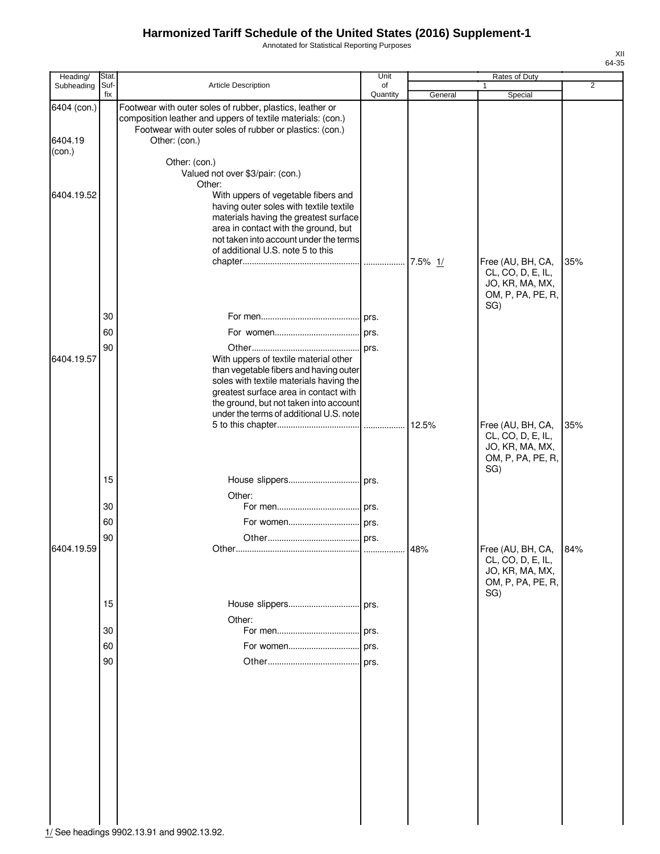Annotated for Statistical Reporting Purposes

| Heading/    | Stat.       |                                                                                                                                                                                     | Unit           |         | Rates of Duty                        |                |
|-------------|-------------|-------------------------------------------------------------------------------------------------------------------------------------------------------------------------------------|----------------|---------|--------------------------------------|----------------|
| Subheading  | Suf-<br>fix | <b>Article Description</b>                                                                                                                                                          | of<br>Quantity | General | Special                              | $\overline{2}$ |
| 6404 (con.) |             | Footwear with outer soles of rubber, plastics, leather or<br>composition leather and uppers of textile materials: (con.)<br>Footwear with outer soles of rubber or plastics: (con.) |                |         |                                      |                |
| 6404.19     |             | Other: (con.)                                                                                                                                                                       |                |         |                                      |                |
| (con.)      |             |                                                                                                                                                                                     |                |         |                                      |                |
|             |             | Other: (con.)<br>Valued not over \$3/pair: (con.)                                                                                                                                   |                |         |                                      |                |
|             |             | Other:                                                                                                                                                                              |                |         |                                      |                |
| 6404.19.52  |             | With uppers of vegetable fibers and                                                                                                                                                 |                |         |                                      |                |
|             |             | having outer soles with textile textile<br>materials having the greatest surface                                                                                                    |                |         |                                      |                |
|             |             | area in contact with the ground, but                                                                                                                                                |                |         |                                      |                |
|             |             | not taken into account under the terms                                                                                                                                              |                |         |                                      |                |
|             |             | of additional U.S. note 5 to this                                                                                                                                                   |                |         | Free (AU, BH, CA,                    | 35%            |
|             |             |                                                                                                                                                                                     |                |         | CL, CO, D, E, IL,                    |                |
|             |             |                                                                                                                                                                                     |                |         | JO, KR, MA, MX,                      |                |
|             |             |                                                                                                                                                                                     |                |         | OM, P, PA, PE, R,<br>SG)             |                |
|             | 30          |                                                                                                                                                                                     |                |         |                                      |                |
|             | 60          |                                                                                                                                                                                     |                |         |                                      |                |
|             | 90          |                                                                                                                                                                                     |                |         |                                      |                |
| 6404.19.57  |             | With uppers of textile material other                                                                                                                                               |                |         |                                      |                |
|             |             | than vegetable fibers and having outer<br>soles with textile materials having the                                                                                                   |                |         |                                      |                |
|             |             | greatest surface area in contact with                                                                                                                                               |                |         |                                      |                |
|             |             | the ground, but not taken into account                                                                                                                                              |                |         |                                      |                |
|             |             | under the terms of additional U.S. note                                                                                                                                             |                |         | Free (AU, BH, CA,                    | 35%            |
|             |             |                                                                                                                                                                                     |                |         | CL, CO, D, E, IL,                    |                |
|             |             |                                                                                                                                                                                     |                |         | JO, KR, MA, MX,                      |                |
|             |             |                                                                                                                                                                                     |                |         | OM, P, PA, PE, R,<br>SG)             |                |
|             | 15          |                                                                                                                                                                                     |                |         |                                      |                |
|             |             | Other:                                                                                                                                                                              |                |         |                                      |                |
|             | 30          |                                                                                                                                                                                     |                |         |                                      |                |
|             | 60          | For women prs.                                                                                                                                                                      |                |         |                                      |                |
|             | 90          |                                                                                                                                                                                     |                |         |                                      |                |
| 6404.19.59  |             |                                                                                                                                                                                     |                | 48%     | Free (AU, BH, CA,                    | 84%            |
|             |             |                                                                                                                                                                                     |                |         | CL, CO, D, E, IL,<br>JO, KR, MA, MX, |                |
|             |             |                                                                                                                                                                                     |                |         | OM, P, PA, PE, R,                    |                |
|             |             |                                                                                                                                                                                     |                |         | SG)                                  |                |
|             | 15          |                                                                                                                                                                                     |                |         |                                      |                |
|             | 30          | Other:                                                                                                                                                                              | prs.           |         |                                      |                |
|             | 60          | For women prs.                                                                                                                                                                      |                |         |                                      |                |
|             | 90          |                                                                                                                                                                                     | prs.           |         |                                      |                |
|             |             |                                                                                                                                                                                     |                |         |                                      |                |
|             |             |                                                                                                                                                                                     |                |         |                                      |                |
|             |             |                                                                                                                                                                                     |                |         |                                      |                |
|             |             |                                                                                                                                                                                     |                |         |                                      |                |
|             |             |                                                                                                                                                                                     |                |         |                                      |                |
|             |             |                                                                                                                                                                                     |                |         |                                      |                |
|             |             |                                                                                                                                                                                     |                |         |                                      |                |
|             |             |                                                                                                                                                                                     |                |         |                                      |                |
|             |             |                                                                                                                                                                                     |                |         |                                      |                |
|             |             |                                                                                                                                                                                     |                |         |                                      |                |
|             |             |                                                                                                                                                                                     |                |         |                                      |                |
|             |             | 1/ See headings 9902.13.91 and 9902.13.92.                                                                                                                                          |                |         |                                      |                |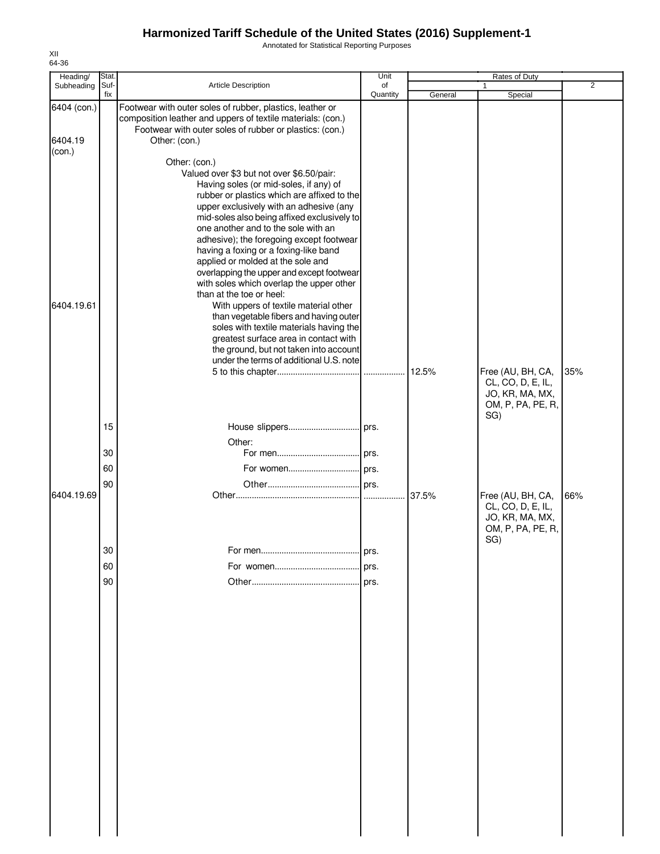Annotated for Statistical Reporting Purposes

| Heading/<br>Subheading | Stat.<br>Suf- | <b>Article Description</b>                                                                                                                                                          | Unit<br>of |         | Rates of Duty<br>1                     | $\overline{2}$ |
|------------------------|---------------|-------------------------------------------------------------------------------------------------------------------------------------------------------------------------------------|------------|---------|----------------------------------------|----------------|
|                        | fix           |                                                                                                                                                                                     | Quantity   | General | Special                                |                |
| 6404 (con.)            |               | Footwear with outer soles of rubber, plastics, leather or<br>composition leather and uppers of textile materials: (con.)<br>Footwear with outer soles of rubber or plastics: (con.) |            |         |                                        |                |
| 6404.19                |               | Other: (con.)                                                                                                                                                                       |            |         |                                        |                |
| (con.)                 |               |                                                                                                                                                                                     |            |         |                                        |                |
|                        |               | Other: (con.)                                                                                                                                                                       |            |         |                                        |                |
|                        |               | Valued over \$3 but not over \$6.50/pair:<br>Having soles (or mid-soles, if any) of                                                                                                 |            |         |                                        |                |
|                        |               | rubber or plastics which are affixed to the                                                                                                                                         |            |         |                                        |                |
|                        |               | upper exclusively with an adhesive (any                                                                                                                                             |            |         |                                        |                |
|                        |               | mid-soles also being affixed exclusively to                                                                                                                                         |            |         |                                        |                |
|                        |               | one another and to the sole with an<br>adhesive); the foregoing except footwear                                                                                                     |            |         |                                        |                |
|                        |               | having a foxing or a foxing-like band                                                                                                                                               |            |         |                                        |                |
|                        |               | applied or molded at the sole and                                                                                                                                                   |            |         |                                        |                |
|                        |               | overlapping the upper and except footwear                                                                                                                                           |            |         |                                        |                |
|                        |               | with soles which overlap the upper other<br>than at the toe or heel:                                                                                                                |            |         |                                        |                |
| 6404.19.61             |               | With uppers of textile material other                                                                                                                                               |            |         |                                        |                |
|                        |               | than vegetable fibers and having outer                                                                                                                                              |            |         |                                        |                |
|                        |               | soles with textile materials having the                                                                                                                                             |            |         |                                        |                |
|                        |               | greatest surface area in contact with<br>the ground, but not taken into account                                                                                                     |            |         |                                        |                |
|                        |               | under the terms of additional U.S. note                                                                                                                                             |            |         |                                        |                |
|                        |               |                                                                                                                                                                                     |            | 12.5%   | Free (AU, BH, CA,                      | 35%            |
|                        |               |                                                                                                                                                                                     |            |         | CL, CO, D, E, IL,<br>JO, KR, MA, MX,   |                |
|                        |               |                                                                                                                                                                                     |            |         | OM, P, PA, PE, R,                      |                |
|                        |               |                                                                                                                                                                                     |            |         | SG)                                    |                |
|                        | 15            |                                                                                                                                                                                     |            |         |                                        |                |
|                        |               | Other:                                                                                                                                                                              |            |         |                                        |                |
|                        | 30            |                                                                                                                                                                                     |            |         |                                        |                |
|                        | 60            | For women prs.                                                                                                                                                                      |            |         |                                        |                |
|                        | 90            |                                                                                                                                                                                     |            |         |                                        |                |
| 6404.19.69             |               |                                                                                                                                                                                     |            | 37.5%   | Free (AU, BH, CA,<br>CL, CO, D, E, IL, | 66%            |
|                        |               |                                                                                                                                                                                     |            |         | JO, KR, MA, MX,                        |                |
|                        |               |                                                                                                                                                                                     |            |         | OM, P, PA, PE, R,                      |                |
|                        |               |                                                                                                                                                                                     |            |         | SG)                                    |                |
|                        | 30            |                                                                                                                                                                                     | prs.       |         |                                        |                |
|                        | 60            |                                                                                                                                                                                     | prs.       |         |                                        |                |
|                        | 90            |                                                                                                                                                                                     |            |         |                                        |                |
|                        |               |                                                                                                                                                                                     |            |         |                                        |                |
|                        |               |                                                                                                                                                                                     |            |         |                                        |                |
|                        |               |                                                                                                                                                                                     |            |         |                                        |                |
|                        |               |                                                                                                                                                                                     |            |         |                                        |                |
|                        |               |                                                                                                                                                                                     |            |         |                                        |                |
|                        |               |                                                                                                                                                                                     |            |         |                                        |                |
|                        |               |                                                                                                                                                                                     |            |         |                                        |                |
|                        |               |                                                                                                                                                                                     |            |         |                                        |                |
|                        |               |                                                                                                                                                                                     |            |         |                                        |                |
|                        |               |                                                                                                                                                                                     |            |         |                                        |                |
|                        |               |                                                                                                                                                                                     |            |         |                                        |                |
|                        |               |                                                                                                                                                                                     |            |         |                                        |                |
|                        |               |                                                                                                                                                                                     |            |         |                                        |                |
|                        |               |                                                                                                                                                                                     |            |         |                                        |                |
|                        |               |                                                                                                                                                                                     |            |         |                                        |                |
|                        |               |                                                                                                                                                                                     |            |         |                                        |                |
|                        |               |                                                                                                                                                                                     |            |         |                                        |                |
|                        |               |                                                                                                                                                                                     |            |         |                                        |                |
|                        |               |                                                                                                                                                                                     |            |         |                                        |                |

XII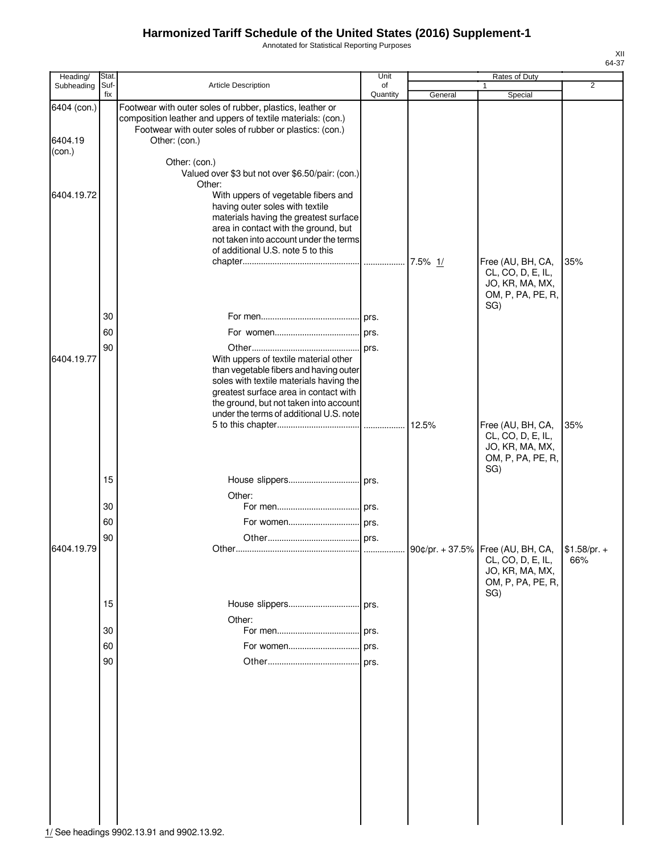Annotated for Statistical Reporting Purposes

XII 64-37

| Heading/          | Stat.       |                                                                                                                                                                                                                                                          | Unit           |         | Rates of Duty                                                                         |                      |
|-------------------|-------------|----------------------------------------------------------------------------------------------------------------------------------------------------------------------------------------------------------------------------------------------------------|----------------|---------|---------------------------------------------------------------------------------------|----------------------|
| Subheading        | Suf-<br>fix | Article Description                                                                                                                                                                                                                                      | of<br>Quantity | General | 1<br>Special                                                                          | $\overline{2}$       |
| 6404 (con.)       |             | Footwear with outer soles of rubber, plastics, leather or<br>composition leather and uppers of textile materials: (con.)<br>Footwear with outer soles of rubber or plastics: (con.)                                                                      |                |         |                                                                                       |                      |
| 6404.19<br>(con.) |             | Other: (con.)                                                                                                                                                                                                                                            |                |         |                                                                                       |                      |
|                   |             | Other: (con.)<br>Valued over \$3 but not over \$6.50/pair: (con.)<br>Other:                                                                                                                                                                              |                |         |                                                                                       |                      |
| 6404.19.72        |             | With uppers of vegetable fibers and<br>having outer soles with textile<br>materials having the greatest surface<br>area in contact with the ground, but<br>not taken into account under the terms<br>of additional U.S. note 5 to this                   |                |         |                                                                                       |                      |
|                   |             |                                                                                                                                                                                                                                                          |                |         | Free (AU, BH, CA,<br>CL, CO, D, E, IL,<br>JO, KR, MA, MX,<br>OM, P, PA, PE, R,        | 35%                  |
|                   | 30          |                                                                                                                                                                                                                                                          |                |         | SG)                                                                                   |                      |
|                   | 60          |                                                                                                                                                                                                                                                          |                |         |                                                                                       |                      |
|                   | 90          |                                                                                                                                                                                                                                                          |                |         |                                                                                       |                      |
| 6404.19.77        |             | With uppers of textile material other<br>than vegetable fibers and having outer<br>soles with textile materials having the<br>greatest surface area in contact with<br>the ground, but not taken into account<br>under the terms of additional U.S. note |                |         |                                                                                       |                      |
|                   |             |                                                                                                                                                                                                                                                          |                |         | Free (AU, BH, CA,<br>CL, CO, D, E, IL,<br>JO, KR, MA, MX,<br>OM, P, PA, PE, R,<br>SG) | 35%                  |
|                   | 15          | Other:                                                                                                                                                                                                                                                   |                |         |                                                                                       |                      |
|                   | 30          |                                                                                                                                                                                                                                                          |                |         |                                                                                       |                      |
|                   | 60          |                                                                                                                                                                                                                                                          |                |         |                                                                                       |                      |
|                   | 90          |                                                                                                                                                                                                                                                          |                |         |                                                                                       |                      |
| 6404.19.79        |             |                                                                                                                                                                                                                                                          |                |         | CL, CO, D, E, IL,<br>JO, KR, MA, MX,<br>OM, P, PA, PE, R,<br>SG)                      | $$1.58/pr. +$<br>66% |
|                   | 15          | Other:                                                                                                                                                                                                                                                   |                |         |                                                                                       |                      |
|                   | 30          |                                                                                                                                                                                                                                                          |                |         |                                                                                       |                      |
|                   | 60          |                                                                                                                                                                                                                                                          |                |         |                                                                                       |                      |
|                   | 90          |                                                                                                                                                                                                                                                          |                |         |                                                                                       |                      |
|                   |             |                                                                                                                                                                                                                                                          |                |         |                                                                                       |                      |
|                   |             |                                                                                                                                                                                                                                                          |                |         |                                                                                       |                      |
|                   |             |                                                                                                                                                                                                                                                          |                |         |                                                                                       |                      |
|                   |             |                                                                                                                                                                                                                                                          |                |         |                                                                                       |                      |
|                   |             |                                                                                                                                                                                                                                                          |                |         |                                                                                       |                      |

1/ See headings 9902.13.91 and 9902.13.92.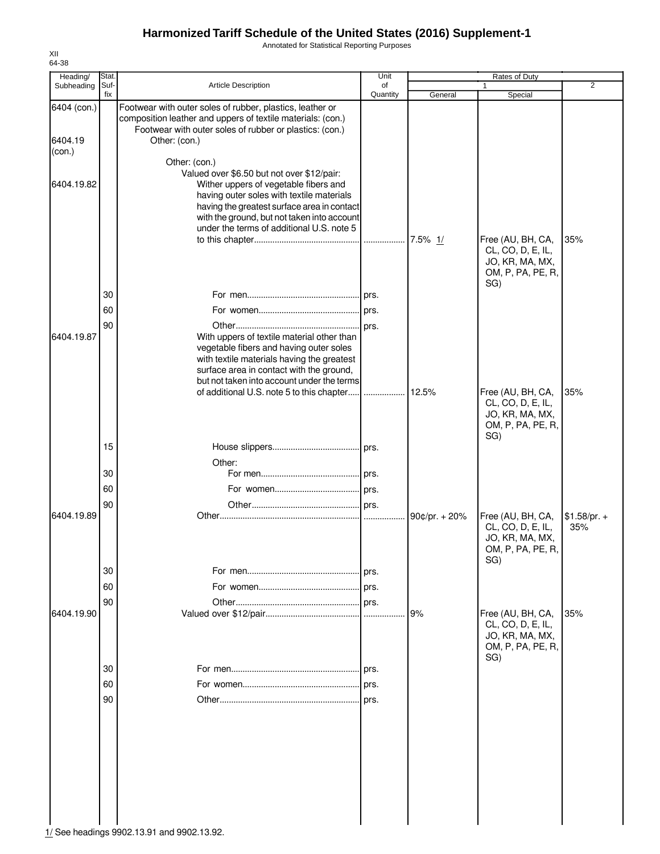Annotated for Statistical Reporting Purposes

| Heading/          | Stat.       |                                                                                                                                                                                                                                                                             | Unit           |                      | Rates of Duty                                                                         |                      |
|-------------------|-------------|-----------------------------------------------------------------------------------------------------------------------------------------------------------------------------------------------------------------------------------------------------------------------------|----------------|----------------------|---------------------------------------------------------------------------------------|----------------------|
| Subheading        | Suf-<br>fix | Article Description                                                                                                                                                                                                                                                         | of<br>Quantity | General              | Special                                                                               | $\overline{2}$       |
| 6404 (con.)       |             | Footwear with outer soles of rubber, plastics, leather or<br>composition leather and uppers of textile materials: (con.)<br>Footwear with outer soles of rubber or plastics: (con.)                                                                                         |                |                      |                                                                                       |                      |
| 6404.19<br>(con.) |             | Other: (con.)<br>Other: (con.)                                                                                                                                                                                                                                              |                |                      |                                                                                       |                      |
| 6404.19.82        |             | Valued over \$6.50 but not over \$12/pair:<br>Wither uppers of vegetable fibers and<br>having outer soles with textile materials<br>having the greatest surface area in contact<br>with the ground, but not taken into account<br>under the terms of additional U.S. note 5 |                |                      | Free (AU, BH, CA,<br>CL, CO, D, E, IL,<br>JO, KR, MA, MX,<br>OM, P, PA, PE, R,        | 35%                  |
|                   | 30          |                                                                                                                                                                                                                                                                             |                |                      | SG)                                                                                   |                      |
|                   | 60          |                                                                                                                                                                                                                                                                             |                |                      |                                                                                       |                      |
| 6404.19.87        | 90          | With uppers of textile material other than<br>vegetable fibers and having outer soles<br>with textile materials having the greatest<br>surface area in contact with the ground,                                                                                             |                |                      |                                                                                       |                      |
|                   |             | but not taken into account under the terms<br>of additional U.S. note 5 to this chapter                                                                                                                                                                                     |                | 12.5%                | Free (AU, BH, CA,<br>CL, CO, D, E, IL,<br>JO, KR, MA, MX,<br>OM, P, PA, PE, R,<br>SG) | 35%                  |
|                   | 15          | Other:                                                                                                                                                                                                                                                                      |                |                      |                                                                                       |                      |
|                   | 30          |                                                                                                                                                                                                                                                                             |                |                      |                                                                                       |                      |
|                   | 60          |                                                                                                                                                                                                                                                                             |                |                      |                                                                                       |                      |
|                   | 90          |                                                                                                                                                                                                                                                                             |                |                      |                                                                                       |                      |
| 6404.19.89        |             |                                                                                                                                                                                                                                                                             | .              | 90 $\phi$ /pr. + 20% | Free (AU, BH, CA,<br>CL, CO, D, E, IL,<br>JO, KR, MA, MX,<br>OM, P, PA, PE, R,<br>SG) | $$1.58/pr. +$<br>35% |
|                   | 30          |                                                                                                                                                                                                                                                                             | prs.           |                      |                                                                                       |                      |
|                   | 60          |                                                                                                                                                                                                                                                                             | prs.           |                      |                                                                                       |                      |
| 6404.19.90        | 90          |                                                                                                                                                                                                                                                                             |                | 9%                   | Free (AU, BH, CA,<br>CL, CO, D, E, IL,<br>JO, KR, MA, MX,<br>OM, P, PA, PE, R,        | 35%                  |
|                   | 30          |                                                                                                                                                                                                                                                                             | prs.           |                      | SG)                                                                                   |                      |
|                   | 60          |                                                                                                                                                                                                                                                                             | prs.           |                      |                                                                                       |                      |
|                   | 90          |                                                                                                                                                                                                                                                                             | prs.           |                      |                                                                                       |                      |
|                   |             |                                                                                                                                                                                                                                                                             |                |                      |                                                                                       |                      |

XII 64-38

1/ See headings 9902.13.91 and 9902.13.92.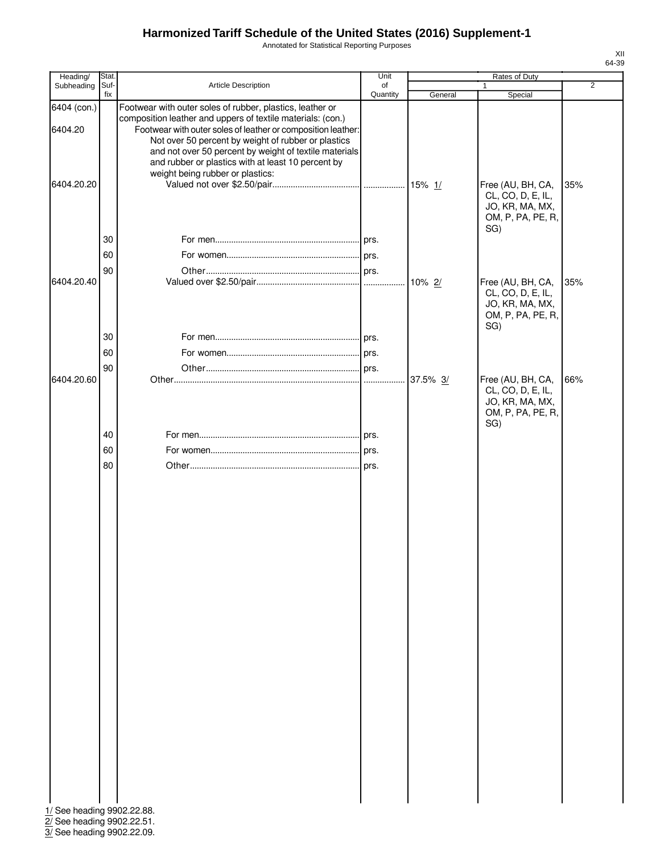Annotated for Statistical Reporting Purposes

|                        |               |                                                                                        |            |          |                                      | XII            |
|------------------------|---------------|----------------------------------------------------------------------------------------|------------|----------|--------------------------------------|----------------|
|                        |               |                                                                                        |            |          |                                      | 64-39          |
| Heading/<br>Subheading | Stat.<br>Suf- | Article Description                                                                    | Unit<br>of |          | Rates of Duty                        | $\overline{2}$ |
|                        | fix           |                                                                                        | Quantity   | General  | Special                              |                |
| 6404 (con.)            |               | Footwear with outer soles of rubber, plastics, leather or                              |            |          |                                      |                |
|                        |               | composition leather and uppers of textile materials: (con.)                            |            |          |                                      |                |
| 6404.20                |               | Footwear with outer soles of leather or composition leather:                           |            |          |                                      |                |
|                        |               | Not over 50 percent by weight of rubber or plastics                                    |            |          |                                      |                |
|                        |               | and not over 50 percent by weight of textile materials                                 |            |          |                                      |                |
|                        |               | and rubber or plastics with at least 10 percent by<br>weight being rubber or plastics: |            |          |                                      |                |
| 6404.20.20             |               |                                                                                        |            |          | Free (AU, BH, CA,                    | 35%            |
|                        |               |                                                                                        |            |          | CL, CO, D, E, IL,                    |                |
|                        |               |                                                                                        |            |          | JO, KR, MA, MX,                      |                |
|                        |               |                                                                                        |            |          | OM, P, PA, PE, R,                    |                |
|                        |               |                                                                                        |            |          | SG)                                  |                |
|                        | 30            |                                                                                        |            |          |                                      |                |
|                        | 60            |                                                                                        |            |          |                                      |                |
|                        | 90            |                                                                                        |            |          |                                      |                |
| 6404.20.40             |               |                                                                                        |            |          | Free (AU, BH, CA,                    | 35%            |
|                        |               |                                                                                        |            |          | CL, CO, D, E, IL,                    |                |
|                        |               |                                                                                        |            |          | JO, KR, MA, MX,<br>OM, P, PA, PE, R, |                |
|                        |               |                                                                                        |            |          | SG)                                  |                |
|                        | 30            |                                                                                        |            |          |                                      |                |
|                        | 60            |                                                                                        |            |          |                                      |                |
|                        | 90            |                                                                                        |            |          |                                      |                |
| 6404.20.60             |               |                                                                                        |            | 37.5% 3/ | Free (AU, BH, CA,                    | 66%            |
|                        |               |                                                                                        |            |          | CL, CO, D, E, IL,                    |                |
|                        |               |                                                                                        |            |          | JO, KR, MA, MX,                      |                |
|                        |               |                                                                                        |            |          | OM, P, PA, PE, R,                    |                |
|                        |               |                                                                                        |            |          | SG)                                  |                |
|                        | 40            |                                                                                        |            |          |                                      |                |
|                        | 60            |                                                                                        |            |          |                                      |                |
|                        | 80            |                                                                                        |            |          |                                      |                |
|                        |               |                                                                                        |            |          |                                      |                |
|                        |               |                                                                                        |            |          |                                      |                |
|                        |               |                                                                                        |            |          |                                      |                |
|                        |               |                                                                                        |            |          |                                      |                |
|                        |               |                                                                                        |            |          |                                      |                |
|                        |               |                                                                                        |            |          |                                      |                |
|                        |               |                                                                                        |            |          |                                      |                |
|                        |               |                                                                                        |            |          |                                      |                |
|                        |               |                                                                                        |            |          |                                      |                |

|                                                          |  |          | OM, P, PA, PE, R,<br>SG)               |     |
|----------------------------------------------------------|--|----------|----------------------------------------|-----|
| 30                                                       |  |          |                                        |     |
| 60                                                       |  |          |                                        |     |
| 90                                                       |  |          |                                        |     |
| 6404.20.40                                               |  | 10% 2/   | Free (AU, BH, CA,                      | 35% |
|                                                          |  |          | CL, CO, D, E, IL,<br>JO, KR, MA, MX,   |     |
|                                                          |  |          | OM, P, PA, PE, R,                      |     |
|                                                          |  |          | SG)                                    |     |
| 30                                                       |  |          |                                        |     |
| 60                                                       |  |          |                                        |     |
| 90<br>6404.20.60                                         |  |          |                                        |     |
|                                                          |  | 37.5% 3/ | Free (AU, BH, CA,<br>CL, CO, D, E, IL, | 66% |
|                                                          |  |          | JO, KR, MA, MX,                        |     |
|                                                          |  |          | OM, P, PA, PE, R,                      |     |
| 40                                                       |  |          | SG)                                    |     |
| 60                                                       |  |          |                                        |     |
| 80                                                       |  |          |                                        |     |
|                                                          |  |          |                                        |     |
|                                                          |  |          |                                        |     |
|                                                          |  |          |                                        |     |
|                                                          |  |          |                                        |     |
|                                                          |  |          |                                        |     |
|                                                          |  |          |                                        |     |
|                                                          |  |          |                                        |     |
|                                                          |  |          |                                        |     |
|                                                          |  |          |                                        |     |
|                                                          |  |          |                                        |     |
|                                                          |  |          |                                        |     |
|                                                          |  |          |                                        |     |
|                                                          |  |          |                                        |     |
|                                                          |  |          |                                        |     |
|                                                          |  |          |                                        |     |
|                                                          |  |          |                                        |     |
|                                                          |  |          |                                        |     |
|                                                          |  |          |                                        |     |
|                                                          |  |          |                                        |     |
|                                                          |  |          |                                        |     |
|                                                          |  |          |                                        |     |
|                                                          |  |          |                                        |     |
|                                                          |  |          |                                        |     |
|                                                          |  |          |                                        |     |
| 1/ See heading 9902.22.88.<br>2/ See heading 9902.22.51. |  |          |                                        |     |
| 3/ See heading 9902.22.09.                               |  |          |                                        |     |
|                                                          |  |          |                                        |     |
|                                                          |  |          |                                        |     |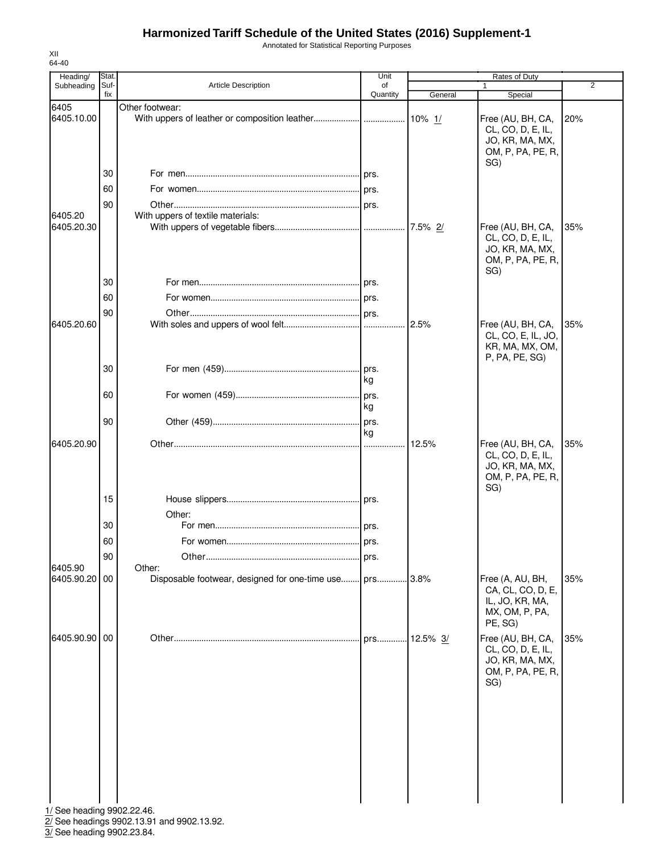Annotated for Statistical Reporting Purposes

| Heading/              | Stat.       |                                                    | Unit           |              | Rates of Duty                                                                         |                |
|-----------------------|-------------|----------------------------------------------------|----------------|--------------|---------------------------------------------------------------------------------------|----------------|
| Subheading            | Suf-<br>fix | <b>Article Description</b>                         | of<br>Quantity | General      | 1<br>Special                                                                          | $\overline{2}$ |
| 6405<br>6405.10.00    |             | Other footwear:                                    |                |              | Free (AU, BH, CA,<br>CL, CO, D, E, IL,<br>JO, KR, MA, MX,<br>OM, P, PA, PE, R,        | 20%            |
|                       | 30          |                                                    |                |              | SG)                                                                                   |                |
|                       | 60          |                                                    |                |              |                                                                                       |                |
|                       | 90          |                                                    |                |              |                                                                                       |                |
| 6405.20<br>6405.20.30 |             | With uppers of textile materials:                  |                | 7.5% 2/      | Free (AU, BH, CA,<br>CL, CO, D, E, IL,<br>JO, KR, MA, MX,<br>OM, P, PA, PE, R,        | 35%            |
|                       | 30          |                                                    |                |              | SG)                                                                                   |                |
|                       | 60          |                                                    |                |              |                                                                                       |                |
|                       | 90          |                                                    |                |              |                                                                                       |                |
| 6405.20.60            |             |                                                    |                | 2.5%         | Free (AU, BH, CA,<br>CL, CO, E, IL, JO,<br>KR, MA, MX, OM,<br>P, PA, PE, SG)          | 35%            |
|                       | 30          |                                                    | . prs.<br>kg   |              |                                                                                       |                |
|                       | 60          |                                                    | prs.<br>kg     |              |                                                                                       |                |
|                       | 90          |                                                    | . prs.<br>kg   |              |                                                                                       |                |
| 6405.20.90            |             |                                                    | .              | 12.5%        | Free (AU, BH, CA,<br>CL, CO, D, E, IL,<br>JO, KR, MA, MX,<br>OM, P, PA, PE, R,<br>SG) | 35%            |
|                       | 15          |                                                    |                |              |                                                                                       |                |
|                       |             | Other:                                             |                |              |                                                                                       |                |
|                       | 30          |                                                    |                |              |                                                                                       |                |
|                       | 60          |                                                    |                |              |                                                                                       |                |
| 6405.90               | 90          | Other:                                             | prs.           |              |                                                                                       |                |
| 6405.90.20            | 00          | Disposable footwear, designed for one-time use prs |                | 3.8%         | Free (A, AU, BH,<br>CA, CL, CO, D, E,<br>IL, JO, KR, MA,<br>MX, OM, P, PA,<br>PE, SG) | 35%            |
| 6405.90.90 00         |             |                                                    |                | prs 12.5% 3/ | Free (AU, BH, CA,<br>CL, CO, D, E, IL,<br>JO, KR, MA, MX,<br>OM, P, PA, PE, R,<br>SG) | 35%            |
|                       |             | 1/ See heading 9902.22.46.                         |                |              |                                                                                       |                |

2/ See headings 9902.13.91 and 9902.13.92.

3/ See heading 9902.23.84.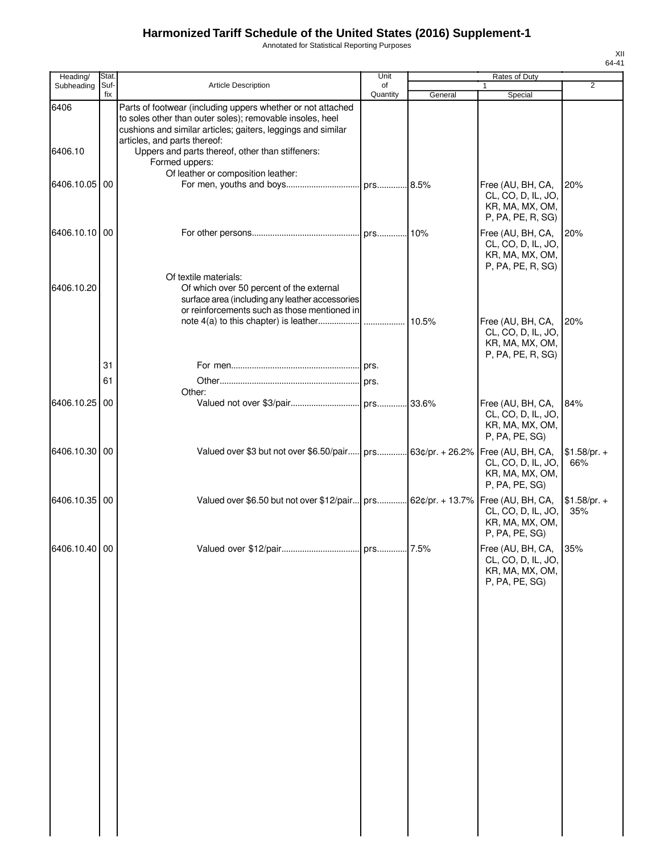Annotated for Statistical Reporting Purposes

| Heading/        | Stat.       |                                                                                                                                                                                                                                                                              | Unit           |         | Rates of Duty                                                                    |                      |
|-----------------|-------------|------------------------------------------------------------------------------------------------------------------------------------------------------------------------------------------------------------------------------------------------------------------------------|----------------|---------|----------------------------------------------------------------------------------|----------------------|
| Subheading      | Suf-<br>fix | Article Description                                                                                                                                                                                                                                                          | of<br>Quantity | General | Special                                                                          | $\overline{2}$       |
| 6406<br>6406.10 |             | Parts of footwear (including uppers whether or not attached<br>to soles other than outer soles); removable insoles, heel<br>cushions and similar articles; gaiters, leggings and similar<br>articles, and parts thereof:<br>Uppers and parts thereof, other than stiffeners: |                |         |                                                                                  |                      |
|                 |             | Formed uppers:<br>Of leather or composition leather:                                                                                                                                                                                                                         |                |         |                                                                                  |                      |
| 6406.10.05 00   |             |                                                                                                                                                                                                                                                                              |                |         | Free (AU, BH, CA,<br>CL, CO, D, IL, JO,<br>KR, MA, MX, OM,<br>P, PA, PE, R, SG)  | 20%                  |
| 6406.10.10 00   |             |                                                                                                                                                                                                                                                                              |                |         | Free (AU, BH, CA,<br>CL, CO, D, IL, JO,<br>KR, MA, MX, OM,<br>P, PA, PE, R, SG)  | 20%                  |
| 6406.10.20      |             | Of textile materials:<br>Of which over 50 percent of the external<br>surface area (including any leather accessories<br>or reinforcements such as those mentioned in                                                                                                         |                |         |                                                                                  |                      |
|                 |             |                                                                                                                                                                                                                                                                              |                | 10.5%   | Free (AU, BH, CA,<br>CL, CO, D, IL, JO,<br>KR, MA, MX, OM,<br>P, PA, PE, R, SG)  | 20%                  |
|                 | 31          |                                                                                                                                                                                                                                                                              |                |         |                                                                                  |                      |
|                 | 61          |                                                                                                                                                                                                                                                                              |                |         |                                                                                  |                      |
| 6406.10.25      | 00          | Other:                                                                                                                                                                                                                                                                       |                |         | Free (AU, BH, CA,<br>CL, CO, D, IL, JO,<br>KR, MA, MX, OM,<br>P, PA, PE, SG)     | 84%                  |
| 6406.10.30 00   |             | Valued over \$3 but not over \$6.50/pair prs 63¢/pr. + 26.2%   Free (AU, BH, CA,                                                                                                                                                                                             |                |         | CL, CO, D, IL, JO,<br>KR, MA, MX, OM,<br>P, PA, PE, SG)                          | $$1.58/pr. +$<br>66% |
| 6406.10.35 00   |             | Valued over \$6.50 but not over \$12/pair prs 62¢/pr. + 13.7%   Free (AU, BH, CA,                                                                                                                                                                                            |                |         | CL, CO, D, IL, JO,<br>KR, MA, MX, OM,<br>P, PA, PE, SG)                          | $$1.58/pr. +$<br>35% |
| 6406.10.40 00   |             |                                                                                                                                                                                                                                                                              |                |         | Free (AU, BH, CA, 35%<br>CL, CO, D, IL, JO,<br>KR, MA, MX, OM,<br>P, PA, PE, SG) |                      |
|                 |             |                                                                                                                                                                                                                                                                              |                |         |                                                                                  |                      |
|                 |             |                                                                                                                                                                                                                                                                              |                |         |                                                                                  |                      |
|                 |             |                                                                                                                                                                                                                                                                              |                |         |                                                                                  |                      |
|                 |             |                                                                                                                                                                                                                                                                              |                |         |                                                                                  |                      |
|                 |             |                                                                                                                                                                                                                                                                              |                |         |                                                                                  |                      |
|                 |             |                                                                                                                                                                                                                                                                              |                |         |                                                                                  |                      |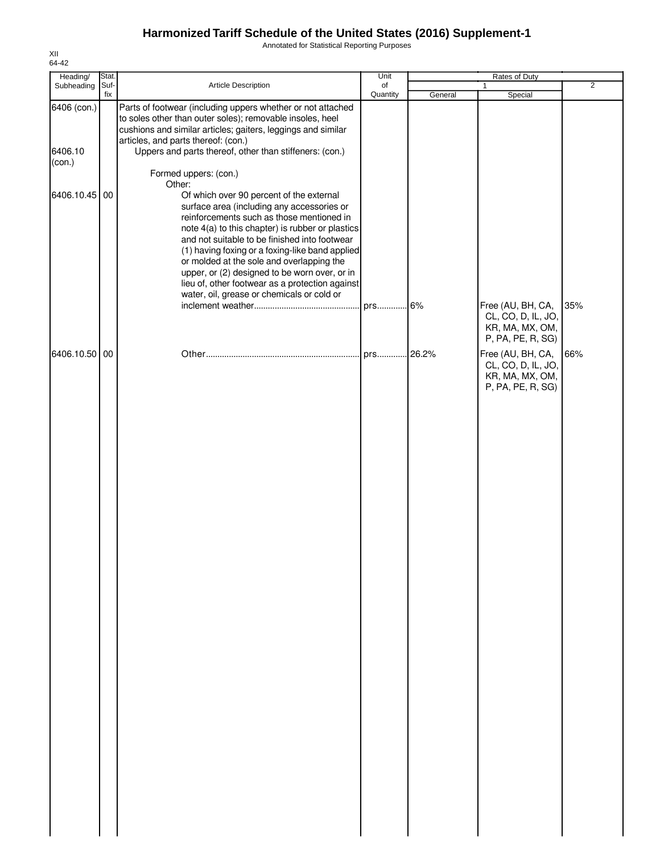Annotated for Statistical Reporting Purposes

| Heading/               | Stat. |                                                                                                                                                                                                                                                                                                                                                     | Unit     |         | Rates of Duty                                                                   |                |
|------------------------|-------|-----------------------------------------------------------------------------------------------------------------------------------------------------------------------------------------------------------------------------------------------------------------------------------------------------------------------------------------------------|----------|---------|---------------------------------------------------------------------------------|----------------|
| Subheading             | Suf-  | Article Description                                                                                                                                                                                                                                                                                                                                 | of       |         |                                                                                 | $\overline{2}$ |
| 6406 (con.)<br>6406.10 | fix   | Parts of footwear (including uppers whether or not attached<br>to soles other than outer soles); removable insoles, heel<br>cushions and similar articles; gaiters, leggings and similar<br>articles, and parts thereof: (con.)<br>Uppers and parts thereof, other than stiffeners: (con.)                                                          | Quantity | General | Special                                                                         |                |
| (con.)                 |       | Formed uppers: (con.)                                                                                                                                                                                                                                                                                                                               |          |         |                                                                                 |                |
| 6406.10.45             | 00    | Other:<br>Of which over 90 percent of the external<br>surface area (including any accessories or<br>reinforcements such as those mentioned in                                                                                                                                                                                                       |          |         |                                                                                 |                |
|                        |       | note 4(a) to this chapter) is rubber or plastics<br>and not suitable to be finished into footwear<br>(1) having foxing or a foxing-like band applied<br>or molded at the sole and overlapping the<br>upper, or (2) designed to be worn over, or in<br>lieu of, other footwear as a protection against<br>water, oil, grease or chemicals or cold or |          |         |                                                                                 |                |
|                        |       |                                                                                                                                                                                                                                                                                                                                                     | . prs    | .6%     | Free (AU, BH, CA,<br>CL, CO, D, IL, JO,<br>KR, MA, MX, OM,<br>P, PA, PE, R, SG) | 35%            |
| 6406.10.50 00          |       |                                                                                                                                                                                                                                                                                                                                                     |          |         | Free (AU, BH, CA,<br>CL, CO, D, IL, JO,<br>KR, MA, MX, OM,<br>P, PA, PE, R, SG) | 66%            |
|                        |       |                                                                                                                                                                                                                                                                                                                                                     |          |         |                                                                                 |                |
|                        |       |                                                                                                                                                                                                                                                                                                                                                     |          |         |                                                                                 |                |
|                        |       |                                                                                                                                                                                                                                                                                                                                                     |          |         |                                                                                 |                |
|                        |       |                                                                                                                                                                                                                                                                                                                                                     |          |         |                                                                                 |                |
|                        |       |                                                                                                                                                                                                                                                                                                                                                     |          |         |                                                                                 |                |
|                        |       |                                                                                                                                                                                                                                                                                                                                                     |          |         |                                                                                 |                |
|                        |       |                                                                                                                                                                                                                                                                                                                                                     |          |         |                                                                                 |                |
|                        |       |                                                                                                                                                                                                                                                                                                                                                     |          |         |                                                                                 |                |
|                        |       |                                                                                                                                                                                                                                                                                                                                                     |          |         |                                                                                 |                |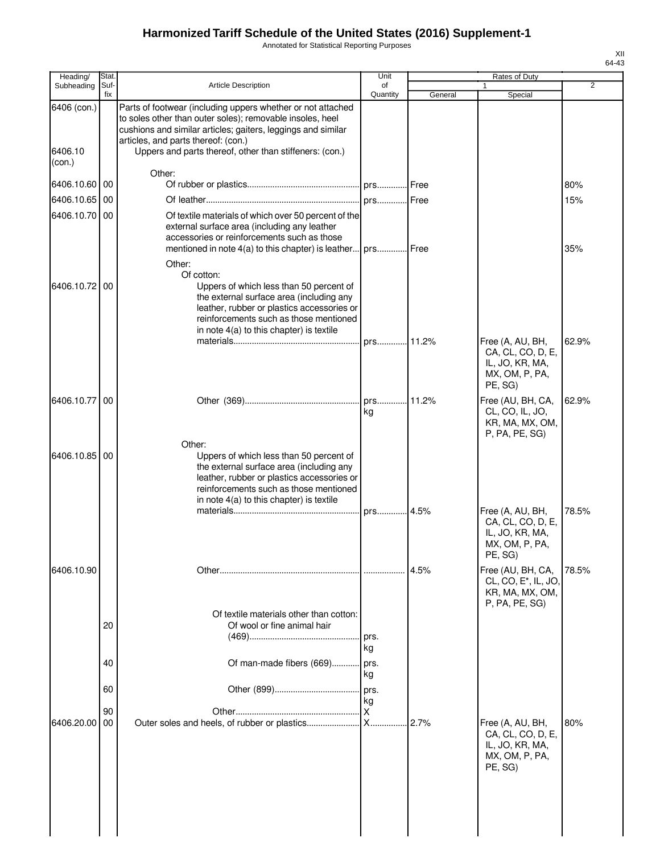Annotated for Statistical Reporting Purposes

| Heading/                         | Stat.       |                                                                                                                                                                                                                                                                                            | Unit           |         | Rates of Duty                                                                              |       |
|----------------------------------|-------------|--------------------------------------------------------------------------------------------------------------------------------------------------------------------------------------------------------------------------------------------------------------------------------------------|----------------|---------|--------------------------------------------------------------------------------------------|-------|
| Subheading                       | Suf-<br>fix | <b>Article Description</b>                                                                                                                                                                                                                                                                 | οf<br>Quantity | General | $\mathbf{1}$<br>Special                                                                    | 2     |
| 6406 (con.)<br>6406.10<br>(con.) |             | Parts of footwear (including uppers whether or not attached<br>to soles other than outer soles); removable insoles, heel<br>cushions and similar articles; gaiters, leggings and similar<br>articles, and parts thereof: (con.)<br>Uppers and parts thereof, other than stiffeners: (con.) |                |         |                                                                                            |       |
|                                  |             | Other:                                                                                                                                                                                                                                                                                     |                |         |                                                                                            |       |
| 6406.10.60 00                    |             |                                                                                                                                                                                                                                                                                            |                |         |                                                                                            | 80%   |
| 6406.10.65                       | 00          |                                                                                                                                                                                                                                                                                            |                |         |                                                                                            | 15%   |
| 6406.10.70 00                    |             | Of textile materials of which over 50 percent of the<br>external surface area (including any leather<br>accessories or reinforcements such as those<br>mentioned in note 4(a) to this chapter) is leather<br>Other:                                                                        | prs Free       |         |                                                                                            | 35%   |
| 6406.10.72 00                    |             | Of cotton:<br>Uppers of which less than 50 percent of<br>the external surface area (including any<br>leather, rubber or plastics accessories or<br>reinforcements such as those mentioned<br>in note 4(a) to this chapter) is textile                                                      |                |         |                                                                                            |       |
|                                  |             |                                                                                                                                                                                                                                                                                            | prs            | 11.2%   | Free (A, AU, BH,<br>CA, CL, CO, D, E,<br>IL, JO, KR, MA,<br>MX, OM, P, PA,<br>PE, SG)      | 62.9% |
| 6406.10.77                       | 00          |                                                                                                                                                                                                                                                                                            | kg             |         | Free (AU, BH, CA,<br>CL, CO, IL, JO,<br>KR, MA, MX, OM,<br>P, PA, PE, SG)                  | 62.9% |
| 6406.10.85                       | 00          | Other:<br>Uppers of which less than 50 percent of<br>the external surface area (including any<br>leather, rubber or plastics accessories or<br>reinforcements such as those mentioned<br>in note 4(a) to this chapter) is textile                                                          |                |         | Free (A, AU, BH,                                                                           | 78.5% |
|                                  |             |                                                                                                                                                                                                                                                                                            |                |         | CA, CL, CO, D, E,<br>IL, JO, KR, MA,<br>MX, OM, P, PA,<br>PE, SG)                          |       |
| 6406.10.90                       |             |                                                                                                                                                                                                                                                                                            |                | 4.5%    | Free (AU, BH, CA,<br>CL, CO, E <sup>*</sup> , IL, JO,<br>KR, MA, MX, OM,<br>P, PA, PE, SG) | 78.5% |
|                                  | 20          | Of textile materials other than cotton:<br>Of wool or fine animal hair                                                                                                                                                                                                                     | prs.<br>kg     |         |                                                                                            |       |
|                                  | 40          | Of man-made fibers (669)                                                                                                                                                                                                                                                                   | prs.           |         |                                                                                            |       |
|                                  | 60          |                                                                                                                                                                                                                                                                                            | kg<br>kg       |         |                                                                                            |       |
| 6406.20.00                       | 90<br>00    | Outer soles and heels, of rubber or plastics                                                                                                                                                                                                                                               | $X_{\cdot}$    | 2.7%    | Free (A, AU, BH,<br>CA, CL, CO, D, E,<br>IL, JO, KR, MA,<br>MX, OM, P, PA,<br>PE, SG)      | 80%   |
|                                  |             |                                                                                                                                                                                                                                                                                            |                |         |                                                                                            |       |